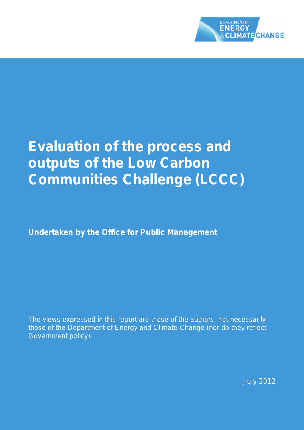

# **Evaluation of the process and outputs of the Low Carbon Communities Challenge (LCCC)**

**Undertaken by the Office for Public Management** 

*The views expressed in this report are those of the authors, not necessarily those of the Department of Energy and Climate Change (nor do they reflect Government policy).*

July 2012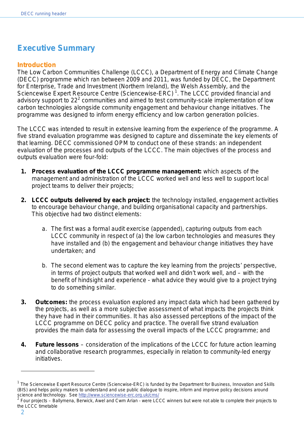# <span id="page-1-2"></span>**Executive Summary**

#### <span id="page-1-3"></span>**Introduction**

The Low Carbon Communities Challenge (LCCC), a Department of Energy and Climate Change (DECC) programme which ran between 2009 and 2011, was funded by DECC, the Department for Enterprise, Trade and Investment (Northern Ireland), the Welsh Assembly, and the Sciencewise Expert Resource Centre (Sciencewise-ERC)<sup>[1](#page-1-0)</sup>. The LCCC provided financial and advisory support to [2](#page-1-1)2<sup>2</sup> communities and aimed to test community-scale implementation of low carbon technologies alongside community engagement and behaviour change initiatives. The programme was designed to inform energy efficiency and low carbon generation policies.

The LCCC was intended to result in extensive learning from the experience of the programme. A five strand evaluation programme was designed to capture and disseminate the key elements of that learning. DECC commissioned OPM to conduct one of these strands: an independent evaluation of the processes and outputs of the LCCC. The main objectives of the process and outputs evaluation were four-fold:

- **1. Process evaluation of the LCCC programme management:** which aspects of the management and administration of the LCCC worked well and less well to support local project teams to deliver their projects;
- **2. LCCC outputs delivered by each project:** the technology installed, engagement activities to encourage behaviour change, and building organisational capacity and partnerships. This objective had two distinct elements:
	- a. The first was a formal audit exercise (appended), capturing outputs from each LCCC community in respect of (a) the low carbon technologies and measures they have installed and (b) the engagement and behaviour change initiatives they have undertaken; and
	- b. The second element was to capture the key learning from the projects' perspective, in terms of project outputs that worked well and didn't work well, and – with the benefit of hindsight and experience - what advice they would give to a project trying to do something similar.
- **3. Outcomes:** the process evaluation explored any impact data which had been gathered by the projects, as well as a more subjective assessment of what impacts the projects think they have had in their communities. It has also assessed perceptions of the impact of the LCCC programme on DECC policy and practice. The overall five strand evaluation provides the main data for assessing the overall impacts of the LCCC programme; and
- **4. Future lessons**  consideration of the implications of the LCCC for future action learning and collaborative research programmes, especially in relation to community-led energy initiatives.

<span id="page-1-0"></span> $1$  The Sciencewise Expert Resource Centre (Sciencwise-ERC) is funded by the Department for Business, Innovation and Skills (BIS) and helps policy makers to understand and use public dialogue to inspire, inform and improve policy decisions around science and technology. See<http://www.sciencewise-erc.org.uk/cms/><br><sup>2</sup> Four projects – Bollymone, Benuisk, Augl and Ours, A

<span id="page-1-1"></span><sup>2</sup> Four projects – Ballymena, Berwick, Awel and Cwm Arian - were LCCC winners but were not able to complete their projects to the LCCC timetable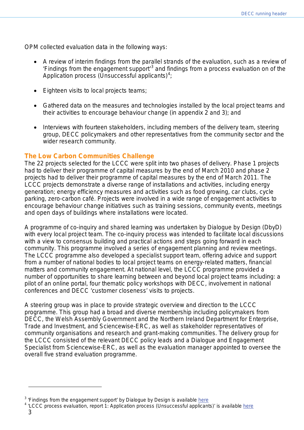OPM collected evaluation data in the following ways:

- A review of interim findings from the parallel strands of the evaluation, such as a review of 'Findings from the engagement support'[3](#page-2-0) and findings from a process evaluation on of the Application process (Unsuccessful applicants)<sup>[4](#page-2-1)</sup>;
- Eighteen visits to local projects teams;
- Gathered data on the measures and technologies installed by the local project teams and their activities to encourage behaviour change (in appendix 2 and 3); and
- Interviews with fourteen stakeholders, including members of the delivery team, steering group, DECC policymakers and other representatives from the community sector and the wider research community.

## <span id="page-2-2"></span>**The Low Carbon Communities Challenge**

The 22 projects selected for the LCCC were split into two phases of delivery. Phase 1 projects had to deliver their programme of capital measures by the end of March 2010 and phase 2 projects had to deliver their programme of capital measures by the end of March 2011. The LCCC projects demonstrate a diverse range of installations and activities, including energy generation; energy efficiency measures and activities such as food growing, car clubs, cycle parking, zero-carbon café. Projects were involved in a wide range of engagement activities to encourage behaviour change initiatives such as training sessions, community events, meetings and open days of buildings where installations were located.

A programme of co-inquiry and shared learning was undertaken by Dialogue by Design (DbyD) with every local project team. The co-inquiry process was intended to facilitate local discussions with a view to consensus building and practical actions and steps going forward in each community. This programme involved a series of engagement planning and review meetings. The LCCC programme also developed a specialist support team, offering advice and support from a number of national bodies to local project teams on energy-related matters, financial matters and community engagement. At national level, the LCCC programme provided a number of opportunities to share learning between and beyond local project teams including: a pilot of an online portal, four thematic policy workshops with DECC, involvement in national conferences and DECC 'customer closeness' visits to projects.

A steering group was in place to provide strategic overview and direction to the LCCC programme. This group had a broad and diverse membership including policymakers from DECC, the Welsh Assembly Government and the Northern Ireland Department for Enterprise, Trade and Investment, and Sciencewise-ERC, as well as stakeholder representatives of community organisations and research and grant-making communities. The delivery group for the LCCC consisted of the relevant DECC policy leads and a Dialogue and Engagement Specialist from Sciencewise-ERC, as well as the evaluation manager appointed to oversee the overall five strand evaluation programme.

<span id="page-2-1"></span><span id="page-2-0"></span> $3$  'Findings from the engagement support' by Dialogue by Design is available [here](http://www.sciencewise-erc.org.uk/cms/assets/Uploads/Project-files/2403-lccc-findings-final-report-july-2011.pdf)

<sup>4</sup> 'LCCC process evaluation, report 1: Application process (Unsuccessful applicants)' is available [here](http://www.sciencewise-erc.org.uk/cms/assets/Uploads/Project-files/2404-lccc-process-evaluation-report-1.pdf)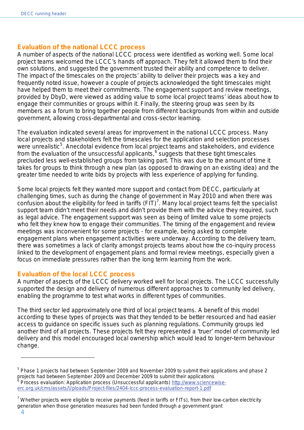### <span id="page-3-3"></span>**Evaluation of the national LCCC process**

A number of aspects of the national LCCC process were identified as working well. Some local project teams welcomed the LCCC's hands off approach. They felt it allowed them to find their own solutions, and suggested the government trusted their ability and competence to deliver. The impact of the timescales on the projects' ability to deliver their projects was a key and frequently noted issue, however a couple of projects acknowledged the tight timescales might have helped them to meet their commitments. The engagement support and review meetings, provided by DbyD, were viewed as adding value to some local project teams' ideas about how to engage their communities or groups within it. Finally, the steering group was seen by its members as a forum to bring together people from different backgrounds from within and outside government, allowing cross-departmental and cross-sector learning.

The evaluation indicated several areas for improvement in the national LCCC process. Many local projects and stakeholders felt the timescales for the application and selection processes were unrealistic<sup>[5](#page-3-0)</sup>. Anecdotal evidence from local project teams and stakeholders, and evidence from the evaluation of the unsuccessful applicants, <sup>[6](#page-3-1)</sup> suggests that these tight timescales precluded less well-established groups from taking part. This was due to the amount of time it takes for groups to think through a new plan (as opposed to drawing on an existing idea) and the greater time needed to write bids by projects with less experience of applying for funding.

Some local projects felt they wanted more support and contact from DECC, particularly at challenging times, such as during the change of government in May 2010 and when there was confusion about the eligibility for feed in tariffs  $(FIT)^7$  $(FIT)^7$ . Many local project teams felt the specialist support team didn't meet their needs and didn't provide them with the advice they required, such as legal advice. The engagement support was seen as being of limited value to some projects who felt they knew how to engage their communities. The timing of the engagement and review meetings was inconvenient for some projects - for example, being asked to complete engagement plans when engagement activities were underway. According to the delivery team, there was sometimes a lack of clarity amongst projects teams about how the co-inquiry process linked to the development of engagement plans and formal review meetings, especially given a focus on immediate pressures rather than the long term learning from the work.

## <span id="page-3-4"></span>**Evaluation of the local LCCC process**

A number of aspects of the LCCC delivery worked well for local projects. The LCCC successfully supported the design and delivery of numerous different approaches to community led delivery, enabling the programme to test what works in different types of communities.

The third sector led approximately one third of local project teams. A benefit of this model according to these types of projects was that they tended to be better resourced and had easier access to guidance on specific issues such as planning regulations. Community groups led another third of all projects. These projects felt they represented a 'truer' model of community led delivery and this model encouraged local ownership which would lead to longer-term behaviour change.

<span id="page-3-1"></span><span id="page-3-0"></span><sup>&</sup>lt;sup>5</sup> Phase 1 projects had between September 2009 and November 2009 to submit their applications and phase 2 projects had between September 2009 and December 2009 to submit their applications <sup>6</sup> Process evaluation: Application process (Unsuccessful applicants) [http://www.sciencewise](http://www.sciencewise-erc.org.uk/cms/assets/Uploads/Project-files/2404-lccc-process-evaluation-report-1.pdf)[erc.org.uk/cms/assets/Uploads/Project-files/2404-lccc-process-evaluation-report-1.pdf](http://www.sciencewise-erc.org.uk/cms/assets/Uploads/Project-files/2404-lccc-process-evaluation-report-1.pdf)

<span id="page-3-2"></span> $^7$  Whether projects were eligible to receive payments (feed in tariffs or FITs), from their low-carbon electricity generation when those generation measures had been funded through a government grant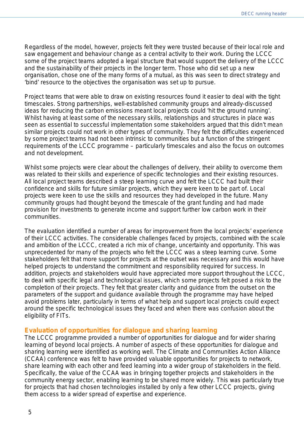Regardless of the model, however, projects felt they were trusted because of their local role and saw engagement and behaviour change as a central activity to their work. During the LCCC some of the project teams adopted a legal structure that would support the delivery of the LCCC and the sustainability of their projects in the longer term. Those who did set up a new organisation, chose one of the many forms of a mutual, as this was seen to direct strategy and 'bind' resource to the objectives the organisation was set up to pursue.

Project teams that were able to draw on existing resources found it easier to deal with the tight timescales. Strong partnerships, well-established community groups and already-discussed ideas for reducing the carbon emissions meant local projects could 'hit the ground running'. Whilst having at least some of the necessary skills, relationships and structures in place was seen as essential to successful implementation some stakeholders argued that this didn't mean similar projects could not work in other types of community. They felt the difficulties experienced by some project teams had not been intrinsic to communities but a function of the stringent requirements of the LCCC programme – particularly timescales and also the focus on outcomes and not development.

Whilst some projects were clear about the challenges of delivery, their ability to overcome them was related to their skills and experience of specific technologies and their existing resources. All local project teams described a steep learning curve and felt the LCCC had built their confidence and skills for future similar projects, which they were keen to be part of. Local projects were keen to use the skills and resources they had developed in the future. Many community groups had thought beyond the timescale of the grant funding and had made provision for investments to generate income and support further low carbon work in their communities.

The evaluation identified a number of areas for improvement from the local projects' experience of their LCCC activities. The considerable challenges faced by projects, combined with the scale and ambition of the LCCC, created a rich mix of change, uncertainty and opportunity. This was unprecedented for many of the projects who felt the LCCC was a steep learning curve. Some stakeholders felt that more support for projects at the outset was necessary and this would have helped projects to understand the commitment and responsibility required for success. In addition, projects and stakeholders would have appreciated more support throughout the LCCC, to deal with specific legal and technological issues, which some projects felt posed a risk to the completion of their projects. They felt that greater clarity and guidance from the outset on the parameters of the support and guidance available through the programme may have helped avoid problems later, particularly in terms of what help and support local projects could expect around the specific technological issues they faced and when there was confusion about the eligibility of FITs.

#### <span id="page-4-0"></span>**Evaluation of opportunities for dialogue and sharing learning**

The LCCC programme provided a number of opportunities for dialogue and for wider sharing learning of beyond local projects. A number of aspects of these opportunities for dialogue and sharing learning were identified as working well. The Climate and Communities Action Alliance (CCAA) conference was felt to have provided valuable opportunities for projects to network, share learning with each other and feed learning into a wider group of stakeholders in the field. Specifically, the value of the CCAA was in bringing together projects and stakeholders in the community energy sector, enabling learning to be shared more widely. This was particularly true for projects that had chosen technologies installed by only a few other LCCC projects, giving them access to a wider spread of expertise and experience.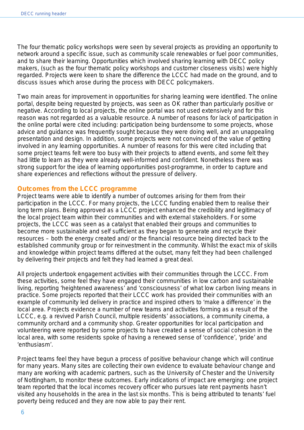The four thematic policy workshops were seen by several projects as providing an opportunity to network around a specific issue, such as community scale renewables or fuel poor communities, and to share their learning. Opportunities which involved sharing learning with DECC policy makers, (such as the four thematic policy workshops and customer closeness visits) were highly regarded. Projects were keen to share the difference the LCCC had made on the ground, and to discuss issues which arose during the process with DECC policymakers.

Two main areas for improvement in opportunities for sharing learning were identified. The online portal, despite being requested by projects, was seen as OK rather than particularly positive or negative. According to local projects, the online portal was not used extensively and for this reason was not regarded as a valuable resource. A number of reasons for lack of participation in the online portal were cited including: participation being burdensome to some projects, whose advice and guidance was frequently sought because they were doing well, and an unappealing presentation and design. In addition, some projects were not convinced of the value of getting involved in any learning opportunities. A number of reasons for this were cited including that some project teams felt were too busy with their projects to attend events, and some felt they had little to learn as they were already well-informed and confident. Nonetheless there was strong support for the idea of learning opportunities post-programme, in order to capture and share experiences and reflections without the pressure of delivery.

#### <span id="page-5-0"></span>**Outcomes from the LCCC programme**

Project teams were able to identify a number of outcomes arising for them from their participation in the LCCC. For many projects, the LCCC funding enabled them to realise their long term plans. Being approved as a LCCC project enhanced the credibility and legitimacy of the local project team within their communities and with external stakeholders. For some projects, the LCCC was seen as a catalyst that enabled their groups and communities to become more sustainable and self sufficient as they began to generate and recycle their resources – both the energy created and/ or the financial resource being directed back to the established community group or for reinvestment in the community. Whilst the exact mix of skills and knowledge within project teams differed at the outset, many felt they had been challenged by delivering their projects and felt they had learned a great deal.

All projects undertook engagement activities with their communities through the LCCC. From these activities, some feel they have engaged their communities in low carbon and sustainable living, reporting 'heightened awareness' and 'consciousness' of what low carbon living means in practice. Some projects reported that their LCCC work has provided their communities with an example of community led delivery in practice and inspired others to 'make a difference' in the local area. Projects evidence a number of new teams and activities forming as a result of the LCCC, e.g. a revived Parish Council, multiple residents' associations, a community cinema, a community orchard and a community shop. Greater opportunities for local participation and volunteering were reported by some projects to have created a sense of social cohesion in the local area, with some residents spoke of having a renewed sense of 'confidence', 'pride' and 'enthusiasm'.

Project teams feel they have begun a process of positive behaviour change which will continue for many years. Many sites are collecting their own evidence to evaluate behaviour change and many are working with academic partners, such as the University of Chester and the University of Nottingham, to monitor these outcomes. Early indications of impact are emerging: one project team reported that the local incomes recovery officer who pursues late rent payments hasn't visited any households in the area in the last six months. This is being attributed to tenants' fuel poverty being reduced and they are now able to pay their rent.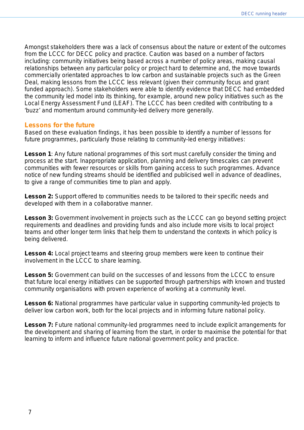Amongst stakeholders there was a lack of consensus about the nature or extent of the outcomes from the LCCC for DECC policy and practice. Caution was based on a number of factors including: community initiatives being based across a number of policy areas, making causal relationships between any particular policy or project hard to determine and, the move towards commercially orientated approaches to low carbon and sustainable projects such as the Green Deal, making lessons from the LCCC less relevant (given their community focus and grant funded approach). Some stakeholders were able to identify evidence that DECC had embedded the community led model into its thinking, for example, around new policy initiatives such as the Local Energy Assessment Fund (LEAF). The LCCC has been credited with contributing to a 'buzz' and momentum around community-led delivery more generally.

#### <span id="page-6-0"></span>**Lessons for the future**

Based on these evaluation findings, it has been possible to identify a number of lessons for future programmes, particularly those relating to community-led energy initiatives:

**Lesson 1**: Any future national programmes of this sort must carefully consider the timing and process at the start. Inappropriate application, planning and delivery timescales can prevent communities with fewer resources or skills from gaining access to such programmes. Advance notice of new funding streams should be identified and publicised well in advance of deadlines, to give a range of communities time to plan and apply.

Lesson 2: Support offered to communities needs to be tailored to their specific needs and developed with them in a collaborative manner.

Lesson 3: Government involvement in projects such as the LCCC can go beyond setting project requirements and deadlines and providing funds and also include more visits to local project teams and other longer term links that help them to understand the contexts in which policy is being delivered.

Lesson 4: Local project teams and steering group members were keen to continue their involvement in the LCCC to share learning.

**Lesson 5:** Government can build on the successes of and lessons from the LCCC to ensure that future local energy initiatives can be supported through partnerships with known and trusted community organisations with proven experience of working at a community level.

**Lesson 6:** National programmes have particular value in supporting community-led projects to deliver low carbon work, both for the local projects and in informing future national policy.

Lesson 7: Future national community-led programmes need to include explicit arrangements for the development and sharing of learning from the start, in order to maximise the potential for that learning to inform and influence future national government policy and practice.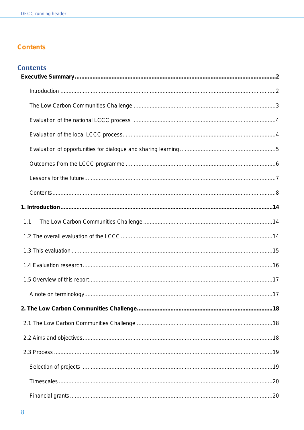# <span id="page-7-0"></span>**Contents**

| 1.1 |  |
|-----|--|
|     |  |
|     |  |
|     |  |
|     |  |
|     |  |
|     |  |
|     |  |
|     |  |
|     |  |
|     |  |
|     |  |
|     |  |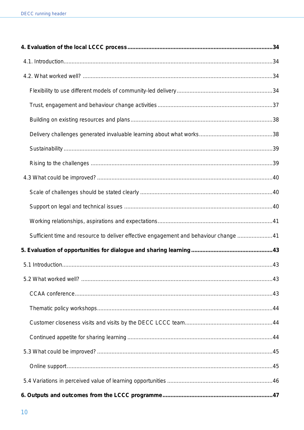| Sufficient time and resource to deliver effective engagement and behaviour change 41 |  |
|--------------------------------------------------------------------------------------|--|
|                                                                                      |  |
|                                                                                      |  |
|                                                                                      |  |
|                                                                                      |  |
|                                                                                      |  |
|                                                                                      |  |
|                                                                                      |  |
|                                                                                      |  |
|                                                                                      |  |
|                                                                                      |  |
|                                                                                      |  |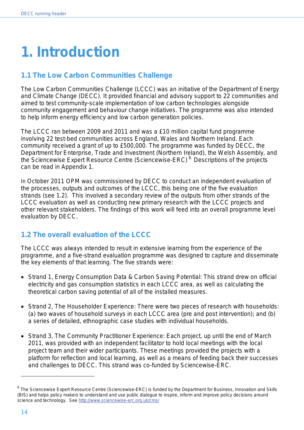# <span id="page-13-0"></span>**1. Introduction**

# <span id="page-13-1"></span>**1.1 The Low Carbon Communities Challenge**

The Low Carbon Communities Challenge (LCCC) was an initiative of the Department of Energy and Climate Change (DECC). It provided financial and advisory support to 22 communities and aimed to test community-scale implementation of low carbon technologies alongside community engagement and behaviour change initiatives. The programme was also intended to help inform energy efficiency and low carbon generation policies.

The LCCC ran between 2009 and 2011 and was a £10 million capital fund programme involving 22 test-bed communities across England, Wales and Northern Ireland. Each community received a grant of up to £500,000. The programme was funded by DECC, the Department for Enterprise, Trade and Investment (Northern Ireland), the Welsh Assembly, and the Sciencewise Expert Resource Centre (Sciencewise-ERC)<sup>[8](#page-13-3)</sup> Descriptions of the projects can be read in Appendix 1.

In October 2011 OPM was commissioned by DECC to conduct an independent evaluation of the processes, outputs and outcomes of the LCCC, this being one of the five evaluation strands (see 1.2). This involved a secondary review of the outputs from other strands of the LCCC evaluation as well as conducting new primary research with the LCCC projects and other relevant stakeholders. The findings of this work will feed into an overall programme level evaluation by DECC.

# <span id="page-13-2"></span>**1.2 The overall evaluation of the LCCC**

The LCCC was always intended to result in extensive learning from the experience of the programme, and a five-strand evaluation programme was designed to capture and disseminate the key elements of that learning. The five strands were:

- Strand 1, Energy Consumption Data & Carbon Saving Potential: This strand drew on official electricity and gas consumption statistics in each LCCC area, as well as calculating the theoretical carbon saving potential of all of the installed measures.
- Strand 2, The Householder Experience: There were two pieces of research with households: (a) two waves of household surveys in each LCCC area (pre and post intervention); and (b) a series of detailed, ethnographic case studies with individual households.
- Strand 3, The Community Practitioner Experience: Each project, up until the end of March 2011, was provided with an independent facilitator to hold local meetings with the local project team and their wider participants. These meetings provided the projects with a platform for reflection and local learning, as well as a means of feeding back their successes and challenges to DECC. This strand was co-funded by Sciencewise-ERC.

<span id="page-13-3"></span><sup>8</sup> The Sciencewise Expert Resource Centre (Sciencewise-ERC) is funded by the Department for Business, Innovation and Skills (BIS) and helps policy makers to understand and use public dialogue to inspire, inform and improve policy decisions around science and technology. See<http://www.sciencewise-erc.org.uk/cms/>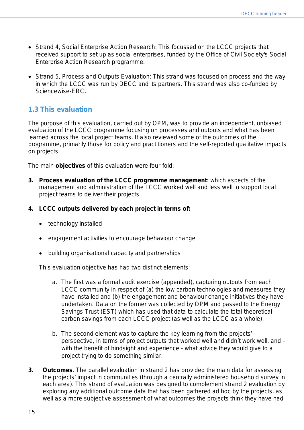- Strand 4, Social Enterprise Action Research: This focussed on the LCCC projects that received support to set up as social enterprises, funded by the Office of Civil Society's Social Enterprise Action Research programme.
- Strand 5, Process and Outputs Evaluation: This strand was focused on process and the way in which the LCCC was run by DECC and its partners. This strand was also co-funded by Sciencewise-ERC.

# <span id="page-14-0"></span>**1.3 This evaluation**

The purpose of this evaluation, carried out by OPM, was to provide an independent, unbiased evaluation of the LCCC programme focusing on processes and outputs and what has been learned across the local project teams. It also reviewed some of the outcomes of the programme, primarily those for policy and practitioners and the self-reported qualitative impacts on projects.

The main **objectives** of this evaluation were four-fold:

- **3. Process evaluation of the LCCC programme management**: which aspects of the management and administration of the LCCC worked well and less well to support local project teams to deliver their projects
- **4. LCCC outputs delivered by each project in terms of:**
	- technology installed
	- engagement activities to encourage behaviour change
	- building organisational capacity and partnerships

This evaluation objective has had two distinct elements:

- a. The first was a formal audit exercise (appended), capturing outputs from each LCCC community in respect of (a) the low carbon technologies and measures they have installed and (b) the engagement and behaviour change initiatives they have undertaken. Data on the former was collected by OPM and passed to the Energy Savings Trust (EST) which has used that data to calculate the total theoretical carbon savings from each LCCC project (as well as the LCCC as a whole).
- b. The second element was to capture the key learning from the projects' perspective, in terms of project outputs that worked well and didn't work well, and – with the benefit of hindsight and experience - what advice they would give to a project trying to do something similar.
- **3. Outcomes**. The parallel evaluation in strand 2 has provided the main data for assessing the projects' impact in communities (through a centrally administered household survey in each area). This strand of evaluation was designed to complement strand 2 evaluation by exploring any additional outcome data that has been gathered ad hoc by the projects, as well as a more subjective assessment of what outcomes the projects think they have had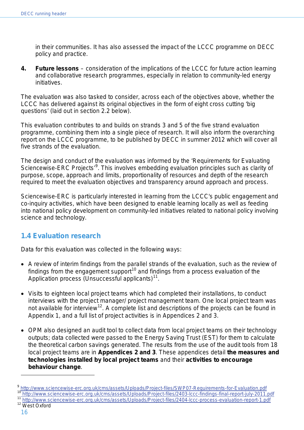in their communities. It has also assessed the impact of the LCCC programme on DECC policy and practice.

**4. Future lessons** – consideration of the implications of the LCCC for future action learning and collaborative research programmes, especially in relation to community-led energy initiatives.

The evaluation was also tasked to consider, across each of the objectives above, whether the LCCC has delivered against its original objectives in the form of eight cross cutting 'big questions' (laid out in section 2.2 below).

This evaluation contributes to and builds on strands 3 and 5 of the five strand evaluation programme, combining them into a single piece of research. It will also inform the overarching report on the LCCC programme, to be published by DECC in summer 2012 which will cover all five strands of the evaluation.

The design and conduct of the evaluation was informed by the 'Requirements for Evaluating Sciencewise-ERC Projects'<sup>[9](#page-15-1)</sup>. This involves embedding evaluation principles such as clarity of purpose, scope, approach and limits, proportionality of resources and depth of the research required to meet the evaluation objectives and transparency around approach and process.

Sciencewise-ERC is particularly interested in learning from the LCCC's public engagement and co-inquiry activities, which have been designed to enable learning locally as well as feeding into national policy development on community-led initiatives related to national policy involving science and technology.

# <span id="page-15-0"></span>**1.4 Evaluation research**

Data for this evaluation was collected in the following ways:

- A review of interim findings from the parallel strands of the evaluation, such as the review of findings from the engagement support<sup>[10](#page-15-2)</sup> and findings from a process evaluation of the Application process (Unsuccessful applicants) $11$ .
- Visits to eighteen local project teams which had completed their installations, to conduct interviews with the project manager/ project management team. One local project team was not available for interview<sup>[12](#page-15-4)</sup>. A complete list and descriptions of the projects can be found in Appendix 1, and a full list of project activities is in Appendices 2 and 3.
- OPM also designed an audit tool to collect data from local project teams on their technology outputs; data collected were passed to the Energy Saving Trust (EST) for them to calculate the theoretical carbon savings generated. The results from the use of the audit tools from 18 local project teams are in **Appendices 2 and 3**. These appendices detail **the measures and technologies installed by local project teams** and their **activities to encourage behaviour change**.

<span id="page-15-4"></span><span id="page-15-3"></span>

<span id="page-15-2"></span><span id="page-15-1"></span><sup>9</sup> <http://www.sciencewise-erc.org.uk/cms/assets/Uploads/Project-files/SWP07-Requirements-for-Evaluation.pdf><br>10 <http://www.sciencewise-erc.org.uk/cms/assets/Uploads/Project-files/2403-lccc-findings-final-report-july-2011.pdf>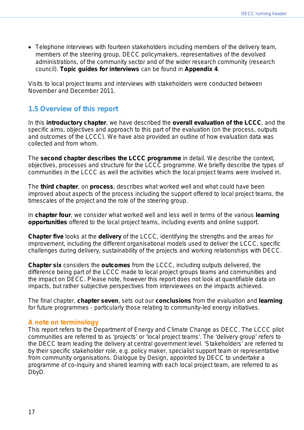• Telephone interviews with fourteen stakeholders including members of the delivery team, members of the steering group, DECC policymakers, representatives of the devolved administrations, of the community sector and of the wider research community (research council). **Topic guides for interviews** can be found in **Appendix 4**.

Visits to local project teams and interviews with stakeholders were conducted between November and December 2011.

# <span id="page-16-0"></span>**1.5 Overview of this report**

In this **introductory chapter**, we have described the **overall evaluation of the LCCC**, and the specific aims, objectives and approach to this part of the evaluation (on the process, outputs and outcomes of the LCCC). We have also provided an outline of how evaluation data was collected and from whom.

The **second chapter describes the LCCC programme** in detail. We describe the context, objectives, processes and structure for the LCCC programme. We briefly describe the types of communities in the LCCC as well the activities which the local project teams were involved in.

The **third chapter**, on **process**, describes what worked well and what could have been improved about aspects of the process including the support offered to local project teams, the timescales of the project and the role of the steering group.

In **chapter four**, we consider what worked well and less well in terms of the various **learning opportunities** offered to the local project teams, including events and online support.

**Chapter five** looks at the **delivery** of the LCCC, identifying the strengths and the areas for improvement, including the different organisational models used to deliver the LCCC, specific challenges during delivery, sustainability of the projects and working relationships with DECC.

**Chapter six** considers the **outcomes** from the LCCC, including outputs delivered, the difference being part of the LCCC made to local project groups teams and communities and the impact on DECC. Please note, however this report does not look at quantifiable data on impacts, but rather subjective perspectives from interviewees on the impacts achieved.

The final chapter, **chapter seven**, sets out our **conclusions** from the evaluation and **learning**  for future programmes - particularly those relating to community-led energy initiatives.

## <span id="page-16-1"></span>**A note on terminology**

This report refers to the Department of Energy and Climate Change as DECC. The LCCC pilot communities are referred to as 'projects' or 'local project teams'. The 'delivery group' refers to the DECC team leading the delivery at central government level. 'Stakeholders' are referred to by their specific stakeholder role, e.g. policy maker, specialist support team or representative from community organisations. Dialogue by Design, appointed by DECC to undertake a programme of co-inquiry and shared learning with each local project team, are referred to as DbyD.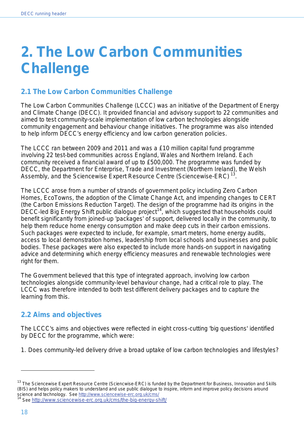# <span id="page-17-0"></span>**2. The Low Carbon Communities Challenge**

# <span id="page-17-1"></span>**2.1 The Low Carbon Communities Challenge**

The Low Carbon Communities Challenge (LCCC) was an initiative of the Department of Energy and Climate Change (DECC). It provided financial and advisory support to 22 communities and aimed to test community-scale implementation of low carbon technologies alongside community engagement and behaviour change initiatives. The programme was also intended to help inform DECC's energy efficiency and low carbon generation policies.

The LCCC ran between 2009 and 2011 and was a £10 million capital fund programme involving 22 test-bed communities across England, Wales and Northern Ireland. Each community received a financial award of up to £500,000. The programme was funded by DECC, the Department for Enterprise, Trade and Investment (Northern Ireland), the Welsh Assembly, and the Sciencewise Expert Resource Centre (Sciencewise-ERC)<sup>[13](#page-17-3)</sup> .

The LCCC arose from a number of strands of government policy including Zero Carbon Homes, EcoTowns, the adoption of the Climate Change Act, and impending changes to CERT (the Carbon Emissions Reduction Target). The design of the programme had its origins in the DECC-led Big Energy Shift public dialogue project<sup>[14](#page-17-4)</sup>, which suggested that households could benefit significantly from joined-up 'packages' of support, delivered locally in the community, to help them reduce home energy consumption and make deep cuts in their carbon emissions. Such packages were expected to include, for example, smart meters, home energy audits, access to local demonstration homes, leadership from local schools and businesses and public bodies. These packages were also expected to include more hands-on support in navigating advice and determining which energy efficiency measures and renewable technologies were right for them.

The Government believed that this type of integrated approach, involving low carbon technologies alongside community-level behaviour change, had a critical role to play. The LCCC was therefore intended to both *test different delivery packages* and to *capture the learning from this*.

# <span id="page-17-2"></span>**2.2 Aims and objectives**

The LCCC's aims and objectives were reflected in eight cross-cutting 'big questions' identified by DECC for the programme, which were:

1. Does community-led delivery drive a broad uptake of low carbon technologies and lifestyles?

<span id="page-17-3"></span> $13$  The Sciencewise Expert Resource Centre (Sciencwise-ERC) is funded by the Department for Business, Innovation and Skills (BIS) and helps policy makers to understand and use public dialogue to inspire, inform and improve policy decisions around science and technology. See<http://www.sciencewise-erc.org.uk/cms/><br><sup>14</sup> See http://www.sciencewise-erc.org.uk/cms/the-big-energy-shift/

<span id="page-17-4"></span>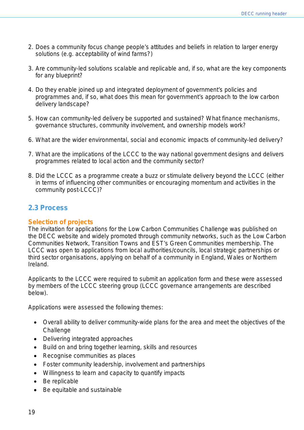- 2. Does a community focus change people's attitudes and beliefs in relation to larger energy solutions (e.g. acceptability of wind farms?)
- 3. Are community-led solutions scalable and replicable and, if so, what are the key components for any blueprint?
- 4. Do they enable joined up and integrated deployment of government's policies and programmes and, if so, what does this mean for government's approach to the low carbon delivery landscape?
- 5. How can community-led delivery be supported and sustained? What finance mechanisms, governance structures, community involvement, and ownership models work?
- 6. What are the wider environmental, social and economic impacts of community-led delivery?
- 7. What are the implications of the LCCC to the way national government designs and delivers programmes related to local action and the community sector?
- 8. Did the LCCC as a programme create a buzz or stimulate delivery beyond the LCCC (either in terms of influencing other communities or encouraging momentum and activities in the community post-LCCC)?

## <span id="page-18-0"></span>**2.3 Process**

## <span id="page-18-1"></span>**Selection of projects**

The invitation for applications for the Low Carbon Communities Challenge was published on the DECC website and widely promoted through community networks, such as the Low Carbon Communities Network, Transition Towns and EST's Green Communities membership. The LCCC was open to applications from local authorities/councils, local strategic partnerships or third sector organisations, applying on behalf of a community in England, Wales or Northern Ireland.

Applicants to the LCCC were required to submit an application form and these were assessed by members of the LCCC steering group (LCCC governance arrangements are described below).

Applications were assessed the following themes:

- Overall ability to deliver community-wide plans for the area and meet the objectives of the **Challenge**
- Delivering integrated approaches
- Build on and bring together learning, skills and resources
- Recognise communities as places
- Foster community leadership, involvement and partnerships
- Willingness to learn and capacity to quantify impacts
- Be replicable
- Be equitable and sustainable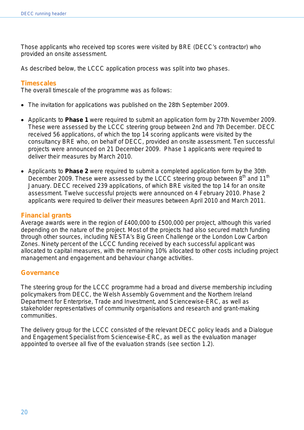Those applicants who received top scores were visited by BRE (DECC's contractor) who provided an onsite assessment.

As described below, the LCCC application process was split into two phases.

#### <span id="page-19-0"></span>**Timescales**

The overall timescale of the programme was as follows:

- The invitation for applications was published on the 28th September 2009.
- Applicants to **Phase 1** were required to submit an application form by 27th November 2009. These were assessed by the LCCC steering group between 2nd and 7th December. DECC received 56 applications, of which the top 14 scoring applicants were visited by the consultancy BRE who, on behalf of DECC, provided an onsite assessment. Ten successful projects were announced on 21 December 2009. Phase 1 applicants were required to deliver their measures by March 2010.
- Applicants to **Phase 2** were required to submit a completed application form by the 30th December 2009. These were assessed by the LCCC steering group between  $8<sup>th</sup>$  and 11<sup>th</sup> January. DECC received 239 applications, of which BRE visited the top 14 for an onsite assessment. Twelve successful projects were announced on 4 February 2010. Phase 2 applicants were required to deliver their measures between April 2010 and March 2011.

#### <span id="page-19-1"></span>**Financial grants**

Average awards were in the region of £400,000 to £500,000 per project, although this varied depending on the nature of the project. Most of the projects had also secured match funding through other sources, including NESTA's *Big Green Challenge* or the London *Low Carbon Zones*. Ninety percent of the LCCC funding received by each successful applicant was allocated to capital measures, with the remaining 10% allocated to other costs including project management and engagement and behaviour change activities.

#### <span id="page-19-2"></span>**Governance**

The steering group for the LCCC programme had a broad and diverse membership including policymakers from DECC, the Welsh Assembly Government and the Northern Ireland Department for Enterprise, Trade and Investment, and Sciencewise-ERC, as well as stakeholder representatives of community organisations and research and grant-making communities.

The delivery group for the LCCC consisted of the relevant DECC policy leads and a Dialogue and Engagement Specialist from Sciencewise-ERC, as well as the evaluation manager appointed to oversee all five of the evaluation strands (see section 1.2).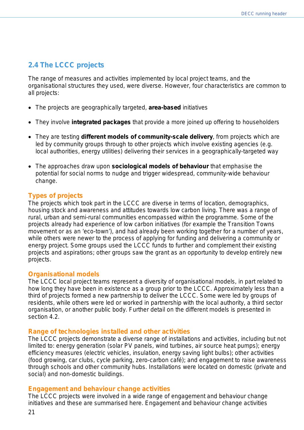# <span id="page-20-0"></span>**2.4 The LCCC projects**

The range of measures and activities implemented by local project teams, and the organisational structures they used, were diverse. However, four characteristics are common to all projects:

- The projects are geographically targeted, **area-based** initiatives
- They involve **integrated packages** that provide a more joined up offering to householders
- They are testing **different models of community-scale delivery**, from projects which are led by community groups through to other projects which involve existing agencies (e.g. local authorities, energy utilities) delivering their services in a geographically-targeted way
- The approaches draw upon **sociological models of behaviour** that emphasise the potential for social norms to nudge and trigger widespread, community-wide behaviour change.

## <span id="page-20-1"></span>**Types of projects**

The projects which took part in the LCCC are diverse in terms of location, demographics, housing stock and awareness and attitudes towards low carbon living. There was a range of rural, urban and semi-rural communities encompassed within the programme. Some of the projects already had experience of low carbon initiatives (for example the Transition Towns movement or as an 'eco-town'), and had already been working together for a number of years, while others were newer to the process of applying for funding and delivering a community or energy project. Some groups used the LCCC funds to further and complement their existing projects and aspirations; other groups saw the grant as an opportunity to develop entirely new projects.

### <span id="page-20-2"></span>**Organisational models**

The LCCC local project teams represent a diversity of organisational models, in part related to how long they have been in existence as a group prior to the LCCC. Approximately less than a third of projects formed a new partnership to deliver the LCCC. Some were led by groups of residents, while others were led or worked in partnership with the local authority, a third sector organisation, or another public body. Further detail on the different models is presented in section 4.2.

#### <span id="page-20-3"></span>**Range of technologies installed and other activities**

The LCCC projects demonstrate a diverse range of installations and activities, including but not limited to: energy generation (solar PV panels, wind turbines, air source heat pumps); energy efficiency measures (electric vehicles, insulation, energy saving light bulbs); other activities (food growing, car clubs, cycle parking, zero-carbon café); and engagement to raise awareness through schools and other community hubs. Installations were located on domestic (private and social) and non-domestic buildings.

#### <span id="page-20-4"></span>**Engagement and behaviour change activities**

The LCCC projects were involved in a wide range of engagement and behaviour change initiatives and these are summarised here. Engagement and behaviour change activities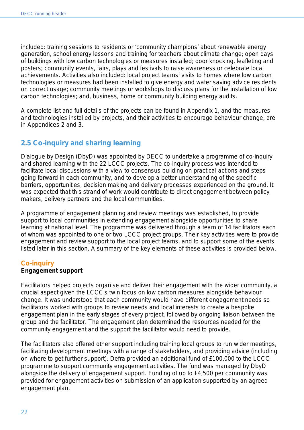included: training sessions to residents or 'community champions' about renewable energy generation, school energy lessons and training for teachers about climate change; open days of buildings with low carbon technologies or measures installed; door knocking, leafleting and posters; community events, fairs, plays and festivals to raise awareness or celebrate local achievements. Activities also included: local project teams' visits to homes where low carbon technologies or measures had been installed to give energy and water saving advice residents on correct usage; community meetings or workshops to discuss plans for the installation of low carbon technologies; and, business, home or community building energy audits.

A complete list and full details of the projects can be found in Appendix 1, and the measures and technologies installed by projects, and their activities to encourage behaviour change, are in Appendices 2 and 3.

# <span id="page-21-0"></span>**2.5 Co-inquiry and sharing learning**

Dialogue by Design (DbyD) was appointed by DECC to undertake a programme of co-inquiry and shared learning with the 22 LCCC projects. The co-inquiry process was intended to facilitate local discussions with a view to consensus building on practical actions and steps going forward in each community, and to develop a better understanding of the specific barriers, opportunities, decision making and delivery processes experienced on the ground. It was expected that this strand of work would contribute to direct engagement between policy makers, delivery partners and the local communities.

A programme of engagement planning and review meetings was established, to provide support to local communities in extending engagement alongside opportunities to share learning at national level. The programme was delivered through a team of 14 facilitators each of whom was appointed to one or two LCCC project groups. Their key activities were to provide engagement and review support to the local project teams, and to support some of the events listed later in this section. A summary of the key elements of these activities is provided below.

## <span id="page-21-1"></span>**Co-inquiry**

#### **Engagement support**

Facilitators helped projects organise and deliver their engagement with the wider community, a crucial aspect given the LCCC's twin focus on low carbon measures alongside behaviour change. It was understood that each community would have different engagement needs so facilitators worked with groups to review needs and local interests to create a bespoke engagement plan in the early stages of every project, followed by ongoing liaison between the group and the facilitator. The engagement plan determined the resources needed for the community engagement and the support the facilitator would need to provide.

The facilitators also offered other support including training local groups to run wider meetings, facilitating development meetings with a range of stakeholders, and providing advice (including on where to get further support). Defra provided an additional fund of £100,000 to the LCCC programme to support community engagement activities. The fund was managed by DbyD alongside the delivery of engagement support. Funding of up to £4,500 per community was provided for engagement activities on submission of an application supported by an agreed engagement plan.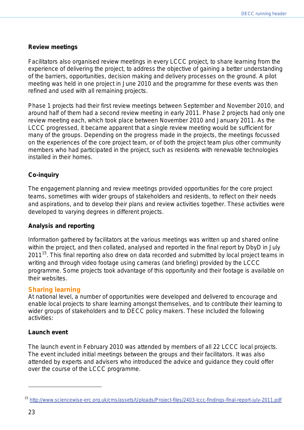#### **Review meetings**

Facilitators also organised review meetings in every LCCC project, to share learning from the experience of delivering the project, to address the objective of gaining a better understanding of the barriers, opportunities, decision making and delivery processes on the ground. A pilot meeting was held in one project in June 2010 and the programme for these events was then refined and used with all remaining projects.

Phase 1 projects had their first review meetings between September and November 2010, and around half of them had a second review meeting in early 2011. Phase 2 projects had only one review meeting each, which took place between November 2010 and January 2011. As the LCCC progressed, it became apparent that a single review meeting would be sufficient for many of the groups. Depending on the progress made in the projects, the meetings focussed on the experiences of the core project team, or of both the project team plus other community members who had participated in the project, such as residents with renewable technologies installed in their homes.

### **Co-inquiry**

The engagement planning and review meetings provided opportunities for the core project teams, sometimes with wider groups of stakeholders and residents, to reflect on their needs and aspirations, and to develop their plans and review activities together. These activities were developed to varying degrees in different projects.

#### **Analysis and reporting**

Information gathered by facilitators at the various meetings was written up and shared online within the project, and then collated, analysed and reported in the final report by DbyD in July 2011<sup>[15](#page-22-1)</sup>. This final reporting also drew on data recorded and submitted by local project teams in writing and through video footage using cameras (and briefing) provided by the LCCC programme. Some projects took advantage of this opportunity and their footage is available on their websites.

#### <span id="page-22-0"></span>**Sharing learning**

At national level, a number of opportunities were developed and delivered to encourage and enable local projects to share learning amongst themselves, and to contribute their learning to wider groups of stakeholders and to DECC policy makers. These included the following activities:

#### **Launch event**

The launch event in February 2010 was attended by members of all 22 LCCC local projects. The event included initial meetings between the groups and their facilitators. It was also attended by experts and advisers who introduced the advice and guidance they could offer over the course of the LCCC programme.

<span id="page-22-1"></span><sup>15</sup> <http://www.sciencewise-erc.org.uk/cms/assets/Uploads/Project-files/2403-lccc-findings-final-report-july-2011.pdf>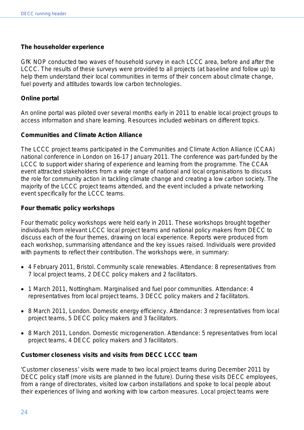#### **The householder experience**

GfK NOP conducted two waves of household survey in each LCCC area, before and after the LCCC. The results of these surveys were provided to all projects (at baseline and follow up) to help them understand their local communities in terms of their concern about climate change, fuel poverty and attitudes towards low carbon technologies.

#### **Online portal**

An online portal was piloted over several months early in 2011 to enable local project groups to access information and share learning. Resources included webinars on different topics.

#### **Communities and Climate Action Alliance**

The LCCC project teams participated in the Communities and Climate Action Alliance (CCAA) national conference in London on 16-17 January 2011. The conference was part-funded by the LCCC to support wider sharing of experience and learning from the programme. The CCAA event attracted stakeholders from a wide range of national and local organisations to discuss the role for community action in tackling climate change and creating a low carbon society. The majority of the LCCC project teams attended, and the event included a private networking event specifically for the LCCC teams.

#### **Four thematic policy workshops**

Four thematic policy workshops were held early in 2011. These workshops brought together individuals from relevant LCCC local project teams and national policy makers from DECC to discuss each of the four themes, drawing on local experience. Reports were produced from each workshop, summarising attendance and the key issues raised. Individuals were provided with payments to reflect their contribution. The workshops were, in summary:

- 4 February 2011, Bristol. Community scale renewables. Attendance: 8 representatives from 7 local project teams, 2 DECC policy makers and 2 facilitators.
- 1 March 2011, Nottingham. Marginalised and fuel poor communities. Attendance: 4 representatives from local project teams, 3 DECC policy makers and 2 facilitators.
- 8 March 2011, London. Domestic energy efficiency. Attendance: 3 representatives from local project teams, 5 DECC policy makers and 3 facilitators.
- 8 March 2011, London. Domestic microgeneration. Attendance: 5 representatives from local project teams, 4 DECC policy makers and 3 facilitators.

#### **Customer closeness visits and visits from DECC LCCC team**

'Customer closeness' visits were made to two local project teams during December 2011 by DECC policy staff (more visits are planned in the future). During these visits DECC employees, from a range of directorates, visited low carbon installations and spoke to local people about their experiences of living and working with low carbon measures. Local project teams were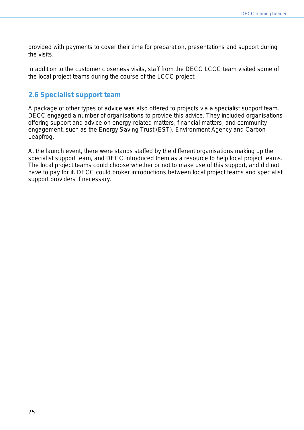provided with payments to cover their time for preparation, presentations and support during the visits.

In addition to the customer closeness visits, staff from the DECC LCCC team visited some of the local project teams during the course of the LCCC project.

## <span id="page-24-0"></span>**2.6 Specialist support team**

A package of other types of advice was also offered to projects via a specialist support team. DECC engaged a number of organisations to provide this advice. They included organisations offering support and advice on energy-related matters, financial matters, and community engagement, such as the Energy Saving Trust (EST), Environment Agency and Carbon Leapfrog.

At the launch event, there were stands staffed by the different organisations making up the specialist support team, and DECC introduced them as a resource to help local project teams. The local project teams could choose whether or not to make use of this support, and did not have to pay for it. DECC could broker introductions between local project teams and specialist support providers if necessary.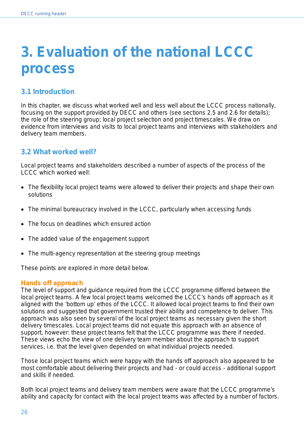# <span id="page-25-0"></span>**3. Evaluation of the national LCCC process**

# <span id="page-25-1"></span>**3.1 Introduction**

In this chapter, we discuss what worked well and less well about the LCCC process nationally, focusing on the support provided by DECC and others (see sections 2.5 and 2.6 for details); the role of the steering group; local project selection and project timescales. We draw on evidence from interviews and visits to local project teams and interviews with stakeholders and delivery team members.

# <span id="page-25-2"></span>**3.2 What worked well?**

Local project teams and stakeholders described a number of aspects of the process of the LCCC which worked well:

- The flexibility local project teams were allowed to deliver their projects and shape their own solutions
- The minimal bureaucracy involved in the LCCC, particularly when accessing funds
- The focus on deadlines which ensured action
- The added value of the engagement support
- The multi-agency representation at the steering group meetings

These points are explored in more detail below.

## <span id="page-25-3"></span>**Hands off approach**

The level of support and guidance required from the LCCC programme differed between the local project teams. A few local project teams welcomed the LCCC's hands off approach as it aligned with the 'bottom up' ethos of the LCCC. It allowed local project teams to find their own solutions and suggested that government trusted their ability and competence to deliver. This approach was also seen by several of the local project teams as necessary given the short delivery timescales. Local project teams did not equate this approach with an absence of support, however: these project teams felt that the LCCC programme was there if needed. These views echo the view of one delivery team member about the approach to support services, i.e. that the level given depended on what individual projects needed.

Those local project teams which were happy with the hands off approach also appeared to be most comfortable about delivering their projects and had - or could access - additional support and skills if needed.

Both local project teams and delivery team members were aware that the LCCC programme's ability and capacity for contact with the local project teams was affected by a number of factors.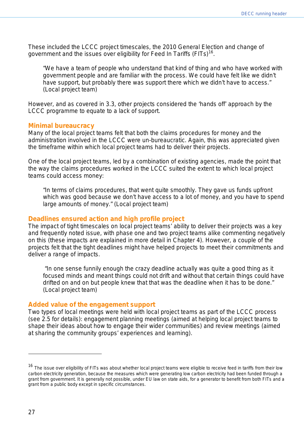These included the LCCC project timescales, the 2010 General Election and change of government and the issues over eligibility for Feed In Tariffs (FITs)<sup>[16](#page-26-3)</sup>.

*"We have a team of people who understand that kind of thing and who have worked with government people and are familiar with the process. We could have felt like we didn't have support, but probably there was support there which we didn't have to access."*  (Local project team)

However, and as covered in 3.3, other projects considered the 'hands off' approach by the LCCC programme to equate to a lack of support.

#### <span id="page-26-0"></span>**Minimal bureaucracy**

Many of the local project teams felt that both the claims procedures for money and the administration involved in the LCCC were un-bureaucratic. Again, this was appreciated given the timeframe within which local project teams had to deliver their projects.

One of the local project teams, led by a combination of existing agencies, made the point that the way the claims procedures worked in the LCCC suited the extent to which local project teams could access money:

*"In terms of claims procedures, that went quite smoothly. They gave us funds upfront which was good because we don't have access to a lot of money, and you have to spend large amounts of money."* (Local project team)

#### <span id="page-26-1"></span>**Deadlines ensured action and high profile project**

The impact of tight timescales on local project teams' ability to deliver their projects was a key and frequently noted issue, with phase one and two project teams alike commenting negatively on this (these impacts are explained in more detail in Chapter 4). However, a couple of the projects felt that the tight deadlines might have helped projects to meet their commitments and deliver a range of impacts.

*"In one sense funnily enough the crazy deadline actually was quite a good thing as it focused minds and meant things could not drift and without that certain things could have drifted on and on but people knew that that was the deadline when it has to be done." (Local project team)*

#### <span id="page-26-2"></span>**Added value of the engagement support**

Two types of local meetings were held with local project teams as part of the LCCC process (see 2.5 for details): engagement planning meetings (aimed at helping local project teams to shape their ideas about how to engage their wider communities) and review meetings (aimed at sharing the community groups' experiences and learning).

l

<span id="page-26-3"></span><sup>&</sup>lt;sup>16</sup> The issue over eligibility of FITs was about whether local project teams were eligible to receive feed in tariffs from their low carbon electricity generation, because the measures which were generating low carbon electricity had been funded through a grant from government. It is generally not possible, under EU law on state aids, for a generator to benefit from both FITs and a grant from a public body except in specific circumstances.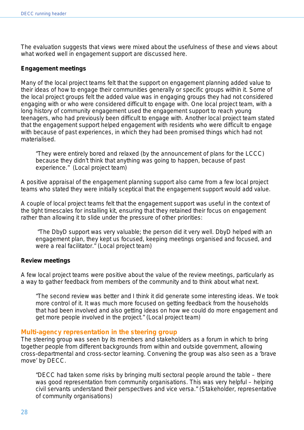The evaluation suggests that views were mixed about the usefulness of these and views about what worked well in engagement support are discussed here.

#### **Engagement meetings**

Many of the local project teams felt that the support on engagement planning added value to their ideas of how to engage their communities generally or specific groups within it. Some of the local project groups felt the added value was in engaging groups they had not considered engaging with or who were considered difficult to engage with. One local project team, with a long history of community engagement used the engagement support to reach young teenagers, who had previously been difficult to engage with. Another local project team stated that the engagement support helped engagement with residents who were difficult to engage with because of past experiences, in which they had been promised things which had not materialised.

*"They were entirely bored and relaxed (by the announcement of plans for the LCCC) because they didn't think that anything was going to happen, because of past experience." (Local project team)*

A positive appraisal of the engagement planning support also came from a few local project teams who stated they were initially sceptical that the engagement support would add value.

A couple of local project teams felt that the engagement support was useful in the context of the tight timescales for installing kit, ensuring that they retained their focus on engagement rather than allowing it to slide under the pressure of other priorities:

*"The DbyD support was very valuable; the person did it very well. DbyD helped with an engagement plan, they kept us focused, keeping meetings organised and focused, and were a real facilitator."* (Local project team)

#### **Review meetings**

A few local project teams were positive about the value of the review meetings, particularly as a way to gather feedback from members of the community and to think about what next.

*"The second review was better and I think it did generate some interesting ideas. We took more control of it. It was much more focused on getting feedback from the households that had been involved and also getting ideas on how we could do more engagement and get more people involved in the project." (Local project team)*

#### <span id="page-27-0"></span>**Multi-agency representation in the steering group**

The steering group was seen by its members and stakeholders as a forum in which to bring together people from different backgrounds from within and outside government, allowing cross-departmental and cross-sector learning. Convening the group was also seen as a 'brave move' by DECC.

*"DECC had taken some risks by bringing multi sectoral people around the table – there was good representation from community organisations. This was very helpful – helping civil servants understand their perspectives and vice versa." (Stakeholder, representative of community organisations)*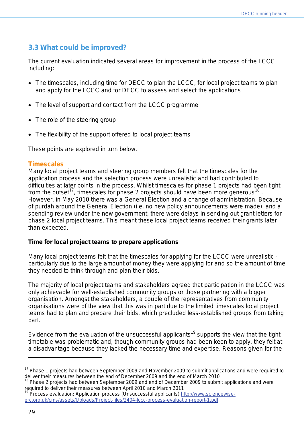## <span id="page-28-0"></span>**3.3 What could be improved?**

The current evaluation indicated several areas for improvement in the process of the LCCC including:

- The timescales, including time for DECC to plan the LCCC, for local project teams to plan and apply for the LCCC and for DECC to assess and select the applications
- The level of support and contact from the LCCC programme
- The role of the steering group
- The flexibility of the support offered to local project teams

These points are explored in turn below.

#### <span id="page-28-1"></span>**Timescales**

Many local project teams and steering group members felt that the timescales for the application process and the selection process were unrealistic and had contributed to difficulties at later points in the process. Whilst timescales for phase 1 projects had been tight from the outset<sup>17</sup>, timescales for phase 2 projects should have been more generous<sup>[18](#page-28-3)</sup>. However, in May 2010 there was a General Election and a change of administration. Because of purdah around the General Election (i.e. no new policy announcements were made), and a spending review under the new government, there were delays in sending out grant letters for phase 2 local project teams. This meant these local project teams received their grants later than expected.

#### **Time for local project teams to prepare applications**

Many local project teams felt that the timescales for applying for the LCCC were unrealistic particularly due to the large amount of money they were applying for and so the amount of time they needed to think through and plan their bids.

The majority of local project teams and stakeholders agreed that participation in the LCCC was only achievable for well-established community groups or those partnering with a bigger organisation. Amongst the stakeholders, a couple of the representatives from community organisations were of the view that this was in part due to the limited timescales local project teams had to plan and prepare their bids, which precluded less-established groups from taking part.

Evidence from the evaluation of the unsuccessful applicants<sup>[19](#page-28-4)</sup> supports the view that the tight timetable was problematic and, though community groups had been keen to apply, they felt at a disadvantage because they lacked the necessary time and expertise. Reasons given for the

<span id="page-28-2"></span><sup>&</sup>lt;sup>17</sup> Phase 1 projects had between September 2009 and November 2009 to submit applications and were required to deliver their measures between the end of December 2009 and the end of March 2010

<span id="page-28-3"></span>Phase 2 projects had between September 2009 and end of December 2009 to submit applications and were required to deliver their measures between April 2010 and March 2011

<span id="page-28-4"></span><sup>19</sup> Process evaluation: Application process (Unsuccessful applicants) [http://www.sciencewise](http://www.sciencewise-erc.org.uk/cms/assets/Uploads/Project-files/2404-lccc-process-evaluation-report-1.pdf)[erc.org.uk/cms/assets/Uploads/Project-files/2404-lccc-process-evaluation-report-1.pdf](http://www.sciencewise-erc.org.uk/cms/assets/Uploads/Project-files/2404-lccc-process-evaluation-report-1.pdf)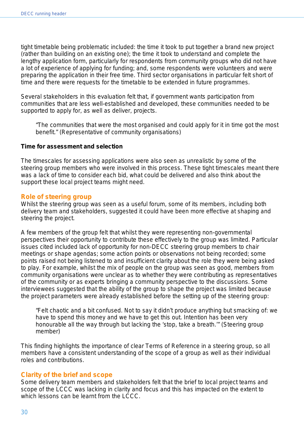tight timetable being problematic included: the time it took to put together a brand new project (rather than building on an existing one); the time it took to understand and complete the lengthy application form, particularly for respondents from community groups who did not have a lot of experience of applying for funding; and, some respondents were volunteers and were preparing the application in their free time. Third sector organisations in particular felt short of time and there were requests for the timetable to be extended in future programmes.

Several stakeholders in this evaluation felt that, if government wants participation from communities that are less well-established and developed, these communities needed to be supported to apply for, as well as deliver, projects.

*"The communities that were the most organised and could apply for it in time got the most benefit." (Representative of community organisations)*

#### **Time for assessment and selection**

The timescales for assessing applications were also seen as unrealistic by some of the steering group members who were involved in this process. These tight timescales meant there was a lack of time to consider each bid, what could be delivered and also think about the support these local project teams might need.

### <span id="page-29-0"></span>**Role of steering group**

Whilst the steering group was seen as a useful forum, some of its members, including both delivery team and stakeholders, suggested it could have been more effective at shaping and steering the project.

A few members of the group felt that whilst they were representing non-governmental perspectives their opportunity to contribute these effectively to the group was limited. Particular issues cited included lack of opportunity for non-DECC steering group members to chair meetings or shape agendas; some action points or observations not being recorded; some points raised not being listened to and insufficient clarity about the role they were being asked to play. For example, whilst the mix of people on the group was seen as good, members from community organisations were unclear as to whether they were contributing as representatives of the community or as experts bringing a community perspective to the discussions. Some interviewees suggested that the ability of the group to shape the project was limited because the project parameters were already established before the setting up of the steering group:

*"Felt chaotic and a bit confused. Not to say it didn't produce anything but smacking of: we have to spend this money and we have to get this out. Intention has been very honourable all the way through but lacking the 'stop, take a breath.'" (Steering group member)*

This finding highlights the importance of clear Terms of Reference in a steering group, so all members have a consistent understanding of the scope of a group as well as their individual roles and contributions.

## <span id="page-29-1"></span>**Clarity of the brief and scope**

Some delivery team members and stakeholders felt that the brief to local project teams and scope of the LCCC was lacking in clarity and focus and this has impacted on the extent to which lessons can be learnt from the LCCC.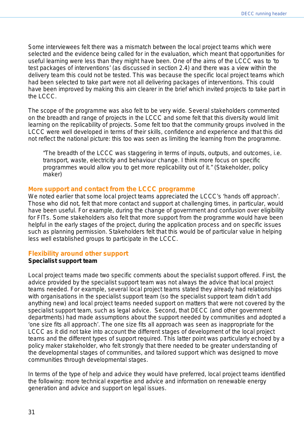Some interviewees felt there was a mismatch between the local project teams which were selected and the evidence being called for in the evaluation, which meant that opportunities for useful learning were less than they might have been. One of the aims of the LCCC was to '*to test packages of interventions'* (as discussed in section 2.4) and there was a view within the delivery team this could not be tested. This was because the specific local project teams which had been selected to take part were not all delivering packages of interventions. This could have been improved by making this aim clearer in the brief which invited projects to take part in the LCCC.

The scope of the programme was also felt to be very wide. Several stakeholders commented on the breadth and range of projects in the LCCC and some felt that this diversity would limit learning on the replicability of projects. Some felt too that the community groups involved in the LCCC were well developed in terms of their skills, confidence and experience and that this did not reflect the national picture: this too was seen as limiting the learning from the programme.

*"The breadth of the LCCC was staggering in terms of inputs, outputs, and outcomes, i.e. transport, waste, electricity and behaviour change. I think more focus on specific programmes would allow you to get more replicability out of it." (Stakeholder, policy maker)*

#### <span id="page-30-0"></span>**More support and contact from the LCCC programme**

We noted earlier that some local project teams appreciated the LCCC's 'hands off approach'. Those who did not, felt that more contact and support at challenging times, in particular, would have been useful. For example, during the change of government and confusion over eligibility for FITs. Some stakeholders also felt that more support from the programme would have been helpful in the early stages of the project, during the application process and on specific issues such as planning permission. Stakeholders felt that this would be of particular value in helping less well established groups to participate in the LCCC.

#### <span id="page-30-1"></span>**Flexibility around other support**

#### **Specialist support team**

Local project teams made two specific comments about the specialist support offered. First, the advice provided by the specialist support team was not always the advice that local project teams needed. For example, several local project teams stated they already had relationships with organisations in the specialist support team (so the specialist support team didn't add anything new) and local project teams needed support on matters that were not covered by the specialist support team, such as legal advice. Second, that DECC (and other government departments) had made assumptions about the support needed by communities and adopted a 'one size fits all approach'. The one size fits all approach was seen as inappropriate for the LCCC as it did not take into account the different stages of development of the local project teams and the different types of support required. This latter point was particularly echoed by a policy maker stakeholder, who felt strongly that there needed to be greater understanding of the developmental stages of communities, and tailored support which was designed to move communities through developmental stages.

In terms of the type of help and advice they would have preferred, local project teams identified the following: more technical expertise and advice and information on renewable energy generation and advice and support on legal issues.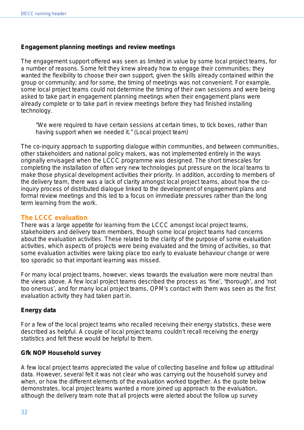#### **Engagement planning meetings and review meetings**

The engagement support offered was seen as limited in value by some local project teams, for a number of reasons. Some felt they knew already how to engage their communities; they wanted the flexibility to choose their own support, given the skills already contained within the group or community; and for some, the timing of meetings was not convenient. For example, some local project teams could not determine the timing of their own sessions and were being asked to take part in engagement planning meetings when their engagement plans were already complete or to take part in review meetings before they had finished installing technology.

*"We were required to have certain sessions at certain times, to tick boxes, rather than having support when we needed it." (Local project team)*

The co-inquiry approach to supporting dialogue within communities, and between communities, other stakeholders and national policy makers, was not implemented entirely in the ways originally envisaged when the LCCC programme was designed. The short timescales for completing the installation of often very new technologies put pressure on the local teams to make those physical development activities their priority. In addition, according to members of the delivery team, there was a lack of clarity amongst local project teams, about how the coinquiry process of distributed dialogue linked to the development of engagement plans and formal review meetings and this led to a focus on immediate pressures rather than the long term learning from the work.

### <span id="page-31-0"></span>**The LCCC evaluation**

There was a large appetite for learning from the LCCC amongst local project teams, stakeholders and delivery team members, though some local project teams had concerns about the evaluation activities. These related to the clarity of the purpose of some evaluation activities, which aspects of projects were being evaluated and the timing of activities, so that some evaluation activities were taking place too early to evaluate behaviour change or were too sporadic so that important learning was missed.

For many local project teams, however, views towards the evaluation were more neutral than the views above. A few local project teams described the process as 'fine', 'thorough', and 'not too onerous', and for many local project teams, OPM's contact with them was seen as the first evaluation activity they had taken part in.

#### **Energy data**

For a few of the local project teams who recalled receiving their energy statistics, these were described as helpful. A couple of local project teams couldn't recall receiving the energy statistics and felt these would be helpful to them.

#### **Gfk NOP Household survey**

A few local project teams appreciated the value of collecting baseline and follow up attitudinal data. However, several felt it was not clear who was carrying out the household survey and when, or how the different elements of the evaluation worked together. As the quote below demonstrates, local project teams wanted a more joined up approach to the evaluation, although the delivery team note that all projects were alerted about the follow up survey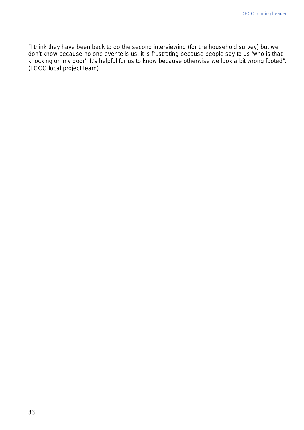*"I think they have been back to do the second interviewing (for the household survey) but we don't know because no one ever tells us, it is frustrating because people say to us 'who is that knocking on my door'. It's helpful for us to know because otherwise we look a bit wrong footed".*  (LCCC local project team)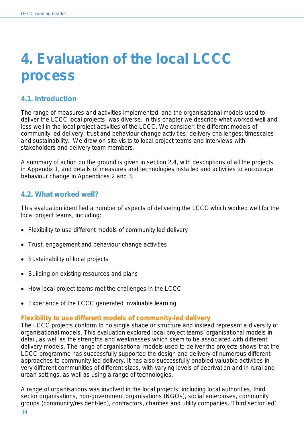# <span id="page-33-0"></span>**4. Evaluation of the local LCCC process**

# <span id="page-33-1"></span>**4.1. Introduction**

The range of measures and activities implemented, and the organisational models used to deliver the LCCC local projects, was diverse. In this chapter we describe what worked well and less well in the local project activities of the LCCC. We consider: the different models of community led delivery; trust and behaviour change activities; delivery challenges; timescales and sustainability. We draw on site visits to local project teams and interviews with stakeholders and delivery team members.

A summary of action on the ground is given in section 2.4, with descriptions of all the projects in Appendix 1, and details of measures and technologies installed and activities to encourage behaviour change in Appendices 2 and 3.

## <span id="page-33-2"></span>**4.2. What worked well?**

This evaluation identified a number of aspects of delivering the LCCC which worked well for the local project teams, including:

- Flexibility to use different models of community led delivery
- Trust, engagement and behaviour change activities
- Sustainability of local projects
- Building on existing resources and plans
- How local project teams met the challenges in the LCCC
- Experience of the LCCC generated invaluable learning

## <span id="page-33-3"></span>**Flexibility to use different models of community-led delivery**

The LCCC projects conform to no single shape or structure and instead represent a diversity of organisational models. This evaluation explored local project teams' organisational models in detail, as well as the strengths and weaknesses which seem to be associated with different delivery models. The range of organisational models used to deliver the projects shows that the LCCC programme has successfully supported the design and delivery of numerous different approaches to community led delivery. It has also successfully enabled valuable activities in very different communities of different sizes, with varying levels of deprivation and in rural and urban settings, as well as using a range of technologies.

A range of organisations was involved in the local projects, including local authorities, third sector organisations, non-government organisations (NGOs), social enterprises, community groups (community/resident-led), contractors, charities and utility companies. 'Third sector led'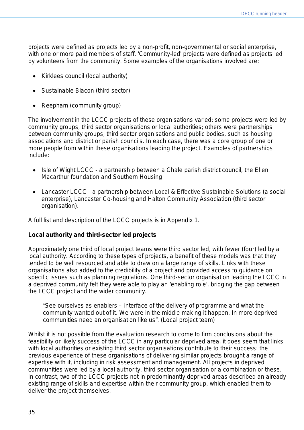projects were defined as projects led by a non-profit, non-governmental or social enterprise, with one or more paid members of staff. 'Community-led' projects were defined as projects led by volunteers from the community. Some examples of the organisations involved are:

- Kirklees council (local authority)
- Sustainable Blacon (third sector)
- Reepham (community group)

The involvement in the LCCC projects of these organisations varied: some projects were led by community groups, third sector organisations or local authorities; others were partnerships between community groups, third sector organisations and public bodies, such as housing associations and district or parish councils. In each case, there was a core group of one or more people from within these organisations leading the project. Examples of partnerships include:

- Isle of Wight LCCC a partnership between a Chale parish district council, the Ellen Macarthur foundation and Southern Housing
- Lancaster LCCC a partnership between Local & Effective Sustainable Solutions (a social enterprise), Lancaster Co-housing and Halton Community Association (third sector organisation).

A full list and description of the LCCC projects is in Appendix 1.

#### **Local authority and third-sector led projects**

Approximately one third of local project teams were third sector led, with fewer (four) led by a local authority. According to these types of projects, a benefit of these models was that they tended to be well resourced and able to draw on a large range of skills. Links with these organisations also added to the credibility of a project and provided access to guidance on specific issues such as planning regulations. One third-sector organisation leading the LCCC in a deprived community felt they were able to play an 'enabling role', bridging the gap between the LCCC project and the wider community.

*"See ourselves as enablers – interface of the delivery of programme and what the community wanted out of it. We were in the middle making it happen. In more deprived communities need an organisation like us". (Local project team)* 

Whilst it is not possible from the evaluation research to come to firm conclusions about the feasibility or likely success of the LCCC in any particular deprived area, it does seem that links with local authorities or existing third sector organisations contribute to their success: the previous experience of these organisations of delivering similar projects brought a range of expertise with it, including in risk assessment and management. All projects in deprived communities were led by a local authority, third sector organisation or a combination or these. In contrast, two of the LCCC projects not in predominantly deprived areas described an already existing range of skills and expertise within their community group, which enabled them to deliver the project themselves.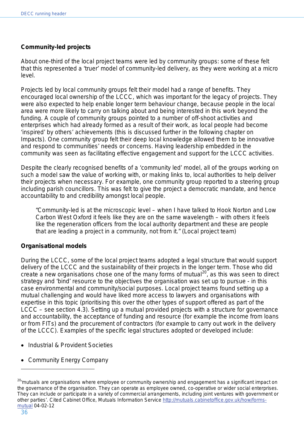## **Community-led projects**

About one-third of the local project teams were led by community groups: some of these felt that this represented a 'truer' model of community-led delivery, as they were working at a micro level.

Projects led by local community groups felt their model had a range of benefits. They encouraged local ownership of the LCCC, which was important for the legacy of projects. They were also expected to help enable longer term behaviour change, because people in the local area were more likely to carry on talking about and being interested in this work beyond the funding. A couple of community groups pointed to a number of off-shoot activities and enterprises which had already formed as a result of their work, as local people had become 'inspired' by others' achievements (this is discussed further in the following chapter on Impacts). One community group felt their deep local knowledge allowed them to be innovative and respond to communities' needs or concerns. Having leadership embedded in the community was seen as facilitating effective engagement and support for the LCCC activities.

Despite the clearly recognised benefits of a 'community led' model, all of the groups working on such a model saw the value of working with, or making links to, local authorities to help deliver their projects when necessary. For example, one community group reported to a steering group including parish councillors. This was felt to give the project a democratic mandate, and hence accountability to and credibility amongst local people.

*"Community-led is at the microscopic level – when I have talked to Hook Norton and Low Carbon West Oxford it feels like they are on the same wavelength – with others it feels like the regeneration officers from the local authority department and these are people that are leading a project in a community, not from it." (Local project team)* 

#### **Organisational models**

During the LCCC, some of the local project teams adopted a legal structure that would support delivery of the LCCC and the sustainability of their projects in the longer term. Those who did create a new organisations chose one of the many forms of mutual<sup>[20](#page-35-0)</sup>, as this was seen to direct strategy and 'bind' resource to the objectives the organisation was set up to pursue - in this case environmental and community/social purposes. Local project teams found setting up a mutual challenging and would have liked more access to lawyers and organisations with expertise in this topic (prioritising this over the other types of support offered as part of the LCCC – see section 4.3). Setting up a mutual provided projects with a structure for governance and accountability, the acceptance of funding and resource (for example the income from loans or from FITs) and the procurement of contractors (for example to carry out work in the delivery of the LCCC). Examples of the specific legal structures adopted or developed include:

- Industrial & Provident Societies
- Community Energy Company

<span id="page-35-0"></span><sup>20</sup>*'mutuals are organisations where employee or community ownership and engagement has a significant impact on the governance of the organisation. They can operate as employee owned, co-operative or wider social enterprises. They can include or participate in a variety of commercial arrangements, including joint ventures with government or other parties'*. Cited Cabinet Office, Mutuals Information Service [http://mutuals.cabinetoffice.gov.uk/how/forms](http://mutuals.cabinetoffice.gov.uk/how/forms-mutual)[mutual](http://mutuals.cabinetoffice.gov.uk/how/forms-mutual) 04-02-12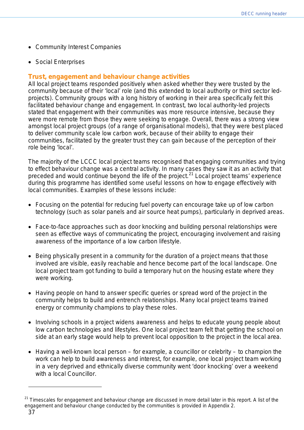- Community Interest Companies
- Social Enterprises

#### **Trust, engagement and behaviour change activities**

All local project teams responded positively when asked whether they were trusted by the community because of their 'local' role (and this extended to local authority or third sector ledprojects). Community groups with a long history of working in their area specifically felt this facilitated behaviour change and engagement. In contrast, two local authority-led projects stated that engagement with their communities was more resource intensive, because they were more remote from those they were seeking to engage. Overall, there was a strong view amongst local project groups (of a range of organisational models), that they were best placed to deliver community scale low carbon work, because of their ability to engage their communities, facilitated by the greater trust they can gain because of the perception of their role being 'local'.

The majority of the LCCC local project teams recognised that engaging communities and trying to effect behaviour change was a central activity. In many cases they saw it as an activity that preceded and would continue beyond the life of the project.<sup>[21](#page-36-0)</sup> Local project teams' experience during this programme has identified some useful lessons on how to engage effectively with local communities. Examples of these lessons include:

- Focusing on the potential for reducing fuel poverty can encourage take up of low carbon technology (such as solar panels and air source heat pumps), particularly in deprived areas.
- Face-to-face approaches such as door knocking and building personal relationships were seen as effective ways of communicating the project, encouraging involvement and raising awareness of the importance of a low carbon lifestyle.
- Being physically present in a community for the duration of a project means that those involved are visible, easily reachable and hence become part of the local landscape. One local project team got funding to build a temporary hut on the housing estate where they were working.
- Having people on hand to answer specific queries or spread word of the project in the community helps to build and entrench relationships. Many local project teams trained energy or community champions to play these roles.
- Involving schools in a project widens awareness and helps to educate young people about low carbon technologies and lifestyles. One local project team felt that getting the school on side at an early stage would help to prevent local opposition to the project in the local area.
- Having a well-known local person for example, a councillor or celebrity to champion the work can help to build awareness and interest, for example, one local project team working in a very deprived and ethnically diverse community went 'door knocking' over a weekend with a local Councillor.

 $\overline{a}$ 

<span id="page-36-0"></span><sup>21</sup> Timescales for engagement and behaviour change are discussed in more detail later in this report. A list of the engagement and behaviour change conducted by the communities is provided in Appendix 2.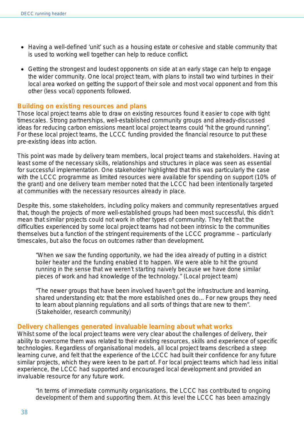- Having a well-defined 'unit' such as a housing estate or cohesive and stable community that is used to working well together can help to reduce conflict.
- Getting the strongest and loudest opponents on side at an early stage can help to engage the wider community. One local project team, with plans to install two wind turbines in their local area worked on getting the support of their sole and most vocal opponent and from this other (less vocal) opponents followed.

#### **Building on existing resources and plans**

Those local project teams able to draw on existing resources found it easier to cope with tight timescales. Strong partnerships, well-established community groups and already-discussed ideas for reducing carbon emissions meant local project teams could "hit the ground running". For these local project teams, the LCCC funding provided the financial resource to put these pre-existing ideas into action.

This point was made by delivery team members, local project teams and stakeholders. Having at least some of the necessary skills, relationships and structures in place was seen as essential for successful implementation. One stakeholder highlighted that this was particularly the case with the LCCC programme as limited resources were available for spending on support (10% of the grant) and one delivery team member noted that the LCCC had been intentionally targeted at communities with the necessary resources already in place.

Despite this, some stakeholders, including policy makers and community representatives argued that, though the projects of more well-established groups had been most successful, this didn't mean that similar projects could not work in other types of community. They felt that the difficulties experienced by some local project teams had not been intrinsic to the communities themselves but a function of the stringent requirements of the LCCC programme – particularly timescales, but also the focus on outcomes rather than development.

*"When we saw the funding opportunity, we had the idea already of putting in a district boiler heater and the funding enabled it to happen. We were able to hit the ground running in the sense that we weren't starting naively because we have done similar pieces of work and had knowledge of the technology." (Local project team)*

*"The newer groups that have been involved haven't got the infrastructure and learning, shared understanding etc that the more established ones do... For new groups they need to learn about planning regulations and all sorts of things that are new to them". (Stakeholder, research community)*

#### **Delivery challenges generated invaluable learning about what works**

Whilst some of the local project teams were very clear about the challenges of delivery, their ability to overcome them was related to their existing resources, skills and experience of specific technologies. Regardless of organisational models, all local project teams described a steep learning curve, and felt that the experience of the LCCC had built their confidence for any future similar projects, which they were keen to be part of. For local project teams which had less initial experience, the LCCC had supported and encouraged local development and provided an invaluable resource for any future work.

*"In terms of immediate community organisations, the LCCC has contributed to ongoing development of them and supporting them. At this level the LCCC has been amazingly*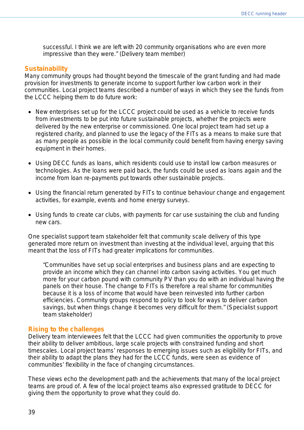*successful. I think we are left with 20 community organisations who are even more impressive than they were." (Delivery team member)* 

#### **Sustainability**

Many community groups had thought beyond the timescale of the grant funding and had made provision for investments to generate income to support further low carbon work in their communities. Local project teams described a number of ways in which they see the funds from the LCCC helping them to do future work:

- New enterprises set up for the LCCC project could be used as a vehicle to receive funds from investments to be put into future sustainable projects, whether the projects were delivered by the new enterprise or commissioned. One local project team had set up a registered charity, and planned to use the legacy of the FITs as a means to make sure that as many people as possible in the local community could benefit from having energy saving equipment in their homes.
- Using DECC funds as loans, which residents could use to install low carbon measures or technologies. As the loans were paid back, the funds could be used as loans again and the income from loan re-payments put towards other sustainable projects.
- Using the financial return generated by FITs to continue behaviour change and engagement activities, for example, events and home energy surveys.
- Using funds to create car clubs, with payments for car use sustaining the club and funding new cars.

One specialist support team stakeholder felt that community scale delivery of this type generated more return on investment than investing at the individual level, arguing that this meant that the loss of FITs had greater implications for communities.

*"Communities have set up social enterprises and business plans and are expecting to provide an income which they can channel into carbon saving activities. You get much more for your carbon pound with community PV than you do with an individual having the panels on their house. The change to FITs is therefore a real shame for communities because it is a loss of income that would have been reinvested into further carbon efficiencies. Community groups respond to policy to look for ways to deliver carbon savings, but when things change it becomes very difficult for them." (Specialist support team stakeholder)*

#### **Rising to the challenges**

Delivery team interviewees felt that the LCCC had given communities the opportunity to prove their ability to deliver ambitious, large scale projects with constrained funding and short timescales. Local project teams' responses to emerging issues such as eligibility for FITs, and their ability to adapt the plans they had for the LCCC funds, were seen as evidence of communities' flexibility in the face of changing circumstances.

These views echo the development path and the achievements that many of the local project teams are proud of. A few of the local project teams also expressed gratitude to DECC for giving them the opportunity to prove what they could do.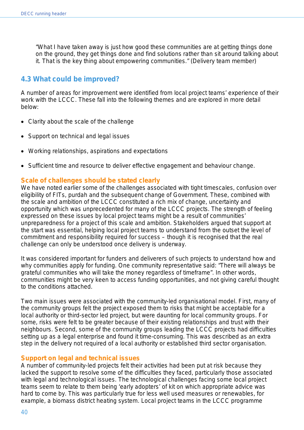*"What I have taken away is just how good these communities are at getting things done on the ground, they get things done and find solutions rather than sit around talking about it. That is the key thing about empowering communities." (Delivery team member)*

## **4.3 What could be improved?**

A number of areas for improvement were identified from local project teams' experience of their work with the LCCC. These fall into the following themes and are explored in more detail below:

- Clarity about the scale of the challenge
- Support on technical and legal issues
- Working relationships, aspirations and expectations
- Sufficient time and resource to deliver effective engagement and behaviour change.

#### **Scale of challenges should be stated clearly**

We have noted earlier some of the challenges associated with tight timescales, confusion over eligibility of FITs, purdah and the subsequent change of Government. These, combined with the scale and ambition of the LCCC constituted a rich mix of change, uncertainty and opportunity which was unprecedented for many of the LCCC projects. The strength of feeling expressed on these issues by local project teams might be a result of communities' unpreparedness for a project of this scale and ambition. Stakeholders argued that support at the start was essential, helping local project teams to understand from the outset the level of commitment and responsibility required for success – though it is recognised that the real challenge can only be understood once delivery is underway.

It was considered important for funders and deliverers of such projects to understand how and why communities apply for funding. One community representative said: *"There will always be grateful communities who will take the money regardless of timeframe".* In other words, communities might be very keen to access funding opportunities, and not giving careful thought to the conditions attached.

Two main issues were associated with the community-led organisational model. First, many of the community groups felt the project exposed them to risks that might be acceptable for a local authority or third-sector led project, but were daunting for local community groups. For some, risks were felt to be greater because of their existing relationships and trust with their neighbours. Second, some of the community groups leading the LCCC projects had difficulties setting up as a legal enterprise and found it time-consuming. This was described as an extra step in the delivery not required of a local authority or established third sector organisation.

#### **Support on legal and technical issues**

A number of community-led projects felt their activities had been put at risk because they lacked the support to resolve some of the difficulties they faced, particularly those associated with legal and technological issues. The technological challenges facing some local project teams seem to relate to them being 'early adopters' of kit on which appropriate advice was hard to come by. This was particularly true for less well used measures or renewables, for example, a biomass district heating system. Local project teams in the LCCC programme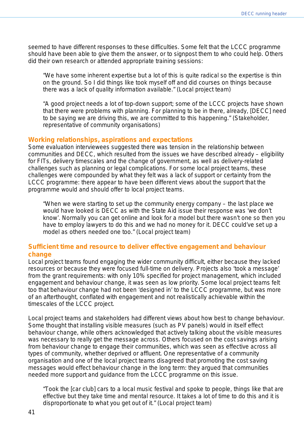seemed to have different responses to these difficulties. Some felt that the LCCC programme should have been able to give them the answer, or to signpost them to who could help. Others did their own research or attended appropriate training sessions:

*"We have some inherent expertise but a lot of this is quite radical so the expertise is thin on the ground. So I did things like took myself off and did courses on things because there was a lack of quality information available."* (Local project team)

*"A good project needs a lot of top-down support; some of the LCCC projects have shown that there were problems with planning. For planning to be in there, already, [DECC] need to be saying we are driving this, we are committed to this happening."* (Stakeholder, representative of community organisations)

#### **Working relationships, aspirations and expectations**

Some evaluation interviewees suggested there was tension in the relationship between communities and DECC, which resulted from the issues we have described already – eligibility for FITs, delivery timescales and the change of government, as well as delivery-related challenges such as planning or legal complications. For some local project teams, these challenges were compounded by what they felt was a lack of support or certainty from the LCCC programme: there appear to have been different views about the support that the programme would and should offer to local project teams.

*"When we were starting to set up the community energy company – the last place we would have looked is DECC as with the State Aid issue their response was 'we don't know'. Normally you can get online and look for a model but there wasn't one so then you have to employ lawyers to do this and we had no money for it. DECC could've set up a model as others needed one too."* (Local project team)

#### **Sufficient time and resource to deliver effective engagement and behaviour change**

Local project teams found engaging the wider community difficult, either because they lacked resources or because they were focused full-time on delivery. Projects also 'took a message' from the grant requirements: with only 10% specified for project management, which included engagement and behaviour change, it was seen as low priority. Some local project teams felt too that behaviour change had not been 'designed in' to the LCCC programme, but was more of an afterthought, conflated with engagement and not realistically achievable within the timescales of the LCCC project.

Local project teams and stakeholders had different views about how best to change behaviour. Some thought that installing visible measures (such as PV panels) would in itself effect behaviour change, while others acknowledged that actively talking about the visible measures was necessary to really get the message across. Others focused on the cost savings arising from behaviour change to engage their communities, which was seen as effective across all types of community, whether deprived or affluent. One representative of a community organisation and one of the local project teams disagreed that promoting the cost saving messages would effect behaviour change in the long term: they argued that communities needed more support and guidance from the LCCC programme on this issue.

*"Took the [car club] cars to a local music festival and spoke to people, things like that are effective but they take time and mental resource. It takes a lot of time to do this and it is disproportionate to what you get out of it."* (Local project team)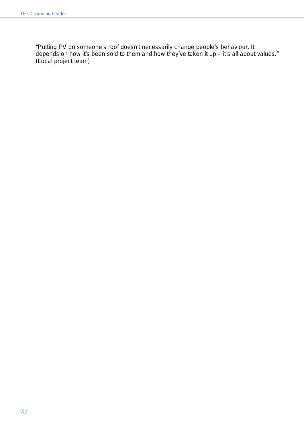*"Putting PV on someone's roof doesn't necessarily change people's behaviour. It depends on how it's been sold to them and how they've taken it up – it's all about values."*  (Local project team)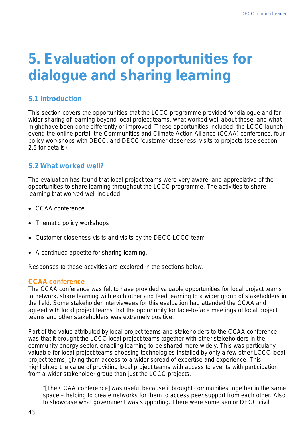# **5. Evaluation of opportunities for dialogue and sharing learning**

## **5.1 Introduction**

This section covers the opportunities that the LCCC programme provided for dialogue and for wider sharing of learning beyond local project teams, what worked well about these, and what might have been done differently or improved. These opportunities included: the LCCC launch event, the online portal, the Communities and Climate Action Alliance (CCAA) conference, four policy workshops with DECC, and DECC 'customer closeness' visits to projects (see section 2.5 for details).

## **5.2 What worked well?**

The evaluation has found that local project teams were very aware, and appreciative of the opportunities to share learning throughout the LCCC programme. The activities to share learning that worked well included:

- CCAA conference
- Thematic policy workshops
- Customer closeness visits and visits by the DECC LCCC team
- A continued appetite for sharing learning.

Responses to these activities are explored in the sections below.

#### **CCAA conference**

The CCAA conference was felt to have provided valuable opportunities for local project teams to network, share learning with each other and feed learning to a wider group of stakeholders in the field. Some stakeholder interviewees for this evaluation had attended the CCAA and agreed with local project teams that the opportunity for face-to-face meetings of local project teams and other stakeholders was extremely positive.

Part of the value attributed by local project teams and stakeholders to the CCAA conference was that it brought the LCCC local project teams together with other stakeholders in the community energy sector, enabling learning to be shared more widely. This was particularly valuable for local project teams choosing technologies installed by only a few other LCCC local project teams, giving them access to a wider spread of expertise and experience. This highlighted the value of providing local project teams with access to events with participation from a wider stakeholder group than just the LCCC projects.

*"[The CCAA conference] was useful because it brought communities together in the same space – helping to create networks for them to access peer support from each other. Also to showcase what government was supporting. There were some senior DECC civil*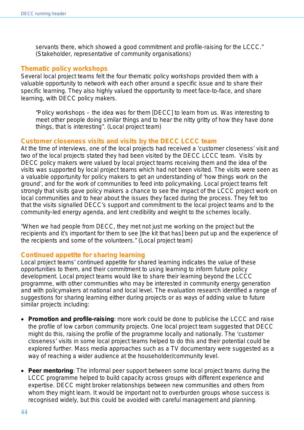*servants there, which showed a good commitment and profile-raising for the LCCC."* (Stakeholder, representative of community organisations)

#### **Thematic policy workshops**

Several local project teams felt the four thematic policy workshops provided them with a valuable opportunity to network with each other around a specific issue and to share their specific learning. They also highly valued the opportunity to meet face-to-face, and share learning, with DECC policy makers.

*"Policy workshops – the idea was for them* [DECC] *to learn from us. Was interesting to meet other people doing similar things and to hear the nitty gritty of how they have done things, that is interesting".* (Local project team)

#### **Customer closeness visits and visits by the DECC LCCC team**

At the time of interviews, one of the local projects had received a 'customer closeness' visit and two of the local projects stated they had been visited by the DECC LCCC team. Visits by DECC policy makers were valued by local project teams receiving them and the idea of the visits was supported by local project teams which had not been visited. The visits were seen as a valuable opportunity for policy makers to get an understanding of 'how things work on the ground', and for the work of communities to feed into policymaking. Local project teams felt strongly that visits gave policy makers a chance to see the impact of the LCCC project work on local communities and to hear about the issues they faced during the process. They felt too that the visits signalled DECC's support and commitment to the local project teams and to the community-led energy agenda, and lent credibility and weight to the schemes locally.

*"When we had people from DECC, they met not just me working on the project but the recipients and it's important for them to see [the kit that has] been put up and the experience of the recipients and some of the volunteers."* (Local project team)

#### **Continued appetite for sharing learning**

Local project teams' continued appetite for shared learning indicates the value of these opportunities to them, and their commitment to using learning to inform future policy development. Local project teams would like to share their learning beyond the LCCC programme, with other communities who may be interested in community energy generation and with policymakers at national and local level. The evaluation research identified a range of suggestions for sharing learning either during projects or as ways of adding value to future similar projects including:

- **Promotion and profile-raising**: more work could be done to publicise the LCCC and raise the profile of low carbon community projects. One local project team suggested that DECC might do this, raising the profile of the programme locally and nationally. The 'customer closeness' visits in some local project teams helped to do this and their potential could be explored further. Mass media approaches such as a TV documentary were suggested as a way of reaching a wider audience at the householder/community level.
- **Peer mentoring**: The informal peer support between some local project teams during the LCCC programme helped to build capacity across groups with different experience and expertise. DECC might broker relationships between new communities and others from whom they might learn. It would be important not to overburden groups whose success is recognised widely, but this could be avoided with careful management and planning.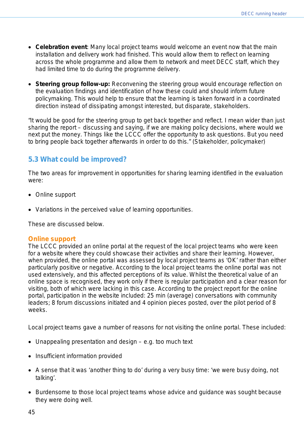- **Celebration event**: Many local project teams would welcome an event now that the main installation and delivery work had finished. This would allow them to reflect on learning across the whole programme and allow them to network and meet DECC staff, which they had limited time to do during the programme delivery.
- **Steering group follow-up:** Reconvening the steering group would encourage reflection on the evaluation findings and identification of how these could and should inform future policymaking. This would help to ensure that the learning is taken forward in a coordinated direction instead of dissipating amongst interested, but disparate, stakeholders.

*"It would be good for the steering group to get back together and reflect. I mean wider than just sharing the report – discussing and saying, if we are making policy decisions, where would we next put the money. Things like the LCCC offer the opportunity to ask questions. But you need to bring people back together afterwards in order to do this*." (Stakeholder, policymaker)

## **5.3 What could be improved?**

The two areas for improvement in opportunities for sharing learning identified in the evaluation were:

- Online support
- Variations in the perceived value of learning opportunities.

These are discussed below.

#### **Online support**

The LCCC provided an online portal at the request of the local project teams who were keen for a website where they could showcase their activities and share their learning. However, when provided, the online portal was assessed by local project teams as 'OK' rather than either particularly positive or negative. According to the local project teams the online portal was not used extensively, and this affected perceptions of its value. Whilst the theoretical value of an online space is recognised, they work only if there is regular participation and a clear reason for visiting, both of which were lacking in this case. According to the project report for the online portal, participation in the website included: 25 min (average) conversations with community leaders; 8 forum discussions initiated and 4 opinion pieces posted, over the pilot period of 8 weeks.

Local project teams gave a number of reasons for not visiting the online portal. These included:

- Unappealing presentation and design e.g. too much text
- Insufficient information provided
- A sense that it was 'another thing to do' during a very busy time: 'we were busy doing, not talking'.
- Burdensome to those local project teams whose advice and guidance was sought because they were doing well.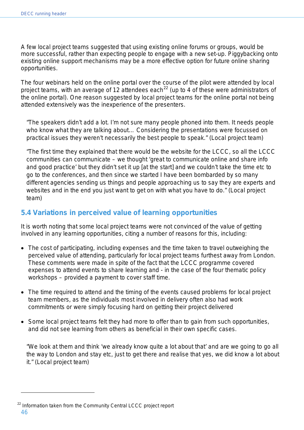A few local project teams suggested that using existing online forums or groups, would be more successful, rather than expecting people to engage with a new set-up. Piggybacking onto existing online support mechanisms may be a more effective option for future online sharing opportunities.

The four webinars held on the online portal over the course of the pilot were attended by local project teams, with an average of 12 attendees each<sup>[22](#page-45-0)</sup> (up to 4 of these were administrators of the online portal). One reason suggested by local project teams for the online portal not being attended extensively was the inexperience of the presenters.

*"The speakers didn't add a lot. I'm not sure many people phoned into them. It needs people who know what they are talking about… Considering the presentations were focussed on practical issues they weren't necessarily the best people to speak." (Local project team)*

*"The first time they explained that there would be the website for the LCCC, so all the LCCC communities can communicate – we thought 'great to communicate online and share info and good practice' but they didn't set it up [at the start] and we couldn't take the time etc to go to the conferences, and then since we started I have been bombarded by so many different agencies sending us things and people approaching us to say they are experts and websites and in the end you just want to get on with what you have to do." (Local project team)*

## **5.4 Variations in perceived value of learning opportunities**

It is worth noting that some local project teams were not convinced of the value of getting involved in any learning opportunities, citing a number of reasons for this, including:

- The cost of participating, including expenses and the time taken to travel outweighing the perceived value of attending, particularly for local project teams furthest away from London. These comments were made in spite of the fact that the LCCC programme covered expenses to attend events to share learning and - in the case of the four thematic policy workshops – provided a payment to cover staff time.
- The time required to attend and the timing of the events caused problems for local project team members, as the individuals most involved in delivery often also had work commitments or were simply focusing hard on getting their project delivered
- Some local project teams felt they had more to offer than to gain from such opportunities, and did not see learning from others as beneficial in their own specific cases.

*"We look at them and think 'we already know quite a lot about that' and are we going to go all the way to London and stay etc, just to get there and realise that yes, we did know a lot about it." (Local project team)*

 $\overline{a}$ 

<span id="page-45-0"></span><sup>46</sup> <sup>22</sup> Information taken from the Community Central LCCC project report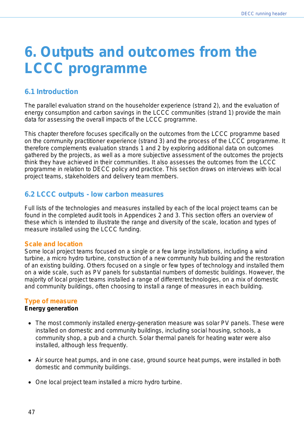## **6. Outputs and outcomes from the LCCC programme**

## **6.1 Introduction**

The parallel evaluation strand on the householder experience (strand 2), and the evaluation of energy consumption and carbon savings in the LCCC communities (strand 1) provide the main data for assessing the overall impacts of the LCCC programme.

This chapter therefore focuses specifically on the outcomes from the LCCC programme based on the community practitioner experience (strand 3) and the process of the LCCC programme. It therefore complements evaluation strands 1 and 2 by exploring additional data on outcomes gathered by the projects, as well as a more subjective assessment of the outcomes the projects think they have achieved in their communities. It also assesses the outcomes from the LCCC programme in relation to DECC policy and practice. This section draws on interviews with local project teams, stakeholders and delivery team members.

## **6.2 LCCC outputs - low carbon measures**

Full lists of the technologies and measures installed by each of the local project teams can be found in the completed audit tools in Appendices 2 and 3. This section offers an overview of these which is intended to illustrate the range and diversity of the scale, location and types of measure installed using the LCCC funding.

#### **Scale and location**

Some local project teams focused on a single or a few large installations, including a wind turbine, a micro hydro turbine, construction of a new community hub building and the restoration of an existing building. Others focused on a single or few types of technology and installed them on a wide scale, such as PV panels for substantial numbers of domestic buildings. However, the majority of local project teams installed a range of different technologies, on a mix of domestic and community buildings, often choosing to install a range of measures in each building.

#### **Type of measure**

#### **Energy generation**

- The most commonly installed energy-generation measure was solar PV panels. These were installed on domestic and community buildings, including social housing, schools, a community shop, a pub and a church. Solar thermal panels for heating water were also installed, although less frequently.
- Air source heat pumps, and in one case, ground source heat pumps, were installed in both domestic and community buildings.
- One local project team installed a micro hydro turbine.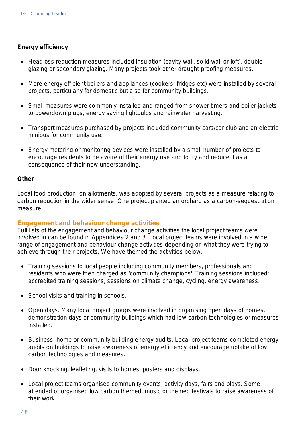#### **Energy efficiency**

- Heat-loss reduction measures included insulation (cavity wall, solid wall or loft), double glazing or secondary glazing. Many projects took other draught-proofing measures.
- More energy efficient boilers and appliances (cookers, fridges etc) were installed by several projects, particularly for domestic but also for community buildings.
- Small measures were commonly installed and ranged from shower timers and boiler jackets to powerdown plugs, energy saving lightbulbs and rainwater harvesting.
- Transport measures purchased by projects included community cars/car club and an electric minibus for community use.
- Energy metering or monitoring devices were installed by a small number of projects to encourage residents to be aware of their energy use and to try and reduce it as a consequence of their new understanding.

#### **Other**

Local food production, on allotments, was adopted by several projects as a measure relating to carbon reduction in the wider sense. One project planted an orchard as a carbon-sequestration measure.

#### **Engagement and behaviour change activities**

Full lists of the engagement and behaviour change activities the local project teams were involved in can be found in Appendices 2 and 3. Local project teams were involved in a wide range of engagement and behaviour change activities depending on what they were trying to achieve through their projects. We have themed the activities below:

- Training sessions to local people including community members, professionals and residents who were then charged as 'community champions'. Training sessions included: accredited training sessions, sessions on climate change, cycling, energy awareness.
- School visits and training in schools.
- Open days. Many local project groups were involved in organising open days of homes, demonstration days or community buildings which had low-carbon technologies or measures installed.
- Business, home or community building energy audits. Local project teams completed energy audits on buildings to raise awareness of energy efficiency and encourage uptake of low carbon technologies and measures.
- Door knocking, leafleting, visits to homes, posters and displays.
- Local project teams organised community events, activity days, fairs and plays. Some attended or organised low carbon themed, music or themed festivals to raise awareness of their work.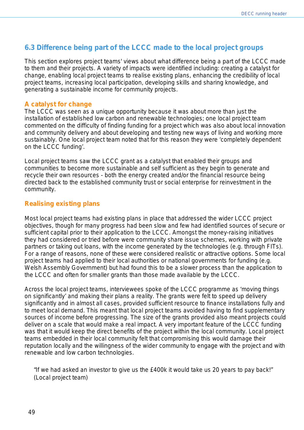## **6.3 Difference being part of the LCCC made to the local project groups**

This section explores project teams' views about what difference being a part of the LCCC made to them and their projects. A variety of impacts were identified including: creating a catalyst for change, enabling local project teams to realise existing plans, enhancing the credibility of local project teams, increasing local participation, developing skills and sharing knowledge, and generating a sustainable income for community projects.

#### **A catalyst for change**

The LCCC was seen as a unique opportunity because it was about more than just the installation of established low carbon and renewable technologies; one local project team commented on the difficulty of finding funding for a project which was also about local innovation and community delivery and about developing and testing new ways of living and working more sustainably. One local project team noted that for this reason they were *'completely dependent on the LCCC funding'.*

Local project teams saw the LCCC grant as a catalyst that enabled their groups and communities to become more sustainable and self sufficient as they begin to generate and recycle their own resources - both the energy created and/or the financial resource being directed back to the established community trust or social enterprise for reinvestment in the community.

### **Realising existing plans**

Most local project teams had existing plans in place that addressed the wider LCCC project objectives, though for many progress had been slow and few had identified sources of secure or sufficient capital prior to their application to the LCCC. Amongst the money-raising initiatives they had considered or tried before were community share issue schemes, working with private partners or taking out loans, with the income generated by the technologies (e.g. through FITs). For a range of reasons, none of these were considered realistic or attractive options. Some local project teams had applied to their local authorities or national governments for funding (e.g. Welsh Assembly Government) but had found this to be a slower process than the application to the LCCC and often for smaller grants than those made available by the LCCC.

Across the local project teams, interviewees spoke of the LCCC programme as *'moving things on significantly'* and making their plans a reality. The grants were felt to speed up delivery significantly and in almost all cases, provided sufficient resource to finance installations fully and to meet local demand. This meant that local project teams avoided having to find supplementary sources of income before progressing. The size of the grants provided also meant projects could deliver on a scale that would make a real impact. A very important feature of the LCCC funding was that it would keep the direct benefits of the project within the local community. Local project teams embedded in their local community felt that compromising this would damage their reputation locally and the willingness of the wider community to engage with the project and with renewable and low carbon technologies.

*"If we had asked an investor to give us the £400k it would take us 20 years to pay back!" (Local project team)*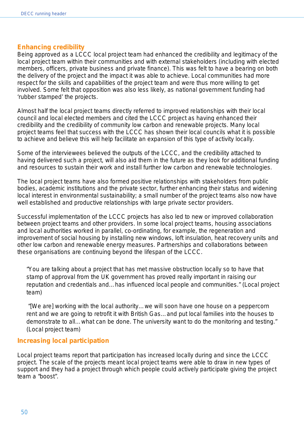#### **Enhancing credibility**

Being approved as a LCCC local project team had enhanced the credibility and legitimacy of the local project team within their communities and with external stakeholders (including with elected members, officers, private business and private finance). This was felt to have a bearing on both the delivery of the project and the impact it was able to achieve. Local communities had more respect for the skills and capabilities of the project team and were thus more willing to get involved. Some felt that opposition was also less likely, as national government funding had 'rubber stamped' the projects.

Almost half the local project teams directly referred to improved relationships with their local council and local elected members and cited the LCCC project as having enhanced their credibility and the credibility of community low carbon and renewable projects. Many local project teams feel that success with the LCCC has shown their local councils what it is possible to achieve and believe this will help facilitate an expansion of this type of activity locally.

Some of the interviewees believed the outputs of the LCCC, and the credibility attached to having delivered such a project, will also aid them in the future as they look for additional funding and resources to sustain their work and install further low carbon and renewable technologies.

The local project teams have also formed positive relationships with stakeholders from public bodies, academic institutions and the private sector, further enhancing their status and widening local interest in environmental sustainability; a small number of the project teams also now have well established and productive relationships with large private sector providers.

Successful implementation of the LCCC projects has also led to new or improved collaboration between project teams and other providers. In some local project teams, housing associations and local authorities worked in parallel, co-ordinating, for example, the regeneration and improvement of social housing by installing new windows, loft insulation, heat recovery units and other low carbon and renewable energy measures. Partnerships and collaborations between these organisations are continuing beyond the lifespan of the LCCC.

*"You are talking about a project that has met massive obstruction locally so to have that stamp of approval from the UK government has proved really important in raising our reputation and credentials and…has influenced local people and communities." (Local project team)*

*"[We are] working with the local authority…we will soon have one house on a peppercorn rent and we are going to retrofit it with British Gas…and put local families into the houses to demonstrate to all…what can be done. The university want to do the monitoring and testing." (Local project team)*

#### **Increasing local participation**

Local project teams report that participation has increased locally during and since the LCCC project. The scale of the projects meant local project teams were able to draw in new types of support and they had a project through which people could actively participate giving the project team a *"boost"*.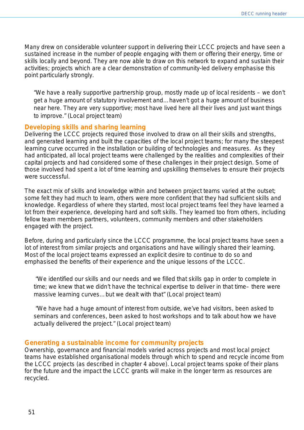Many drew on considerable volunteer support in delivering their LCCC projects and have seen a sustained increase in the number of people engaging with them or offering their energy, time or skills locally and beyond. They are now able to draw on this network to expand and sustain their activities; projects which are a clear demonstration of community-led delivery emphasise this point particularly strongly.

*"We have a really supportive partnership group, mostly made up of local residents – we don't get a huge amount of statutory involvement and…haven't got a huge amount of business near here. They are very supportive; most have lived here all their lives and just want things to improve." (Local project team)* 

#### **Developing skills and sharing learning**

Delivering the LCCC projects required those involved to draw on all their skills and strengths, and generated learning and built the capacities of the local project teams; for many the steepest learning curve occurred in the installation or building of technologies and measures. As they had anticipated, all local project teams were challenged by the realities and complexities of their capital projects and had considered some of these challenges in their project design. Some of those involved had spent a lot of time learning and upskilling themselves to ensure their projects were successful.

The exact mix of skills and knowledge within and between project teams varied at the outset; some felt they had much to learn, others were more confident that they had sufficient skills and knowledge. Regardless of where they started, most local project teams feel they have learned a lot from their experience, developing hard and soft skills. They learned too from others, including fellow team members partners, volunteers, community members and other stakeholders engaged with the project.

Before, during and particularly since the LCCC programme, the local project teams have seen a lot of interest from similar projects and organisations and have willingly shared their learning. Most of the local project teams expressed an explicit desire to continue to do so and emphasised the benefits of their experience and the unique lessons of the LCCC.

*"We identified our skills and our needs and we filled that skills gap in order to complete in time; we knew that we didn't have the technical expertise to deliver in that time– there were massive learning curves…but we dealt with that" (Local project team)*

*"We have had a huge amount of interest from outside, we've had visitors, been asked to seminars and conferences, been asked to host workshops and to talk about how we have actually delivered the project." (Local project team)* 

#### **Generating a sustainable income for community projects**

Ownership, governance and financial models varied across projects and most local project teams have established organisational models through which to spend and recycle income from the LCCC projects (as described in chapter 4 above). Local project teams spoke of their plans for the future and the impact the LCCC grants will make in the longer term as resources are recycled.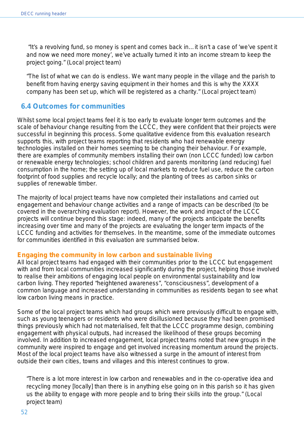*"It's a revolving fund, so money is spent and comes back in…it isn't a case of 'we've spent it and now we need more money', we've actually turned it into an income stream to keep the project going." (Local project team)*

*"The list of what we can do is endless. We want many people in the village and the parish to benefit from having energy saving equipment in their homes and this is why the XXXX company has been set up, which will be registered as a charity." (Local project team)*

## **6.4 Outcomes for communities**

Whilst some local project teams feel it is too early to evaluate longer term outcomes and the scale of behaviour change resulting from the LCCC, they were confident that their projects were successful in beginning this process. Some qualitative evidence from this evaluation research supports this, with project teams reporting that residents who had renewable energy technologies installed on their homes seeming to be changing their behaviour. For example, there are examples of community members installing their own (non LCCC funded) low carbon or renewable energy technologies; school children and parents monitoring (and reducing) fuel consumption in the home; the setting up of local markets to reduce fuel use, reduce the carbon footprint of food supplies and recycle locally; and the planting of trees as carbon sinks or supplies of renewable timber.

The majority of local project teams have now completed their installations and carried out engagement and behaviour change activities and a range of impacts can be described (to be covered in the overarching evaluation report). However, the work and impact of the LCCC projects will continue beyond this stage: indeed, many of the projects anticipate the benefits increasing over time and many of the projects are evaluating the longer term impacts of the LCCC funding and activities for themselves. In the meantime, some of the immediate outcomes for communities identified in this evaluation are summarised below.

#### **Engaging the community in low carbon and sustainable living**

All local project teams had engaged with their communities prior to the LCCC but engagement with and from local communities increased significantly during the project, helping those involved to realise their ambitions of engaging local people on environmental sustainability and low carbon living. They reported *"heightened awareness*", *"consciousness",* development of a common language and increased understanding in communities as residents began to see what low carbon living means in practice.

Some of the local project teams which had groups which were previously difficult to engage with, such as young teenagers or residents who were disillusioned because they had been promised things previously which had not materialised, felt that the LCCC programme design, combining engagement with physical outputs, had increased the likelihood of these groups becoming involved. In addition to increased engagement, local project teams noted that new groups in the community were inspired to engage and get involved increasing momentum around the projects. Most of the local project teams have also witnessed a surge in the amount of interest from outside their own cities, towns and villages and this interest continues to grow.

*"There is a lot more interest in low carbon and renewables and in the co-operative idea and recycling money [locally] than there is in anything else going on in this parish so it has given us the ability to engage with more people and to bring their skills into the group." (Local project team)*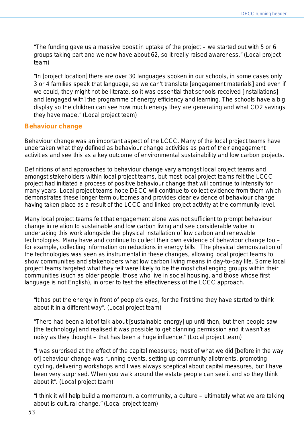*"The funding gave us a massive boost in uptake of the project – we started out with 5 or 6 groups taking part and we now have about 62, so it really raised awareness." (Local project team)* 

*"In [project location] there are over 30 languages spoken in our schools, in some cases only 3 or 4 families speak that language, so we can't translate [engagement materials] and even if we could, they might not be literate, so it was essential that schools received [installations]*  and [engaged with] the programme of energy efficiency and learning. The schools have a big *display so the children can see how much energy they are generating and what CO2 savings they have made." (Local project team)*

#### **Behaviour change**

Behaviour change was an important aspect of the LCCC. Many of the local project teams have undertaken what they defined as behaviour change activities as part of their engagement activities and see this as a key outcome of environmental sustainability and low carbon projects.

Definitions of and approaches to behaviour change vary amongst local project teams and amongst stakeholders within local project teams, but most local project teams felt the LCCC project had initiated a process of positive behaviour change that will continue to intensify for many years. Local project teams hope DECC will continue to collect evidence from them which demonstrates these longer term outcomes and provides clear evidence of behaviour change having taken place as a result of the LCCC and linked project activity at the community level.

Many local project teams felt that engagement alone was not sufficient to prompt behaviour change in relation to sustainable and low carbon living and see considerable value in undertaking this work alongside the physical installation of low carbon and renewable technologies. Many have and continue to collect their own evidence of behaviour change too – for example, collecting information on reductions in energy bills. The physical demonstration of the technologies was seen as instrumental in these changes, allowing local project teams to show communities and stakeholders what low carbon living means in day-to-day life. Some local project teams targeted what they felt were likely to be the most challenging groups within their communities (such as older people, those who live in social housing, and those whose first language is not English), in order to test the effectiveness of the LCCC approach.

*"It has put the energy in front of people's eyes, for the first time they have started to think about it in a different way". (Local project team)*

*"There had been a lot of talk about [sustainable energy] up until then, but then people saw [the technology] and realised it was possible to get planning permission and it wasn't as noisy as they thought – that has been a huge influence." (Local project team)* 

*"I was surprised at the effect of the capital measures; most of what we did [before in the way of] behaviour change was running events, setting up community allotments, promoting cycling, delivering workshops and I was always sceptical about capital measures, but I have been very surprised. When you walk around the estate people can see it and so they think about it". (Local project team)* 

*"I think it will help build a momentum, a community, a culture – ultimately what we are talking about is cultural change." (Local project team)*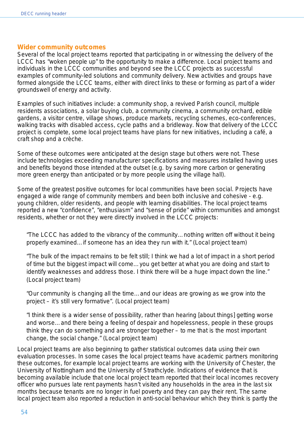#### **Wider community outcomes**

Several of the local project teams reported that participating in or witnessing the delivery of the LCCC has "*woken people up*" to the opportunity to make a difference. Local project teams and individuals in the LCCC communities and beyond see the LCCC projects as successful examples of community-led solutions and community delivery. New activities and groups have formed alongside the LCCC teams, either with direct links to these or forming as part of a wider groundswell of energy and activity.

Examples of such initiatives include: a community shop, a revived Parish council, multiple residents associations, a solar buying club, a community cinema, a community orchard, edible gardens, a visitor centre, village shows, produce markets, recycling schemes, eco-conferences, walking tracks with disabled access, cycle paths and a bridleway. Now that delivery of the LCCC project is complete, some local project teams have plans for new initiatives, including a café, a craft shop and a crèche.

Some of these outcomes were anticipated at the design stage but others were not. These include technologies exceeding manufacturer specifications and measures installed having uses and benefits beyond those intended at the outset (e.g. by saving more carbon or generating more green energy than anticipated or by more people using the village hall).

Some of the greatest positive outcomes for local communities have been social. Projects have engaged a wide range of community members and been both inclusive and cohesive - e.g. young children, older residents, and people with learning disabilities. The local project teams reported a new *"confidence*", *"enthusiasm"* and *"sense of pride*" within communities and amongst residents, whether or not they were directly involved in the LCCC projects:

*"The LCCC has added to the vibrancy of the community…nothing written off without it being properly examined…if someone has an idea they run with it." (Local project team)*

*"The bulk of the impact remains to be felt still; I think we had a lot of impact in a short period of time but the biggest impact will come…you get better at what you are doing and start to identify weaknesses and address those. I think there will be a huge impact down the line." (Local project team)*

*"Our community is changing all the time…and our ideas are growing as we grow into the project – it's still very formative". (Local project team)*

*"I think there is a wider sense of possibility, rather than hearing [about things] getting worse and worse…and there being a feeling of despair and hopelessness, people in these groups think they can do something and are stronger together – to me that is the most important change, the social change." (Local project team)*

Local project teams are also beginning to gather statistical outcomes data using their own evaluation processes. In some cases the local project teams have academic partners monitoring these outcomes, for example local project teams are working with the University of Chester, the University of Nottingham and the University of Strathclyde. Indications of evidence that is becoming available include that one local project team reported that their local incomes recovery officer who pursues late rent payments hasn't visited any households in the area in the last six months because tenants are no longer in fuel poverty and they can pay their rent. The same local project team also reported a reduction in anti-social behaviour which they think is partly the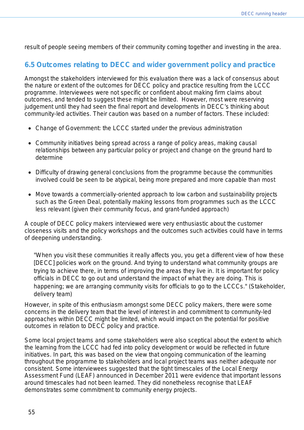result of people seeing members of their community coming together and investing in the area.

## **6.5 Outcomes relating to DECC and wider government policy and practice**

Amongst the stakeholders interviewed for this evaluation there was a lack of consensus about the nature or extent of the outcomes for DECC policy and practice resulting from the LCCC programme. Interviewees were not specific or confident about making firm claims about outcomes, and tended to suggest these might be limited. However, most were reserving judgement until they had seen the final report and developments in DECC's thinking about community-led activities. Their caution was based on a number of factors. These included:

- Change of Government: the LCCC started under the previous administration
- Community initiatives being spread across a range of policy areas, making causal relationships between any particular policy or project and change on the ground hard to determine
- Difficulty of drawing general conclusions from the programme because the communities involved could be seen to be atypical, being more prepared and more capable than most
- Move towards a commercially-oriented approach to low carbon and sustainability projects such as the Green Deal, potentially making lessons from programmes such as the LCCC less relevant (given their community focus, and grant-funded approach)

A couple of DECC policy makers interviewed were very enthusiastic about the customer closeness visits and the policy workshops and the outcomes such activities could have in terms of deepening understanding.

*"When you visit these communities it really affects you, you get a different view of how these [DECC] policies work on the ground. And trying to understand what community groups are trying to achieve there, in terms of improving the areas they live in. It is important for policy officials in DECC to go out and understand the impact of what they are doing. This is happening; we are arranging community visits for officials to go to the LCCCs." (Stakeholder, delivery team)*

However, in spite of this enthusiasm amongst some DECC policy makers, there were some concerns in the delivery team that the level of interest in and commitment to community-led approaches within DECC might be limited, which would impact on the potential for positive outcomes in relation to DECC policy and practice.

Some local project teams and some stakeholders were also sceptical about the extent to which the learning from the LCCC had fed into policy development or would be reflected in future initiatives. In part, this was based on the view that ongoing communication of the learning throughout the programme to stakeholders and local project teams was neither adequate nor consistent. Some interviewees suggested that the tight timescales of the Local Energy Assessment Fund (LEAF) announced in December 2011 were evidence that important lessons around timescales had not been learned. They did nonetheless recognise that LEAF demonstrates some commitment to community energy projects.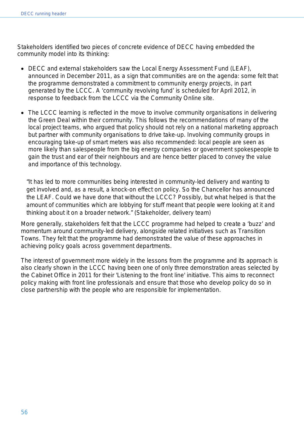Stakeholders identified two pieces of concrete evidence of DECC having embedded the community model into its thinking:

- DECC and external stakeholders saw the Local Energy Assessment Fund (LEAF), announced in December 2011, as a sign that communities are on the agenda: some felt that the programme demonstrated a commitment to community energy projects, in part generated by the LCCC. A 'community revolving fund' is scheduled for April 2012, in response to feedback from the LCCC via the Community Online site.
- The LCCC learning is reflected in the move to involve community organisations in delivering the Green Deal within their community. This follows the recommendations of many of the local project teams, who argued that policy should not rely on a national marketing approach but partner with community organisations to drive take-up. Involving community groups in encouraging take-up of smart meters was also recommended: local people are seen as more likely than salespeople from the big energy companies or government spokespeople to gain the trust and ear of their neighbours and are hence better placed to convey the value and importance of this technology.

*"It has led to more communities being interested in community-led delivery and wanting to get involved and, as a result, a knock-on effect on policy. So the Chancellor has announced the LEAF. Could we have done that without the LCCC? Possibly, but what helped is that the amount of communities which are lobbying for stuff meant that people were looking at it and thinking about it on a broader network." (Stakeholder, delivery team)*

More generally, stakeholders felt that the LCCC programme had helped to create a 'buzz' and momentum around community-led delivery, alongside related initiatives such as Transition Towns. They felt that the programme had demonstrated the value of these approaches in achieving policy goals across government departments.

The interest of government more widely in the lessons from the programme and its approach is also clearly shown in the LCCC having been one of only three demonstration areas selected by the Cabinet Office in 2011 for their 'Listening to the front line' initiative. This aims to reconnect policy making with front line professionals and ensure that those who develop policy do so in close partnership with the people who are responsible for implementation.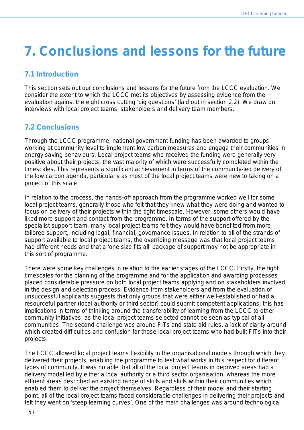## **7. Conclusions and lessons for the future**

## **7.1 Introduction**

This section sets out our conclusions and lessons for the future from the LCCC evaluation. We consider the extent to which the LCCC met its objectives by assessing evidence from the evaluation against the eight cross cutting 'big questions' (laid out in section 2.2). We draw on interviews with local project teams, stakeholders and delivery team members.

## **7.2 Conclusions**

Through the LCCC programme, national government funding has been awarded to groups working at community level to implement low carbon measures and engage their communities in energy saving behaviours. Local project teams who received the funding were generally very positive about their projects, the vast majority of which were successfully completed within the timescales. This represents a significant achievement in terms of the community-led delivery of the low carbon agenda, particularly as most of the local project teams were new to taking on a project of this scale.

In relation to the process, the hands-off approach from the programme worked well for some local project teams, generally those who felt that they knew what they were doing and wanted to focus on delivery of their projects within the tight timescale. However, some others would have liked more support and contact from the programme. In terms of the support offered by the specialist support team, many local project teams felt they would have benefited from more tailored support, including legal, financial, governance issues. In relation to all of the strands of support available to local project teams, the overriding message was that local project teams had different needs and that a 'one size fits all' package of support may not be appropriate in this sort of programme.

There were some key challenges in relation to the earlier stages of the LCCC. Firstly, the tight timescales for the planning of the programme and for the application and awarding processes placed considerable pressure on both local project teams applying and on stakeholders involved in the design and selection process. Evidence from stakeholders and from the evaluation of unsuccessful applicants suggests that only groups that were either well-established or had a resourceful partner (local authority or third sector) could submit competent applications; this has implications in terms of thinking around the transferability of learning from the LCCC to other community initiatives, as the local project teams selected cannot be seen as typical of all communities. The second challenge was around FITs and state aid rules, a lack of clarity around which created difficulties and confusion for those local project teams who had built FITs into their projects.

The LCCC allowed local project teams flexibility in the organisational models through which they delivered their projects, enabling the programme to test what works in this respect for different types of community. It was notable that all of the local project teams in deprived areas had a delivery model led by either a local authority or a third sector organisation, whereas the more affluent areas described an existing range of skills and skills within their communities which enabled them to deliver the project themselves. Regardless of their model and their starting point, all of the local project teams faced considerable challenges in delivering their projects and felt they went on 'steep learning curves'. One of the main challenges was around technological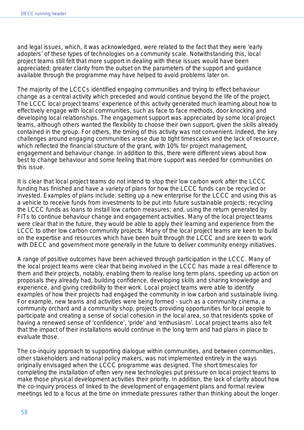and legal issues, which, it was acknowledged, were related to the fact that they were 'early adopters' of these types of technologies on a community scale. Notwithstanding this, local project teams still felt that more support in dealing with these issues would have been appreciated; greater clarity from the outset on the parameters of the support and guidance available through the programme may have helped to avoid problems later on.

The majority of the LCCCs identified engaging communities and trying to effect behaviour change as a central activity which preceded and would continue beyond the life of the project. The LCCC local project teams' experience of this activity generated much learning about how to effectively engage with local communities, such as face to face methods, door knocking and developing local relationships. The engagement support was appreciated by some local project teams, although others wanted the flexibility to choose their own support, given the skills already contained in the group. For others, the timing of this activity was not convenient. Indeed, the key challenges around engaging communities arose due to tight timescales and the lack of resource, which reflected the financial structure of the grant, with 10% for project management, engagement and behaviour change. In addition to this, there were different views about how best to change behaviour and some feeling that more support was needed for communities on this issue.

It is clear that local project teams do not intend to stop their low carbon work after the LCCC funding has finished and have a variety of plans for how the LCCC funds can be recycled or invested. Examples of plans include: setting up a new enterprise for the LCCC and using this as a vehicle to receive funds from investments to be put into future sustainable projects; recycling the LCCC funds as loans to install low carbon measures; and, using the return generated by FITs to continue behaviour change and engagement activities. Many of the local project teams were clear that in the future, they would be able to apply their learning and experience from the LCCC to other low carbon community projects. Many of the local project teams are keen to build on the expertise and resources which have been built through the LCCC and are keen to work with DECC and government more generally in the future to deliver community energy initiatives.

A range of positive outcomes have been achieved through participation in the LCCC. Many of the local project teams were clear that being involved in the LCCC has made a real difference to them and their projects, notably, enabling them to realise long term plans, speeding up action on proposals they already had, building confidence, developing skills and sharing knowledge and experience, and giving credibility to their work. Local project teams were able to identify examples of how their projects had engaged the community in low carbon and sustainable living. For example, new teams and activities were being formed - such as a community cinema, a community orchard and a community shop, projects providing opportunities for local people to participate and creating a sense of social cohesion in the local area, so that residents spoke of having a renewed sense of 'confidence', 'pride' and 'enthusiasm'. Local project teams also felt that the impact of their installations would continue in the long term and had plans in place to evaluate those.

The co-inquiry approach to supporting dialogue within communities, and between communities, other stakeholders and national policy makers, was not implemented entirely in the ways originally envisaged when the LCCC programme was designed. The short timescales for completing the installation of often very new technologies put pressure on local project teams to make those physical development activities their priority. In addition, the lack of clarity about how the co-inquiry process of linked to the development of engagement plans and formal review meetings led to a focus at the time on immediate pressures rather than thinking about the longer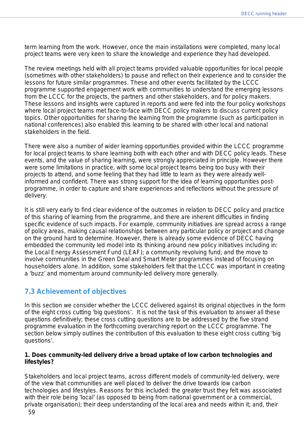term learning from the work. However, once the main installations were completed, many local project teams were very keen to share the knowledge and experience they had developed.

The review meetings held with all project teams provided valuable opportunities for local people (sometimes with other stakeholders) to pause and reflect on their experience and to consider the lessons for future similar programmes. These and other events facilitated by the LCCC programme supported engagement work with communities to understand the emerging lessons from the LCCC for the projects, the partners and other stakeholders, and for policy makers. These lessons and insights were captured in reports and were fed into the four policy workshops where local project teams met face-to-face with DECC policy makers to discuss current policy topics. Other opportunities for sharing the learning from the programme (such as participation in national conferences) also enabled this learning to be shared with other local and national stakeholders in the field.

There were also a number of wider learning opportunities provided within the LCCC programme for local project teams to share learning both with each other and with DECC policy leads. These events, and the value of sharing learning, were strongly appreciated in principle. However there were some limitations in practice, with some local project teams being too busy with their projects to attend, and some feeling that they had little to learn as they were already wellinformed and confident. There was strong support for the idea of learning opportunities postprogramme, in order to capture and share experiences and reflections without the pressure of delivery.

It is still very early to find clear evidence of the outcomes in relation to DECC policy and practice of this sharing of learning from the programme, and there are inherent difficulties in finding specific evidence of such impacts. For example, community initiatives are spread across a range of policy areas, making causal relationships between any particular policy or project and change on the ground hard to determine. However, there is already some evidence of DECC having embedded the community led model into its thinking around new policy initiatives including in: the Local Energy Assessment Fund (LEAF); a community revolving fund; and the move to involve communities in the Green Deal and Smart Meter programmes instead of focusing on householders alone. In addition, some stakeholders felt that the LCCC was important in creating a 'buzz' and momentum around community-led delivery more generally.

## **7.3 Achievement of objectives**

In this section we consider whether the LCCC delivered against its original objectives in the form of the eight cross cutting 'big questions'. It is not the task of this evaluation to answer all these questions definitively; these cross cutting questions are to be addressed by the five strand programme evaluation in the forthcoming overarching report on the LCCC programme. The section below simply outlines the contribution of this evaluation to these eight cross cutting 'big questions'.

#### **1. Does community-led delivery drive a broad uptake of low carbon technologies and lifestyles?**

Stakeholders and local project teams, across different models of community-led delivery, were of the view that communities are well placed to deliver the drive towards low carbon technologies and lifestyles. Reasons for this included: the greater trust they felt was associated with their role being 'local' (as opposed to being from national government or a commercial, private organisation); their deep understanding of the local area and needs within it; and, their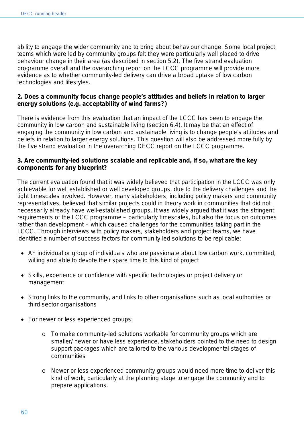ability to engage the wider community and to bring about behaviour change. Some local project teams which were led by community groups felt they were particularly well placed to drive behaviour change in their area (as described in section 5.2). The five strand evaluation programme overall and the overarching report on the LCCC programme will provide more evidence as to whether community-led delivery can drive a broad uptake of low carbon technologies and lifestyles.

#### **2. Does a community focus change people's attitudes and beliefs in relation to larger energy solutions (e.g. acceptability of wind farms?)**

There is evidence from this evaluation that an impact of the LCCC has been to engage the community in low carbon and sustainable living (section 6.4). It may be that an effect of engaging the community in low carbon and sustainable living is to change people's attitudes and beliefs in relation to larger energy solutions. This question will also be addressed more fully by the five strand evaluation in the overarching DECC report on the LCCC programme.

#### **3. Are community-led solutions scalable and replicable and, if so, what are the key components for any blueprint?**

The current evaluation found that it was widely believed that participation in the LCCC was only achievable for well established or well developed groups, due to the delivery challenges and the tight timescales involved. However, many stakeholders, including policy makers and community representatives, believed that similar projects could in theory work in communities that did not necessarily already have well-established groups. It was widely argued that it was the stringent requirements of the LCCC programme – particularly timescales, but also the focus on outcomes rather than development – which caused challenges for the communities taking part in the LCCC. Through interviews with policy makers, stakeholders and project teams, we have identified a number of success factors for community led solutions to be replicable:

- An individual or group of individuals who are passionate about low carbon work, committed, willing and able to devote their spare time to this kind of project
- Skills, experience or confidence with specific technologies or project delivery or management
- Strong links to the community, and links to other organisations such as local authorities or third sector organisations
- For newer or less experienced groups:
	- $\circ$  To make community-led solutions workable for community groups which are smaller/ newer or have less experience, stakeholders pointed to the need to design support packages which are tailored to the various developmental stages of communities
	- o Newer or less experienced community groups would need more time to deliver this kind of work, particularly at the planning stage to engage the community and to prepare applications.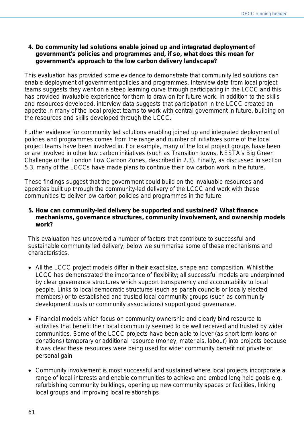#### **4. Do community led solutions enable joined up and integrated deployment of government's policies and programmes and, if so, what does this mean for government's approach to the low carbon delivery landscape?**

This evaluation has provided some evidence to demonstrate that community led solutions can enable deployment of government policies and programmes. Interview data from local project teams suggests they went on a steep learning curve through participating in the LCCC and this has provided invaluable experience for them to draw on for future work. In addition to the skills and resources developed, interview data suggests that participation in the LCCC created an appetite in many of the local project teams to work with central government in future, building on the resources and skills developed through the LCCC.

Further evidence for community led solutions enabling joined up and integrated deployment of policies and programmes comes from the range and number of initiatives some of the local project teams have been involved in. For example, many of the local project groups have been or are involved in other low carbon initiatives (such as Transition towns, NESTA's *Big Green Challenge* or the London *Low Carbon Zones*, described in 2.3). Finally, as discussed in section 5.3, many of the LCCCs have made plans to continue their low carbon work in the future.

These findings suggest that the government could build on the invaluable resources and appetites built up through the community-led delivery of the LCCC and work with these communities to deliver low carbon policies and programmes in the future.

#### **5. How can community-led delivery be supported and sustained? What finance mechanisms, governance structures, community involvement, and ownership models work?**

This evaluation has uncovered a number of factors that contribute to successful and sustainable community led delivery; below we summarise some of these mechanisms and characteristics.

- All the LCCC project models differ in their exact size, shape and composition. Whilst the LCCC has demonstrated the importance of flexibility; all successful models are underpinned by clear governance structures which support transparency and accountability to local people. Links to local democratic structures (such as parish councils or locally elected members) or to established and trusted local community groups (such as community development trusts or community associations) support good governance.
- Financial models which focus on community ownership and clearly bind resource to activities that benefit their local community seemed to be well received and trusted by wider communities. Some of the LCCC projects have been able to lever (as short term loans or donations) temporary or additional resource (money, materials, labour) into projects because it was clear these resources were being used for wider community benefit not private or personal gain
- Community involvement is most successful and sustained where local projects incorporate a range of local interests and enable communities to achieve and embed long held goals e.g. refurbishing community buildings, opening up new community spaces or facilities, linking local groups and improving local relationships.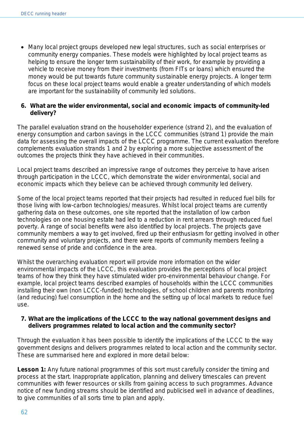• Many local project groups developed new legal structures, such as social enterprises or community energy companies. These models were highlighted by local project teams as helping to ensure the longer term sustainability of their work, for example by providing a vehicle to receive money from their investments (from FITs or loans) which ensured the money would be put towards future community sustainable energy projects. A longer term focus on these local project teams would enable a greater understanding of which models are important for the sustainability of community led solutions.

#### **6. What are the wider environmental, social and economic impacts of community-led delivery?**

The parallel evaluation strand on the householder experience (strand 2), and the evaluation of energy consumption and carbon savings in the LCCC communities (strand 1) provide the main data for assessing the overall impacts of the LCCC programme. The current evaluation therefore complements evaluation strands 1 and 2 by exploring a more subjective assessment of the outcomes the projects think they have achieved in their communities.

Local project teams described an impressive range of outcomes they perceive to have arisen through participation in the LCCC, which demonstrate the wider environmental, social and economic impacts which they believe can be achieved through community led delivery.

Some of the local project teams reported that their projects had resulted in reduced fuel bills for those living with low-carbon technologies/ measures. Whilst local project teams are currently gathering data on these outcomes, one site reported that the installation of low carbon technologies on one housing estate had led to a reduction in rent arrears through reduced fuel poverty. A range of social benefits were also identified by local projects. The projects gave community members a way to get involved, fired up their enthusiasm for getting involved in other community and voluntary projects, and there were reports of community members feeling a renewed sense of pride and confidence in the area.

Whilst the overarching evaluation report will provide more information on the wider environmental impacts of the LCCC, this evaluation provides the perceptions of local project teams of how they think they have stimulated wider pro-environmental behaviour change. For example, local project teams described examples of households within the LCCC communities installing their own (non LCCC-funded) technologies, of school children and parents monitoring (and reducing) fuel consumption in the home and the setting up of local markets to reduce fuel use.

#### **7. What are the implications of the LCCC to the way national government designs and delivers programmes related to local action and the community sector?**

Through the evaluation it has been possible to identify the implications of the LCCC to the way government designs and delivers programmes related to local action and the community sector. These are summarised here and explored in more detail below:

Lesson 1: Any future national programmes of this sort must carefully consider the timing and process at the start. Inappropriate application, planning and delivery timescales can prevent communities with fewer resources or skills from gaining access to such programmes. Advance notice of new funding streams should be identified and publicised well in advance of deadlines, to give communities of all sorts time to plan and apply.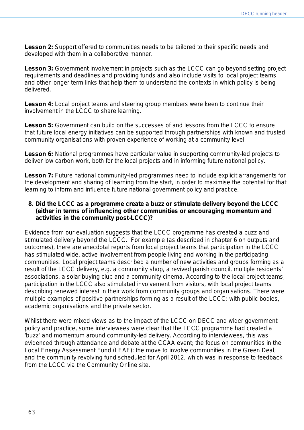Lesson 2: Support offered to communities needs to be tailored to their specific needs and developed with them in a collaborative manner.

**Lesson 3:** Government involvement in projects such as the LCCC can go beyond setting project requirements and deadlines and providing funds and also include visits to local project teams and other longer term links that help them to understand the contexts in which policy is being delivered.

Lesson 4: Local project teams and steering group members were keen to continue their involvement in the LCCC to share learning.

Lesson 5: Government can build on the successes of and lessons from the LCCC to ensure that future local energy initiatives can be supported through partnerships with known and trusted community organisations with proven experience of working at a community level

Lesson 6: National programmes have particular value in supporting community-led projects to deliver low carbon work, both for the local projects and in informing future national policy.

**Lesson 7:** Future national community-led programmes need to include explicit arrangements for the development and sharing of learning from the start, in order to maximise the potential for that learning to inform and influence future national government policy and practice.

#### **8. Did the LCCC as a programme create a buzz or stimulate delivery beyond the LCCC (either in terms of influencing other communities or encouraging momentum and activities in the community post-LCCC)?**

Evidence from our evaluation suggests that the LCCC programme has created a buzz and stimulated delivery beyond the LCCC. For example (as described in chapter 6 on outputs and outcomes), there are anecdotal reports from local project teams that participation in the LCCC has stimulated wide, active involvement from people living and working in the participating communities. Local project teams described a number of new activities and groups forming as a result of the LCCC delivery, e.g. a community shop, a revived parish council, multiple residents' associations, a solar buying club and a community cinema. According to the local project teams, participation in the LCCC also stimulated involvement from visitors, with local project teams describing renewed interest in their work from community groups and organisations. There were multiple examples of positive partnerships forming as a result of the LCCC: with public bodies, academic organisations and the private sector.

Whilst there were mixed views as to the impact of the LCCC on DECC and wider government policy and practice, some interviewees were clear that the LCCC programme had created a 'buzz' and momentum around community-led delivery. According to interviewees, this was evidenced through attendance and debate at the CCAA event; the focus on communities in the Local Energy Assessment Fund (LEAF); the move to involve communities in the Green Deal; and the community revolving fund scheduled for April 2012, which was in response to feedback from the LCCC via the Community Online site.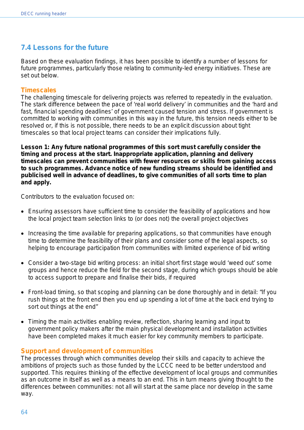## **7.4 Lessons for the future**

Based on these evaluation findings, it has been possible to identify a number of lessons for future programmes, particularly those relating to community-led energy initiatives. These are set out below.

#### **Timescales**

The challenging timescale for delivering projects was referred to repeatedly in the evaluation. The stark difference between the pace of 'real world delivery' in communities and the 'hard and fast, financial spending deadlines' of government caused tension and stress. If government is committed to working with communities in this way in the future, this tension needs either to be resolved or, if this is not possible, there needs to be an explicit discussion about tight timescales so that local project teams can consider their implications fully.

**Lesson 1: Any future national programmes of this sort must carefully consider the timing and process at the start. Inappropriate application, planning and delivery timescales can prevent communities with fewer resources or skills from gaining access to such programmes. Advance notice of new funding streams should be identified and publicised well in advance of deadlines, to give communities of all sorts time to plan and apply.** 

Contributors to the evaluation focused on:

- Ensuring assessors have sufficient time to consider the feasibility of applications and how the local project team selection links to (or does not) the overall project objectives
- Increasing the time available for preparing applications, so that communities have enough time to determine the feasibility of their plans and consider some of the legal aspects, so helping to encourage participation from communities with limited experience of bid writing
- Consider a two-stage bid writing process: an initial short first stage would 'weed out' some groups and hence reduce the field for the second stage, during which groups should be able to access support to prepare and finalise their bids, if required
- Front-load timing, so that scoping and planning can be done thoroughly and in detail: "If you rush things at the front end then you end up spending a lot of time at the back end trying to sort out things at the end"
- Timing the main activities enabling review, reflection, sharing learning and input to government policy makers after the main physical development and installation activities have been completed makes it much easier for key community members to participate.

#### **Support and development of communities**

The processes through which communities develop their skills and capacity to achieve the ambitions of projects such as those funded by the LCCC need to be better understood and supported. This requires thinking of the effective development of local groups and communities as an outcome in itself as well as a means to an end. This in turn means giving thought to the differences between communities: not all will start at the same place nor develop in the same way.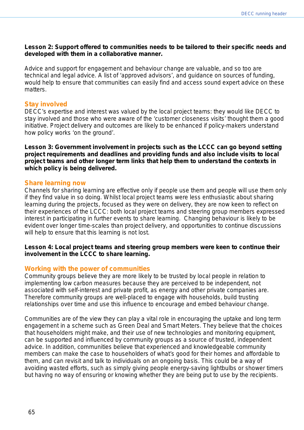#### **Lesson 2: Support offered to communities needs to be tailored to their specific needs and developed with them in a collaborative manner.**

Advice and support for engagement and behaviour change are valuable, and so too are technical and legal advice. A list of 'approved advisors', and guidance on sources of funding, would help to ensure that communities can easily find and access sound expert advice on these matters

#### **Stay involved**

DECC's expertise and interest was valued by the local project teams: they would like DECC to stay involved and those who were aware of the 'customer closeness visits' thought them a good initiative. Project delivery and outcomes are likely to be enhanced if policy-makers understand how policy works 'on the ground'.

**Lesson 3: Government involvement in projects such as the LCCC can go beyond setting project requirements and deadlines and providing funds and also include visits to local project teams and other longer term links that help them to understand the contexts in which policy is being delivered.** 

#### **Share learning now**

Channels for sharing learning are effective only if people use them and people will use them only if they find value in so doing. Whilst local project teams were less enthusiastic about sharing learning during the projects, focused as they were on delivery, they are now keen to reflect on their experiences of the LCCC: both local project teams and steering group members expressed interest in participating in further events to share learning. Changing behaviour is likely to be evident over longer time-scales than project delivery, and opportunities to continue discussions will help to ensure that this learning is not lost.

#### **Lesson 4: Local project teams and steering group members were keen to continue their involvement in the LCCC to share learning.**

#### **Working with the power of communities**

Community groups believe they are more likely to be trusted by local people in relation to implementing low carbon measures because they are perceived to be independent, not associated with self-interest and private profit, as energy and other private companies are. Therefore community groups are well-placed to engage with households, build trusting relationships over time and use this influence to encourage and embed behaviour change.

Communities are of the view they can play a vital role in encouraging the uptake and long term engagement in a scheme such as Green Deal and Smart Meters. They believe that the choices that householders might make, and their use of new technologies and monitoring equipment, can be supported and influenced by community groups as a source of trusted, independent advice. In addition, communities believe that experienced and knowledgeable community members can make the case to householders of what's good for their homes and affordable to them, and can revisit and talk to individuals on an ongoing basis. This could be a way of avoiding wasted efforts, such as simply giving people energy-saving lightbulbs or shower timers but having no way of ensuring or knowing whether they are being put to use by the recipients.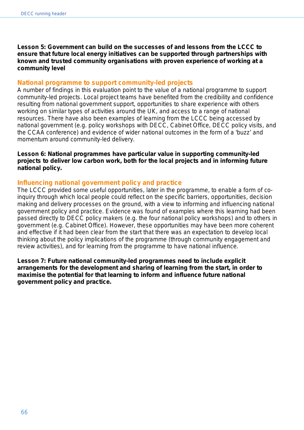**Lesson 5: Government can build on the successes of and lessons from the LCCC to ensure that future local energy initiatives can be supported through partnerships with known and trusted community organisations with proven experience of working at a community level** 

#### **National programme to support community-led projects**

A number of findings in this evaluation point to the value of a national programme to support community-led projects. Local project teams have benefited from the credibility and confidence resulting from national government support, opportunities to share experience with others working on similar types of activities around the UK, and access to a range of national resources. There have also been examples of learning from the LCCC being accessed by national government (e.g. policy workshops with DECC, Cabinet Office, DECC policy visits, and the CCAA conference) and evidence of wider national outcomes in the form of a 'buzz' and momentum around community-led delivery.

#### **Lesson 6: National programmes have particular value in supporting community-led projects to deliver low carbon work, both for the local projects and in informing future national policy.**

#### **Influencing national government policy and practice**

The LCCC provided some useful opportunities, later in the programme, to enable a form of coinquiry through which local people could reflect on the specific barriers, opportunities, decision making and delivery processes on the ground, with a view to informing and influencing national government policy and practice. Evidence was found of examples where this learning had been passed directly to DECC policy makers (e.g. the four national policy workshops) and to others in government (e.g. Cabinet Office). However, these opportunities may have been more coherent and effective if it had been clear from the start that there was an expectation to develop local thinking about the policy implications of the programme (through community engagement and review activities), and for learning from the programme to have national influence.

**Lesson 7: Future national community-led programmes need to include explicit arrangements for the development and sharing of learning from the start, in order to maximise the potential for that learning to inform and influence future national government policy and practice.**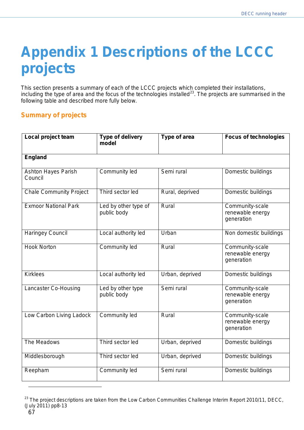# **Appendix 1 Descriptions of the LCCC projects**

This section presents a summary of each of the LCCC projects which completed their installations, including the type of area and the focus of the technologies installed<sup>[23](#page-66-0)</sup>. The projects are summarised in the following table and described more fully below.

### **Summary of projects**

| Local project team                    | <b>Type of delivery</b><br>model    | Type of area    | <b>Focus of technologies</b>                      |
|---------------------------------------|-------------------------------------|-----------------|---------------------------------------------------|
| <b>England</b>                        |                                     |                 |                                                   |
| <b>Ashton Hayes Parish</b><br>Council | Community led                       | Semi rural      | Domestic buildings                                |
| <b>Chale Community Project</b>        | Third sector led                    | Rural, deprived | Domestic buildings                                |
| <b>Exmoor National Park</b>           | Led by other type of<br>public body | Rural           | Community-scale<br>renewable energy<br>generation |
| <b>Haringey Council</b>               | Local authority led                 | Urban           | Non domestic buildings                            |
| <b>Hook Norton</b>                    | Community led                       | Rural           | Community-scale<br>renewable energy<br>generation |
| <b>Kirklees</b>                       | Local authority led                 | Urban, deprived | Domestic buildings                                |
| Lancaster Co-Housing                  | Led by other type<br>public body    | Semi rural      | Community-scale<br>renewable energy<br>generation |
| Low Carbon Living Ladock              | Community led                       | Rural           | Community-scale<br>renewable energy<br>generation |
| The Meadows                           | Third sector led                    | Urban, deprived | Domestic buildings                                |
| Middlesborough                        | Third sector led                    | Urban, deprived | Domestic buildings                                |
| Reepham                               | Community led                       | Semi rural      | Domestic buildings                                |

<span id="page-66-0"></span><sup>&</sup>lt;sup>23</sup> The project descriptions are taken from the Low Carbon Communities Challenge Interim Report 2010/11, DECC, (July 2011) pp8-13

 $\overline{a}$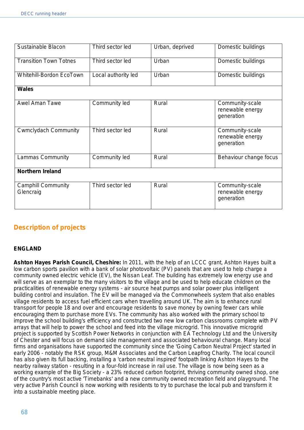| Sustainable Blacon                     | Third sector led    | Urban, deprived | Domestic buildings                                |  |
|----------------------------------------|---------------------|-----------------|---------------------------------------------------|--|
| <b>Transition Town Totnes</b>          | Third sector led    | Urban           | Domestic buildings                                |  |
| <b>Whitehill-Bordon EcoTown</b>        | Local authority led | Urban           | Domestic buildings                                |  |
| <b>Wales</b>                           |                     |                 |                                                   |  |
| <b>Awel Aman Tawe</b>                  | Community led       | Rural           | Community-scale<br>renewable energy<br>generation |  |
| <b>Cwmclydach Community</b>            | Third sector led    | Rural           | Community-scale<br>renewable energy<br>generation |  |
| <b>Lammas Community</b>                | Community led       | Rural           | Behaviour change focus                            |  |
| <b>Northern Ireland</b>                |                     |                 |                                                   |  |
| <b>Camphill Community</b><br>Glencraig | Third sector led    | Rural           | Community-scale<br>renewable energy<br>generation |  |

## **Description of projects**

#### **ENGLAND**

**Ashton Hayes Parish Council, Cheshire:** In 2011, with the help of an LCCC grant, Ashton Hayes built a low carbon sports pavilion with a bank of solar photovoltaic (PV) panels that are used to help charge a community owned electric vehicle (EV), the Nissan Leaf. The building has extremely low energy use and will serve as an exemplar to the many visitors to the village and be used to help educate children on the practicalities of renewable energy systems - air source heat pumps and solar power plus intelligent building control and insulation. The EV will be managed via the Commonwheels system that also enables village residents to access fuel efficient cars when travelling around UK. The aim is to enhance rural transport for people 18 and over and encourage residents to save money by owning fewer cars while encouraging them to purchase more EVs. The community has also worked with the primary school to improve the school building's efficiency and constructed two new low carbon classrooms complete with PV arrays that will help to power the school and feed into the village microgrid. This innovative microgrid project is supported by Scottish Power Networks in conjunction with EA Technology Ltd and the University of Chester and will focus on demand side management and associated behavioural change. Many local firms and organisations have supported the community since the 'Going Carbon Neutral Project' started in early 2006 - notably the RSK group, M&M Associates and the Carbon Leapfrog Charity. The local council has also given its full backing, installing a 'carbon neutral inspired' footpath linking Ashton Hayes to the nearby railway station - resulting in a four-fold increase in rail use. The village is now being seen as a working example of the Big Society - a 23% reduced carbon footprint, thriving community owned shop, one of the country's most active 'Timebanks' and a new community owned recreation field and playground. The very active Parish Council is now working with residents to try to purchase the local pub and transform it into a sustainable meeting place.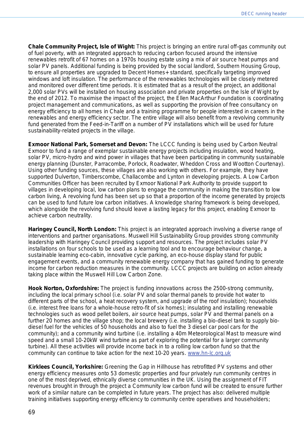**Chale Community Project, Isle of Wight:** This project is bringing an entire rural off-gas community out of fuel poverty, with an integrated approach to reducing carbon focused around the intensive renewables retrofit of 67 homes on a 1970s housing estate using a mix of air source heat pumps and solar PV panels. Additional funding is being provided by the social landlord, Southern Housing Group, to ensure all properties are upgraded to Decent Homes+ standard, specifically targeting improved windows and loft insulation. The performance of the renewables technologies will be closely metered and monitored over different time periods. It is estimated that as a result of the project, an additional 2,000 solar PVs will be installed on housing association and private properties on the Isle of Wight by the end of 2012. To maximise the impact of the project, the Ellen MacArthur Foundation is coordinating project management and communications, as well as supporting the provision of free consultancy on energy efficiency to all homes in Chale and a training programme for people interested in careers in the renewables and energy efficiency sector. The entire village will also benefit from a revolving community fund generated from the Feed-in-Tariff on a number of PV installations which will be used for future sustainability-related projects in the village.

**Exmoor National Park, Somerset and Devon:** The LCCC funding is being used by Carbon Neutral Exmoor to fund a range of exemplar sustainable energy projects including insulation, wood heating, solar PV, micro-hydro and wind power in villages that have been participating in community sustainable energy planning (Dunster, Parracombe, Porlock, Roadwater, Wheddon Cross and Wootton Courtenay). Using other funding sources, these villages are also working with others. For example, they have supported Dulverton, Timberscombe, Challacombe and Lynton in developing projects. A Low Carbon Communities Officer has been recruited by Exmoor National Park Authority to provide support to villages in developing local, low carbon plans to engage the community in making the transition to low carbon living, A revolving fund has been set up so that a proportion of the income generated by projects can be used to fund future low carbon initiatives. A knowledge sharing framework is being developed, which alongside the revolving fund should leave a lasting legacy for this project, enabling Exmoor to achieve carbon neutrality.

**Haringey Council, North London:** This project is an integrated approach involving a diverse range of interventions and partner organisations. Muswell Hill Sustainability Group provides strong community leadership with Haringey Council providing support and resources. The project includes solar PV installations on four schools to be used as a learning tool and to encourage behaviour change, a sustainable learning eco-cabin, innovative cycle parking, an eco-house display stand for public engagement events, and a community renewable energy company that has gained funding to generate income for carbon reduction measures in the community. LCCC projects are building on action already taking place within the Muswell Hill Low Carbon Zone.

**Hook Norton, Oxfordshire:** The project is funding innovations across the 2500-strong community, including the local primary school (i.e. solar PV and solar thermal panels to provide hot water to different parts of the school, a heat recovery system, and upgrade of the roof insulation); households (i.e. interest free loans for a whole-house retro-fit of six homes); insulating and installing renewable technologies such as wood pellet boilers, air source heat pumps, solar PV and thermal panels on a further 20 homes and the village shop; the local brewery (i.e. installing a bio-diesel tank to supply biodiesel fuel for the vehicles of 50 households and also to fuel the 3 diesel car pool cars for the community); and a community wind turbine (i.e. installing a 40m Meteorological Mast to measure wind speed and a small 10-20kW wind turbine as part of exploring the potential for a larger community turbine). All these activities will provide income back in to a rolling low carbon fund so that the community can continue to take action for the next 10-20 years. [www.hn-lc.org.uk](http://www.hn-lc.org.uk/)

**Kirklees Council, Yorkshire:** Greening the Gap in Hillhouse has retrofitted PV systems and other energy efficiency measures onto 53 domestic properties and four privately run community centres in one of the most deprived, ethnically diverse communities in the UK. Using the assignment of FIT revenues brought in through the project a Community low carbon fund will be created to ensure further work of a similar nature can be completed in future years. The project has also: delivered multiple training initiatives supporting energy efficiency to community centre operatives and householders;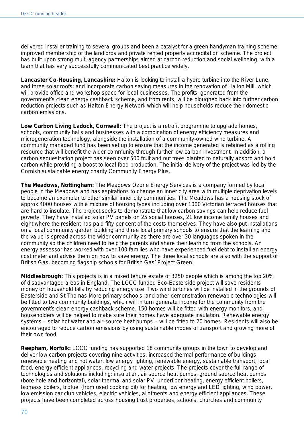delivered installer training to several groups and been a catalyst for a green handyman training scheme; improved membership of the landlords and private rented property accreditation scheme. The project has built upon strong multi-agency partnerships aimed at carbon reduction and social wellbeing, with a team that has very successfully communicated best practice widely.

**Lancaster Co-Housing, Lancashire:** Halton is looking to install a hydro turbine into the River Lune, and three solar roofs; and incorporate carbon saving measures in the renovation of Halton Mill, which will provide office and workshop space for local businesses. The profits, generated from the government's clean energy cashback scheme, and from rents, will be ploughed back into further carbon reduction projects such as Halton Energy Network which will help households reduce their domestic carbon emissions.

**Low Carbon Living Ladock, Cornwall:** The project is a retrofit programme to upgrade homes, schools, community halls and businesses with a combination of energy efficiency measures and microgeneration technology, alongside the installation of a community-owned wind turbine. A community managed fund has been set up to ensure that the income generated is retained as a rolling resource that will benefit the wider community through further low carbon investment. In addition, a carbon sequestration project has seen over 500 fruit and nut trees planted to naturally absorb and hold carbon while providing a boost to local food production. The initial delivery of the project was led by the Cornish sustainable energy charity Community Energy Plus.

**The Meadows, Nottingham:** The Meadows Ozone Energy Services is a company formed by local people in the Meadows and has aspirations to change an inner city area with multiple deprivation levels to become an exemplar to other similar inner city communities. The Meadows has a housing stock of approx 4000 houses with a mixture of housing types including over 1000 Victorian terraced houses that are hard to insulate. The project seeks to demonstrate that low carbon savings can help reduce fuel poverty. They have installed solar PV panels on 25 social houses, 21 low income family houses and eight where the resident has paid fifty per cent of the costs themselves. They have also put installations on a local community garden building and three local primary schools to ensure that the learning and the value is spread across the wider community as there are over 30 languages spoken in the community so the children need to help the parents and share their learning from the schools. An energy assessor has worked with over 100 families who have experienced fuel debt to install an energy cost meter and advise them on how to save energy. The three local schools are also with the support of British Gas, becoming flagship schools for British Gas' *Project Green*.

**Middlesbrough:** This projects is in a mixed tenure estate of 3250 people which is among the top 20% of disadvantaged areas in England. The LCCC funded Eco-Easterside project will save residents money on household bills by reducing energy use. Two wind turbines will be installed in the grounds of Easterside and St Thomas More primary schools, and other demonstration renewable technologies will be fitted to two community buildings, which will in turn generate income for the community from the government's clean energy cashback scheme. 150 homes will be fitted with energy monitors, and householders will be helped to make sure their homes have adequate insulation. Renewable energy systems – solar hot water and air-source heat pumps – will be fitted to 20 homes. Residents will also be encouraged to reduce carbon emissions by using sustainable modes of transport and growing more of their own food.

**Reepham, Norfolk:** LCCC funding has supported 18 community groups in the town to develop and deliver low carbon projects covering nine activities: increased thermal performance of buildings, renewable heating and hot water, low energy lighting, renewable energy, sustainable transport, local food, energy efficient appliances, recycling and water projects. The projects cover the full range of technologies and solutions including: insulation, air source heat pumps, ground source heat pumps (bore hole and horizontal), solar thermal and solar PV, underfloor heating, energy efficient boilers, biomass boilers, biofuel (from used cooking oil) for heating, low energy and LED lighting, wind power, low emission car club vehicles, electric vehicles, allotments and energy efficient appliances. These projects have been completed across housing trust properties, schools, churches and community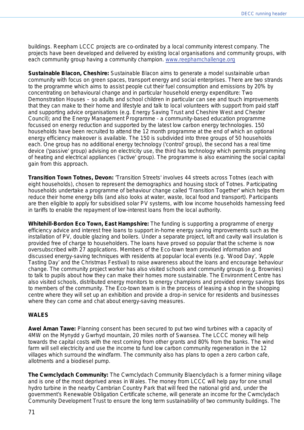buildings. Reepham LCCC projects are co-ordinated by a local community interest company. The projects have been developed and delivered by existing local organisations and community groups, with each community group having a community champion. [www.reephamchallenge.org](http://www.reephamchallenge.org/)

**Sustainable Blacon, Cheshire:** Sustainable Blacon aims to generate a model sustainable urban community with focus on green spaces, transport energy and social enterprises. There are two strands to the programme which aims to assist people cut their fuel consumption and emissions by 20% by concentrating on behavioural change and in particular household energy expenditure: *Two Demonstration Houses* – so adults and school children in particular can see and touch improvements that they can make to their home and lifestyle and talk to local volunteers with support from paid staff and supporting advice organisations (e.g. Energy Saving Trust and Cheshire West and Chester Council); and the *Energy Management Programme* - a community-based education programme focussed on energy reduction and supported by the latest low carbon energy technologies. 150 households have been recruited to attend the 12 month programme at the end of which an optional energy efficiency makeover is available. The 150 is subdivided into three groups of 50 households each. One group has no additional energy technology ('control' group), the second has a real time device ('passive' group) advising on electricity use, the third has technology which permits programming of heating and electrical appliances ('active' group). The programme is also examining the social capital gain from this approach.

**Transition Town Totnes, Devon:** 'Transition Streets' involves 44 streets across Totnes (each with eight households), chosen to represent the demographics and housing stock of Totnes. Participating households undertake a programme of behaviour change called 'Transition Together' which helps them reduce their home energy bills (and also looks at water, waste, local food and transport). Participants are then eligible to apply for subsidised solar PV systems, with low income households harnessing feed in tariffs to enable the repayment of low-interest loans from the local authority.

**Whitehill-Bordon Eco Town, East Hampshire:** The funding is supporting a programme of energy efficiency advice and interest free loans to support in-home energy saving improvements such as the installation of PV, double glazing and boilers. Under a separate project, loft and cavity wall insulation is provided free of charge to householders. The loans have proved so popular that the scheme is now oversubscribed with 27 applications. Members of the Eco-town team provided information and discussed energy-saving techniques with residents at popular local events (e.g. 'Wood Day', 'Apple Tasting Day' and the Christmas Festival) to raise awareness about the loans and encourage behaviour change. The community project worker has also visited schools and community groups (e.g. Brownies) to talk to pupils about how they can make their homes more sustainable. The Environment Centre has also visited schools, distributed energy monitors to energy champions and provided energy savings tips to members of the community. The Eco-town team is in the process of leasing a shop in the shopping centre where they will set up an exhibition and provide a drop-in service for residents and businesses where they can come and chat about energy-saving measures.

#### **WALES**

**Awel Aman Tawe:** Planning consent has been secured to put two wind turbines with a capacity of 4MW on the Mynydd y Gwrhyd mountain, 20 miles north of Swansea. The LCCC money will help towards the capital costs with the rest coming from other grants and 80% from the banks. The wind farm will sell electricity and use the income to fund low carbon community regeneration in the 12 villages which surround the windfarm. The community also has plans to open a zero carbon cafe, allotments and a biodiesel pump.

**The Cwmclydach Community:** The Cwmclydach Community Blaenclydach is a former mining village and is one of the most deprived areas in Wales. The money from LCCC will help pay for one small hydro turbine in the nearby Cambrian Country Park that will feed the national grid and, under the government's Renewable Obligation Certificate scheme, will generate an income for the Cwmclydach Community Development Trust to ensure the long term sustainability of two community buildings. The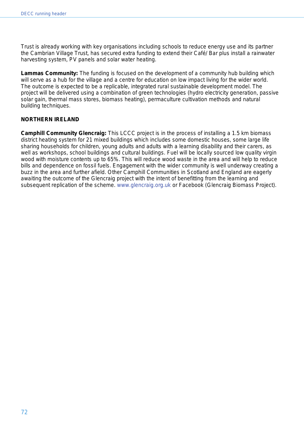Trust is already working with key organisations including schools to reduce energy use and its partner the Cambrian Village Trust, has secured extra funding to extend their Café/ Bar plus install a rainwater harvesting system, PV panels and solar water heating.

**Lammas Community:** The funding is focused on the development of a community hub building which will serve as a hub for the village and a centre for education on low impact living for the wider world. The outcome is expected to be a replicable, integrated rural sustainable development model. The project will be delivered using a combination of green technologies (hydro electricity generation, passive solar gain, thermal mass stores, biomass heating), permaculture cultivation methods and natural building techniques.

#### **NORTHERN IRELAND**

**Camphill Community Glencraig:** This LCCC project is in the process of installing a 1.5 km biomass district heating system for 21 mixed buildings which includes some domestic houses, some large life sharing households for children, young adults and adults with a learning disability and their carers, as well as workshops, school buildings and cultural buildings. Fuel will be locally sourced low quality virgin wood with moisture contents up to 65%. This will reduce wood waste in the area and will help to reduce bills and dependence on fossil fuels. Engagement with the wider community is well underway creating a buzz in the area and further afield. Other Camphill Communities in Scotland and England are eagerly awaiting the outcome of the Glencraig project with the intent of benefitting from the learning and subsequent replication of the scheme. [www.glencraig.org.uk](http://www.glencraig.org.uk/) or Facebook (Glencraig Biomass Project).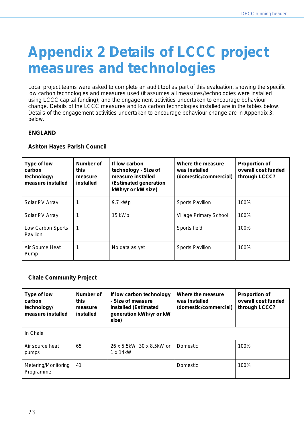# **Appendix 2 Details of LCCC project measures and technologies**

Local project teams were asked to complete an audit tool as part of this evaluation, showing the specific low carbon technologies and measures used (it assumes all measures/technologies were installed using LCCC capital funding); and the engagement activities undertaken to encourage behaviour change. Details of the LCCC measures and low carbon technologies installed are in the tables below. Details of the engagement activities undertaken to encourage behaviour change are in Appendix 3, below.

#### **ENGLAND**

#### **Ashton Hayes Parish Council**

| Type of low<br>carbon<br>technology/<br>measure installed | Number of<br>this<br>measure<br>installed | If low carbon<br>technology - Size of<br>measure installed<br>(Estimated generation<br>kWh/yr or kW size) | Where the measure<br>was installed<br>(domestic/commercial) | <b>Proportion of</b><br>overall cost funded<br>through LCCC? |
|-----------------------------------------------------------|-------------------------------------------|-----------------------------------------------------------------------------------------------------------|-------------------------------------------------------------|--------------------------------------------------------------|
| Solar PV Array                                            |                                           | 9.7 kWp                                                                                                   | <b>Sports Pavilion</b>                                      | 100%                                                         |
| Solar PV Array                                            |                                           | 15 kWp                                                                                                    | Village Primary School                                      | 100%                                                         |
| Low Carbon Sports<br><b>Pavilion</b>                      | -1                                        |                                                                                                           | Sports field                                                | 100%                                                         |
| Air Source Heat<br>Pump                                   | 1                                         | No data as yet                                                                                            | <b>Sports Pavilion</b>                                      | 100%                                                         |

#### **Chale Community Project**

| Type of low<br>carbon<br>technology/<br>measure installed | Number of<br>this<br>measure<br>installed | If low carbon technology<br>- Size of measure<br>installed (Estimated<br>generation kWh/yr or kW<br>size) | Where the measure<br>was installed<br>(domestic/commercial) | <b>Proportion of</b><br>overall cost funded<br>through LCCC? |
|-----------------------------------------------------------|-------------------------------------------|-----------------------------------------------------------------------------------------------------------|-------------------------------------------------------------|--------------------------------------------------------------|
| In Chale                                                  |                                           |                                                                                                           |                                                             |                                                              |
| Air source heat<br>pumps                                  | 65                                        | 26 x 5.5kW, 30 x 8.5kW or<br>$1 \times 14$ kW                                                             | Domestic                                                    | 100%                                                         |
| Metering/Monitoring<br>Programme                          | 41                                        |                                                                                                           | Domestic                                                    | 100%                                                         |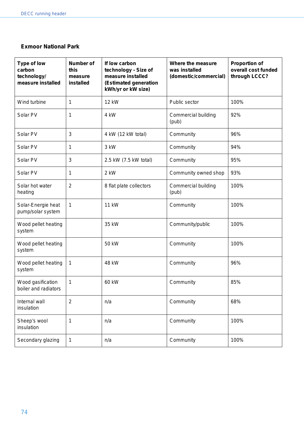#### **Exmoor National Park**

| Type of low<br>carbon<br>technology/<br>measure installed | <b>Number of</b><br>this<br>measure<br>installed | If low carbon<br>technology - Size of<br>measure installed<br>(Estimated generation<br>kWh/yr or kW size) | Where the measure<br>was installed<br>(domestic/commercial) | <b>Proportion of</b><br>overall cost funded<br>through LCCC? |
|-----------------------------------------------------------|--------------------------------------------------|-----------------------------------------------------------------------------------------------------------|-------------------------------------------------------------|--------------------------------------------------------------|
| Wind turbine                                              | 1                                                | <b>12 kW</b>                                                                                              | Public sector                                               | 100%                                                         |
| Solar PV                                                  | 1                                                | 4 kW                                                                                                      | Commercial building<br>(pub)                                | 92%                                                          |
| Solar PV                                                  | 3                                                | 4 kW (12 kW total)                                                                                        | Community                                                   | 96%                                                          |
| Solar PV                                                  | 1                                                | 3 kW                                                                                                      | Community                                                   | 94%                                                          |
| Solar PV                                                  | 3                                                | 2.5 kW (7.5 kW total)                                                                                     | Community                                                   | 95%                                                          |
| Solar PV                                                  | 1                                                | 2 kW                                                                                                      | Community owned shop                                        | 93%                                                          |
| Solar hot water<br>heating                                | $\overline{2}$                                   | 8 flat plate collectors                                                                                   | Commercial building<br>(pub)                                | 100%                                                         |
| Solar-Energie heat<br>pump/solar system                   | 1                                                | <b>11 kW</b>                                                                                              | Community                                                   | 100%                                                         |
| Wood pellet heating<br>system                             |                                                  | 35 kW                                                                                                     | Community/public                                            | 100%                                                         |
| Wood pellet heating<br>system                             |                                                  | 50 kW                                                                                                     | Community                                                   | 100%                                                         |
| Wood pellet heating<br>system                             | 1                                                | 48 kW                                                                                                     | Community                                                   | 96%                                                          |
| Wood gasification<br>boiler and radiators                 | 1                                                | 60 kW                                                                                                     | Community                                                   | 85%                                                          |
| Internal wall<br>insulation                               | $\overline{2}$                                   | n/a                                                                                                       | Community                                                   | 68%                                                          |
| Sheep's wool<br>insulation                                | 1                                                | n/a                                                                                                       | Community                                                   | 100%                                                         |
| Secondary glazing                                         | 1                                                | n/a                                                                                                       | Community                                                   | 100%                                                         |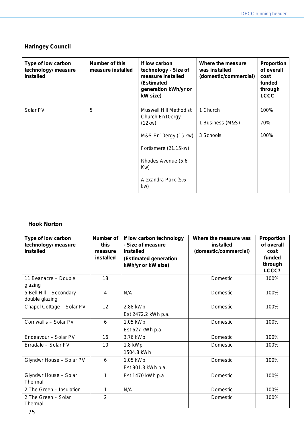## **Haringey Council**

| Type of low carbon<br>technology/ measure<br><b>installed</b> | Number of this<br>measure installed | If low carbon<br>technology - Size of<br>measure installed<br>(Estimated<br>generation kWh/yr or<br>kW size) | Where the measure<br>was installed<br>(domestic/commercial) | Proportion<br>of overall<br>cost<br>funded<br>through<br><b>LCCC</b> |
|---------------------------------------------------------------|-------------------------------------|--------------------------------------------------------------------------------------------------------------|-------------------------------------------------------------|----------------------------------------------------------------------|
| Solar PV                                                      | 5                                   | Muswell Hill Methodist<br>Church En10ergy                                                                    | 1 Church                                                    | 100%                                                                 |
|                                                               | (12kw)                              |                                                                                                              | 1 Business (M&S)                                            | 70%                                                                  |
|                                                               |                                     | M&S En10ergy (15 kw)                                                                                         | 3 Schools                                                   | 100%                                                                 |
|                                                               |                                     | Fortismere (21.15kw)                                                                                         |                                                             |                                                                      |
|                                                               |                                     | Rhodes Avenue (5.6<br>Kw)                                                                                    |                                                             |                                                                      |
|                                                               |                                     | Alexandra Park (5.6<br>kw)                                                                                   |                                                             |                                                                      |

## **Hook Norton**

| Type of low carbon<br>technology/ measure<br>installed | Number of<br>this<br>measure<br>installed | If low carbon technology<br>- Size of measure<br>installed<br>(Estimated generation<br>kWh/yr or kW size) | Where the measure was<br>installed<br>(domestic/commercial) | Proportion<br>of overall<br>cost<br>funded<br>through<br>LCCC? |
|--------------------------------------------------------|-------------------------------------------|-----------------------------------------------------------------------------------------------------------|-------------------------------------------------------------|----------------------------------------------------------------|
| 11 Beanacre - Double<br>glazing                        | 18                                        |                                                                                                           | Domestic                                                    | 100%                                                           |
| 5 Bell Hill - Secondary<br>double glazing              | 4                                         | N/A                                                                                                       | Domestic                                                    | 100%                                                           |
| Chapel Cottage - Solar PV                              | 12                                        | 2.88 kWp<br>Est 2472.2 kWh p.a.                                                                           | Domestic                                                    | 100%                                                           |
| Cornwallis - Solar PV                                  | 6                                         | 1.05 kWp<br>Est 627 kWh p.a.                                                                              | Domestic                                                    | 100%                                                           |
| Endeavour - Solar PV                                   | 16                                        | 3.76 kWp                                                                                                  | Domestic                                                    | 100%                                                           |
| Erradale - Solar PV                                    | 10                                        | $1.8$ kWp<br>1504.8 kWh                                                                                   | Domestic                                                    | 100%                                                           |
| Glyndwr House - Solar PV                               | 6                                         | 1.05 kWp<br>Est 901.3 kWh p.a.                                                                            | Domestic                                                    | 100%                                                           |
| Glyndwr House - Solar<br>Thermal                       | 1                                         | Est 1470 kWh p.a                                                                                          | Domestic                                                    | 100%                                                           |
| 2 The Green - Insulation                               | 1                                         | N/A                                                                                                       | Domestic                                                    | 100%                                                           |
| 2 The Green - Solar<br>Thermal                         | $\overline{2}$                            |                                                                                                           | Domestic                                                    | 100%                                                           |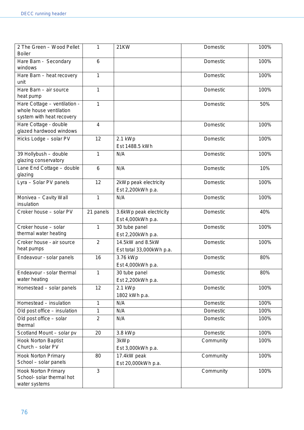| 2 The Green - Wood Pellet<br><b>Boiler</b>                                           | 1              | 21KW                                         | Domestic  | 100% |
|--------------------------------------------------------------------------------------|----------------|----------------------------------------------|-----------|------|
| Hare Barn - Secondary<br>windows                                                     | $\,6$          |                                              | Domestic  | 100% |
| Hare Barn - heat recovery<br>unit                                                    | 1              |                                              | Domestic  | 100% |
| Hare Barn - air source<br>heat pump                                                  | 1              |                                              | Domestic  | 100% |
| Hare Cottage - ventilation -<br>whole house ventilation<br>system with heat recovery | 1              |                                              | Domestic  | 50%  |
| Hare Cottage - double<br>glazed hardwood windows                                     | $\overline{4}$ |                                              | Domestic  | 100% |
| Hicks Lodge - solar PV                                                               | 12             | 2.1 kWp<br>Est 1488.5 kWh                    | Domestic  | 100% |
| 39 Hollybush - double<br>glazing conservatory                                        | 1              | N/A                                          | Domestic  | 100% |
| Lane End Cottage - double<br>glazing                                                 | $6\phantom{1}$ | N/A                                          | Domestic  | 10%  |
| Lyra - Solar PV panels                                                               | 12             | 2kWp peak electricity<br>Est 2,200kWh p.a.   | Domestic  | 100% |
| Monivea - Cavity Wall<br>insulation                                                  | 1              | N/A                                          | Domestic  | 100% |
| Croker house - solar PV                                                              | 21 panels      | 3.6kWp peak electricity<br>Est 4,000kWh p.a. | Domestic  | 40%  |
| Croker house - solar<br>thermal water heating                                        | 1              | 30 tube panel<br>Est 2,200kWh p.a.           | Domestic  | 100% |
| Croker house - air source<br>heat pumps                                              | $\overline{2}$ | 14.5kW and 8.5kW<br>Est total 33,000kWh p.a. | Domestic  | 100% |
| Endeavour - solar panels                                                             | 16             | 3.76 kWp<br>Est 4,000kWh p.a.                | Domestic  | 80%  |
| Endeavour - solar thermal<br>water heating                                           | 1              | 30 tube panel<br>Est 2,200kWh p.a.           | Domestic  | 80%  |
| Homestead - solar panels                                                             | 12             | 2.1 kWp<br>1802 kWh p.a.                     | Domestic  | 100% |
| Homestead - insulation                                                               | 1              | N/A                                          | Domestic  | 100% |
| Old post office - insulation                                                         | 1              | N/A                                          | Domestic  | 100% |
| Old post office - solar<br>thermal                                                   | $\overline{2}$ | N/A                                          | Domestic  | 100% |
| Scotland Mount - solar pv                                                            | 20             | 3.8 kWp                                      | Domestic  | 100% |
| <b>Hook Norton Baptist</b><br>Church - solar PV                                      |                | 3kWp<br>Est 3,000kWh p.a.                    | Community | 100% |
| <b>Hook Norton Primary</b><br>School - solar panels                                  | 80             | 17.4kW peak<br>Est 20,000kWh p.a.            | Community | 100% |
| Hook Norton Primary<br>School- solar thermal hot<br>water systems                    | 3              |                                              | Community | 100% |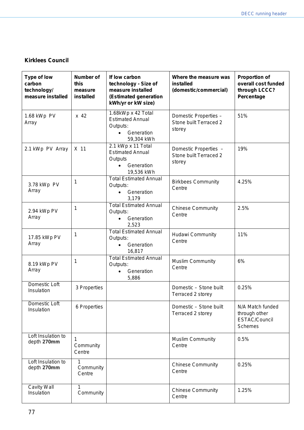# **Kirklees Council**

| Type of low<br>carbon<br>technology/<br>measure installed | <b>Number of</b><br>this<br>measure<br>installed | If low carbon<br>technology - Size of<br>measure installed<br>(Estimated generation<br>kWh/yr or kW size) | Where the measure was<br>installed<br>(domestic/commercial) | <b>Proportion of</b><br>overall cost funded<br>through LCCC?<br>Percentage |
|-----------------------------------------------------------|--------------------------------------------------|-----------------------------------------------------------------------------------------------------------|-------------------------------------------------------------|----------------------------------------------------------------------------|
| 1.68 kWp PV<br>Array                                      | $x$ 42                                           | 1.68kWp x 42 Total<br><b>Estimated Annual</b><br>Outputs:<br>Generation<br>$\bullet$<br>59,304 kWh        | Domestic Properties -<br>Stone built Terraced 2<br>storey   | 51%                                                                        |
| 2.1 kWp PV Array                                          | X 11                                             | 2.1 kWp x 11 Total<br><b>Estimated Annual</b><br>Outputs<br>Generation<br>$\bullet$<br>19,536 kWh         | Domestic Properties -<br>Stone built Terraced 2<br>storey   | 19%                                                                        |
| 3.78 kWp PV<br>Array                                      | 1                                                | <b>Total Estimated Annual</b><br>Outputs:<br>Generation<br>3,179                                          | <b>Birkbees Community</b><br>Centre                         | 4.25%                                                                      |
| 2.94 kWp PV<br>Array                                      | 1                                                | <b>Total Estimated Annual</b><br>Outputs:<br>Generation<br>$\bullet$<br>2,523                             | <b>Chinese Community</b><br>Centre                          | 2.5%                                                                       |
| 17.85 kWp PV<br>Array                                     | 1                                                | <b>Total Estimated Annual</b><br>Outputs:<br>Generation<br>$\bullet$<br>16,817                            | Hudawi Community<br>Centre                                  | 11%                                                                        |
| 8.19 kWp PV<br>Array                                      | 1                                                | <b>Total Estimated Annual</b><br>Outputs:<br>Generation<br>$\bullet$<br>5,886                             | <b>Muslim Community</b><br>Centre                           | 6%                                                                         |
| Domestic Loft<br>Insulation                               | 3 Properties                                     |                                                                                                           | Domestic - Stone built<br>Terraced 2 storey                 | 0.25%                                                                      |
| Domestic Loft<br>Insulation                               | 6 Properties                                     |                                                                                                           | Domestic - Stone built<br>Terraced 2 storey                 | N/A Match funded<br>through other<br>ESTAC/Council<br><b>Schemes</b>       |
| Loft Insulation to<br>depth 270mm                         | 1<br>Community<br>Centre                         |                                                                                                           | <b>Muslim Community</b><br>Centre                           | 0.5%                                                                       |
| Loft Insulation to<br>depth 270mm                         | 1<br>Community<br>Centre                         |                                                                                                           | <b>Chinese Community</b><br>Centre                          | 0.25%                                                                      |
| Cavity Wall<br>Insulation                                 | 1<br>Community                                   |                                                                                                           | <b>Chinese Community</b><br>Centre                          | 1.25%                                                                      |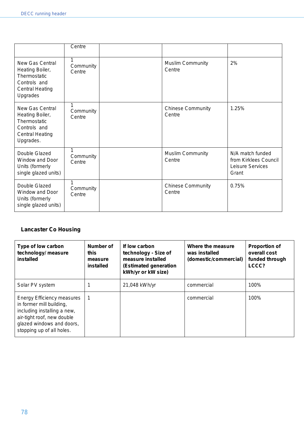|                                                                                                           | Centre              |                                    |                                                                        |
|-----------------------------------------------------------------------------------------------------------|---------------------|------------------------------------|------------------------------------------------------------------------|
| New Gas Central<br>Heating Boiler,<br>Thermostatic<br>Controls and<br><b>Central Heating</b><br>Upgrades  | Community<br>Centre | <b>Muslim Community</b><br>Centre  | 2%                                                                     |
| New Gas Central<br>Heating Boiler,<br>Thermostatic<br>Controls and<br><b>Central Heating</b><br>Upgrades. | Community<br>Centre | <b>Chinese Community</b><br>Centre | 1.25%                                                                  |
| Double Glazed<br><b>Window and Door</b><br>Units (formerly<br>single glazed units)                        | Community<br>Centre | <b>Muslim Community</b><br>Centre  | N/A match funded<br>from Kirklees Council<br>Leisure Services<br>Grant |
| Double Glazed<br>Window and Door<br>Units (formerly<br>single glazed units)                               | Community<br>Centre | <b>Chinese Community</b><br>Centre | 0.75%                                                                  |

# **Lancaster Co Housing**

| Type of low carbon<br>technology/ measure<br>installed                                                                                                                        | Number of<br>this<br>measure<br>installed | If low carbon<br>technology - Size of<br>measure installed<br>(Estimated generation<br>kWh/yr or kW size) | Where the measure<br>was installed<br>(domestic/commercial) | <b>Proportion of</b><br>overall cost<br>funded through<br>LCCC? |
|-------------------------------------------------------------------------------------------------------------------------------------------------------------------------------|-------------------------------------------|-----------------------------------------------------------------------------------------------------------|-------------------------------------------------------------|-----------------------------------------------------------------|
| Solar PV system                                                                                                                                                               |                                           | 21,048 kWh/yr                                                                                             | commercial                                                  | 100%                                                            |
| Energy Efficiency measures<br>in former mill building,<br>including installing a new,<br>air-tight roof, new double<br>glazed windows and doors,<br>stopping up of all holes. |                                           |                                                                                                           | commercial                                                  | 100%                                                            |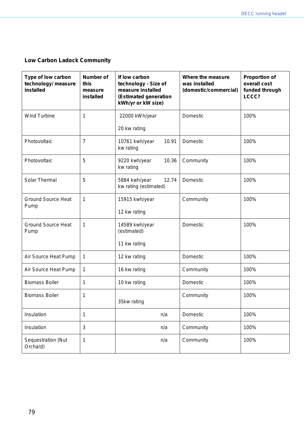# **Low Carbon Ladock Community**

| Type of low carbon<br>technology/ measure<br>installed | <b>Number of</b><br>this<br>measure<br>installed | If low carbon<br>technology - Size of<br>measure installed<br>(Estimated generation<br>kWh/yr or kW size) | Where the measure<br>was installed<br>(domestic/commercial) | <b>Proportion of</b><br>overall cost<br>funded through<br>LCCC? |
|--------------------------------------------------------|--------------------------------------------------|-----------------------------------------------------------------------------------------------------------|-------------------------------------------------------------|-----------------------------------------------------------------|
| <b>Wind Turbine</b>                                    | 1                                                | 22000 kWh/year                                                                                            | Domestic                                                    | 100%                                                            |
|                                                        |                                                  | 20 kw rating                                                                                              |                                                             |                                                                 |
| Photovoltaic                                           | $\overline{7}$                                   | 10761 kwh/year<br>10.91<br>kw rating                                                                      | Domestic                                                    | 100%                                                            |
| Photovoltaic                                           | 5                                                | 9220 kwh/year<br>10.36<br>kw rating                                                                       | Community                                                   | 100%                                                            |
| Solar Thermal                                          | 5                                                | 5884 kwh/year<br>12.74<br>kw rating (estimated)                                                           | Domestic                                                    | 100%                                                            |
| <b>Ground Source Heat</b><br>Pump                      | $\mathbf{1}$                                     | 15915 kwh/year                                                                                            | Community                                                   | 100%                                                            |
|                                                        |                                                  | 12 kw rating                                                                                              |                                                             |                                                                 |
| <b>Ground Source Heat</b><br>Pump                      | 1                                                | 14589 kwh/year<br>(estimated)                                                                             | Domestic                                                    | 100%                                                            |
|                                                        |                                                  | 11 kw rating                                                                                              |                                                             |                                                                 |
| Air Source Heat Pump                                   | 1                                                | 12 kw rating                                                                                              | Domestic                                                    | 100%                                                            |
| Air Source Heat Pump                                   | $\mathbf 1$                                      | 16 kw rating                                                                                              | Community                                                   | 100%                                                            |
| <b>Biomass Boiler</b>                                  | 1                                                | 10 kw rating                                                                                              | Domestic                                                    | 100%                                                            |
| <b>Biomass Boiler</b>                                  | 1                                                | 35kw rating                                                                                               | Community                                                   | 100%                                                            |
| Insulation                                             | $\mathbf 1$                                      | n/a                                                                                                       | Domestic                                                    | 100%                                                            |
| Insulation                                             | $\mathbf{3}$                                     | n/a                                                                                                       | Community                                                   | 100%                                                            |
| Sequestration (Nut<br>Orchard)                         | $\mathbf 1$                                      | n/a                                                                                                       | Community                                                   | 100%                                                            |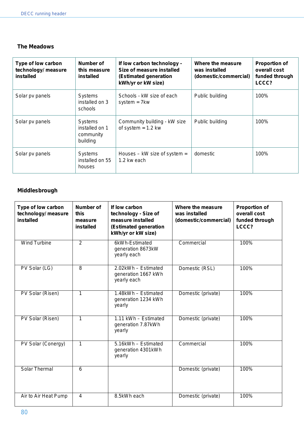#### **The Meadows**

| Type of low carbon<br>technology/ measure<br>installed | Number of<br>this measure<br>installed             | If low carbon technology -<br>Size of measure installed<br>(Estimated generation<br>kWh/yr or kW size) | Where the measure<br>was installed<br>(domestic/commercial) | <b>Proportion of</b><br>overall cost<br>funded through<br>LCCC? |
|--------------------------------------------------------|----------------------------------------------------|--------------------------------------------------------------------------------------------------------|-------------------------------------------------------------|-----------------------------------------------------------------|
| Solar pv panels                                        | Systems<br>installed on 3<br>schools               | Schools - kW size of each<br>system $= 7$ kw                                                           | Public building                                             | 100%                                                            |
| Solar pv panels                                        | Systems<br>installed on 1<br>community<br>building | Community building - kW size<br>of system $= 1.2$ kw                                                   | Public building                                             | 100%                                                            |
| Solar pv panels                                        | Systems<br>installed on 55<br>houses               | Houses $-$ kW size of system $=$<br>1.2 kw each                                                        | domestic                                                    | 100%                                                            |

# **Middlesbrough**

| Type of low carbon<br>technology/ measure<br>installed | Number of<br>this<br>measure<br>installed | If low carbon<br>technology - Size of<br>measure installed<br>(Estimated generation<br>kWh/yr or kW size) | Where the measure<br>was installed<br>(domestic/commercial) | <b>Proportion of</b><br>overall cost<br>funded through<br>LCCC? |
|--------------------------------------------------------|-------------------------------------------|-----------------------------------------------------------------------------------------------------------|-------------------------------------------------------------|-----------------------------------------------------------------|
| <b>Wind Turbine</b>                                    | $\overline{2}$                            | 6kWh-Estimated<br>generation 8673kW<br>yearly each                                                        | Commercial                                                  | 100%                                                            |
| PV Solar (LG)                                          | 8                                         | 2.02kWh - Estimated<br>generation 1667 kWh<br>yearly each                                                 | Domestic (RSL)                                              | 100%                                                            |
| PV Solar (Risen)                                       | $\mathbf{1}$                              | 1.48kWh - Estimated<br>generation 1234 kWh<br>yearly                                                      | Domestic (private)                                          | 100%                                                            |
| PV Solar (Risen)                                       | $\mathbf{1}$                              | 1.11 kWh - Estimated<br>generation 7.87kWh<br>yearly                                                      | Domestic (private)                                          | 100%                                                            |
| PV Solar (Conergy)                                     | 1                                         | 5.16kWh - Estimated<br>generation 4301kWh<br>yearly                                                       | Commercial                                                  | 100%                                                            |
| Solar Thermal                                          | 6                                         |                                                                                                           | Domestic (private)                                          | 100%                                                            |
| Air to Air Heat Pump                                   | $\overline{4}$                            | 8.5kWh each                                                                                               | Domestic (private)                                          | 100%                                                            |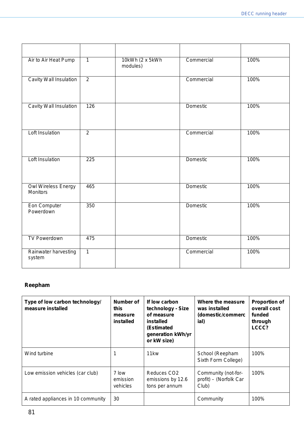| Air to Air Heat Pump                          | $\overline{1}$   | 10kWh (2 x 5kWh)<br>modules) | Commercial      | 100% |
|-----------------------------------------------|------------------|------------------------------|-----------------|------|
| Cavity Wall Insulation                        | $\overline{2}$   |                              | Commercial      | 100% |
| Cavity Wall Insulation                        | 126              |                              | Domestic        | 100% |
| <b>Loft Insulation</b>                        | $\overline{2}$   |                              | Commercial      | 100% |
| <b>Loft Insulation</b>                        | $\overline{225}$ |                              | <b>Domestic</b> | 100% |
| <b>Owl Wireless Energy</b><br><b>Monitors</b> | 465              |                              | Domestic        | 100% |
| Eon Computer<br>Powerdown                     | 350              |                              | Domestic        | 100% |
| <b>TV Powerdown</b>                           | 475              |                              | Domestic        | 100% |
| Rainwater harvesting<br>system                | $\overline{1}$   |                              | Commercial      | 100% |

## **Reepham**

| Type of low carbon technology/<br>measure installed | Number of<br>this<br>measure<br>installed | If low carbon<br>technology - Size<br>of measure<br>installed<br>(Estimated<br>generation kWh/yr<br>or kW size) | Where the measure<br>was installed<br>(domestic/commerc<br>ial) | <b>Proportion of</b><br>overall cost<br>funded<br>through<br>LCCC? |
|-----------------------------------------------------|-------------------------------------------|-----------------------------------------------------------------------------------------------------------------|-----------------------------------------------------------------|--------------------------------------------------------------------|
| Wind turbine                                        |                                           | 11 <sub>kw</sub>                                                                                                | School (Reepham<br>Sixth Form College)                          | 100%                                                               |
| Low emission vehicles (car club)                    | 7 low<br>emission<br>vehicles             | Reduces CO <sub>2</sub><br>emissions by 12.6<br>tons per annum                                                  | Community (not-for-<br>profit) – (Norfolk Car<br>Club)          | 100%                                                               |
| A rated appliances in 10 community                  | 30                                        |                                                                                                                 | Community                                                       | 100%                                                               |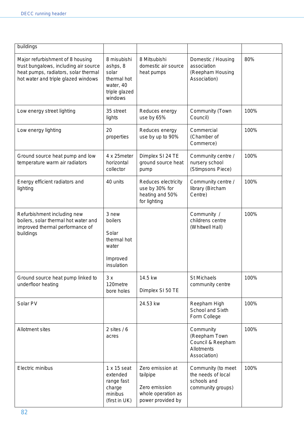| buildings                                                                                                                                                |                                                                                          |                                                                                          |                                                                               |      |
|----------------------------------------------------------------------------------------------------------------------------------------------------------|------------------------------------------------------------------------------------------|------------------------------------------------------------------------------------------|-------------------------------------------------------------------------------|------|
| Major refurbishment of 8 housing<br>trust bungalows, including air source<br>heat pumps, radiators, solar thermal<br>hot water and triple glazed windows | 8 misubishi<br>ashps, 8<br>solar<br>thermal hot<br>water, 40<br>triple glazed<br>windows | 8 Mitsubishi<br>domestic air source<br>heat pumps                                        | Domestic / Housing<br>association<br>(Reepham Housing<br>Association)         | 80%  |
| Low energy street lighting                                                                                                                               | 35 street<br>lights                                                                      | Reduces energy<br>use by 65%                                                             | Community (Town<br>Council)                                                   | 100% |
| Low energy lighting                                                                                                                                      | 20<br>properties                                                                         | Reduces energy<br>use by up to 90%                                                       | Commercial<br>(Chamber of<br>Commerce)                                        | 100% |
| Ground source heat pump and low<br>temperature warm air radiators                                                                                        | 4 x 25 meter<br>horizontal<br>collector                                                  | Dimplex SI 24 TE<br>ground source heat<br>pump                                           | Community centre /<br>nursery school<br>(Stimpsons Piece)                     | 100% |
| Energy efficient radiators and<br>lighting                                                                                                               | 40 units                                                                                 | Reduces electricity<br>use by 30% for<br>heating and 50%<br>for lighting                 | Community centre /<br>library (Bircham<br>Centre)                             | 100% |
| Refurbishment including new<br>boilers, solar thermal hot water and<br>improved thermal performance of<br>buildings                                      | 3 new<br>boilers<br>Solar<br>thermal hot<br>water<br>Improved<br>insulation              |                                                                                          | Community /<br>childrens centre<br>(Whitwell Hall)                            | 100% |
| Ground source heat pump linked to<br>underfloor heating                                                                                                  | 3x<br>120metre<br>bore holes                                                             | 14.5 kw<br>Dimplex SI 50 TE                                                              | <b>St Michaels</b><br>community centre                                        | 100% |
| Solar PV                                                                                                                                                 |                                                                                          | 24.53 kw                                                                                 | Reepham High<br>School and Sixth<br>Form College                              | 100% |
| Allotment sites                                                                                                                                          | 2 sites $/ 6$<br>acres                                                                   |                                                                                          | Community<br>(Reepham Town<br>Council & Reepham<br>Allotments<br>Association) | 100% |
| Electric minibus                                                                                                                                         | $1 \times 15$ seat<br>extended<br>range fast<br>charge<br>minibus<br>(first in UK)       | Zero emission at<br>tailpipe<br>Zero emission<br>whole operation as<br>power provided by | Community (to meet<br>the needs of local<br>schools and<br>community groups)  | 100% |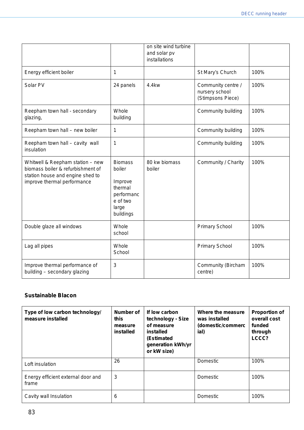|                                                                                                                                          |                                                                                                | on site wind turbine<br>and solar pv<br>installations |                                                           |      |
|------------------------------------------------------------------------------------------------------------------------------------------|------------------------------------------------------------------------------------------------|-------------------------------------------------------|-----------------------------------------------------------|------|
| Energy efficient boiler                                                                                                                  | 1                                                                                              |                                                       | St Mary's Church                                          | 100% |
| Solar PV                                                                                                                                 | 24 panels                                                                                      | 4.4kw                                                 | Community centre /<br>nursery school<br>(Stimpsons Piece) | 100% |
| Reepham town hall - secondary<br>glazing,                                                                                                | Whole<br>building                                                                              |                                                       | Community building                                        | 100% |
| Reepham town hall - new boiler                                                                                                           | 1                                                                                              |                                                       | Community building                                        | 100% |
| Reepham town hall - cavity wall<br>insulation                                                                                            | 1                                                                                              |                                                       | Community building                                        | 100% |
| Whitwell & Reepham station - new<br>biomass boiler & refurbishment of<br>station house and engine shed to<br>improve thermal performance | <b>Biomass</b><br>boiler<br>Improve<br>thermal<br>performanc<br>e of two<br>large<br>buildings | 80 kw biomass<br>boiler                               | Community / Charity                                       | 100% |
| Double glaze all windows                                                                                                                 | Whole<br>school                                                                                |                                                       | <b>Primary School</b>                                     | 100% |
| Lag all pipes                                                                                                                            | Whole<br>School                                                                                |                                                       | <b>Primary School</b>                                     | 100% |
| Improve thermal performance of<br>building - secondary glazing                                                                           | 3                                                                                              |                                                       | Community (Bircham<br>centre)                             | 100% |

## **Sustainable Blacon**

| Type of low carbon technology/<br>measure installed | Number of<br>this<br>measure<br>installed | If low carbon<br>technology - Size<br>of measure<br>installed<br>(Estimated<br>generation kWh/yr<br>or kW size) | Where the measure<br>was installed<br>(domestic/commerc<br>ial) | <b>Proportion of</b><br>overall cost<br>funded<br>through<br>LCCC? |
|-----------------------------------------------------|-------------------------------------------|-----------------------------------------------------------------------------------------------------------------|-----------------------------------------------------------------|--------------------------------------------------------------------|
| Loft insulation                                     | 26                                        |                                                                                                                 | Domestic                                                        | 100%                                                               |
| Energy efficient external door and<br>frame         | 3                                         |                                                                                                                 | Domestic                                                        | 100%                                                               |
| Cavity wall Insulation                              | 6                                         |                                                                                                                 | Domestic                                                        | 100%                                                               |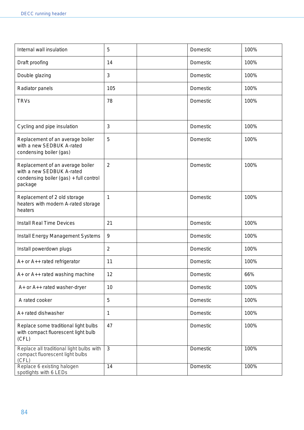| Internal wall insulation                                                                                           | 5              | Domestic | 100% |
|--------------------------------------------------------------------------------------------------------------------|----------------|----------|------|
| Draft proofing                                                                                                     | 14             | Domestic | 100% |
| Double glazing                                                                                                     | 3              | Domestic | 100% |
| Radiator panels                                                                                                    | 105            | Domestic | 100% |
| <b>TRVs</b>                                                                                                        | 78             | Domestic | 100% |
| Cycling and pipe insulation                                                                                        | 3              | Domestic | 100% |
| Replacement of an average boiler<br>with a new SEDBUK A-rated<br>condensing boiler (gas)                           | 5              | Domestic | 100% |
| Replacement of an average boiler<br>with a new SEDBUK A-rated<br>condensing boiler (gas) + full control<br>package | $\overline{2}$ | Domestic | 100% |
| Replacement of 2 old storage<br>heaters with modern A-rated storage<br>heaters                                     | 1              | Domestic | 100% |
| <b>Install Real Time Devices</b>                                                                                   | 21             | Domestic | 100% |
| <b>Install Energy Management Systems</b>                                                                           | 9              | Domestic | 100% |
| Install powerdown plugs                                                                                            | $\overline{2}$ | Domestic | 100% |
| A+ or A++ rated refrigerator                                                                                       | 11             | Domestic | 100% |
| A+ or A++ rated washing machine                                                                                    | 12             | Domestic | 66%  |
| A+ or A++ rated washer-dryer                                                                                       | 10             | Domestic | 100% |
| A rated cooker                                                                                                     | $\mathbf 5$    | Domestic | 100% |
| A+ rated dishwasher                                                                                                | 1              | Domestic | 100% |
| Replace some traditional light bulbs<br>with compact fluorescent light bulb<br>(CFL)                               | 47             | Domestic | 100% |
| Replace all traditional light bulbs with<br>compact fluorescent light bulbs<br>(CFL)                               | 3              | Domestic | 100% |
| Replace 6 existing halogen<br>spotlights with 6 LEDs                                                               | 14             | Domestic | 100% |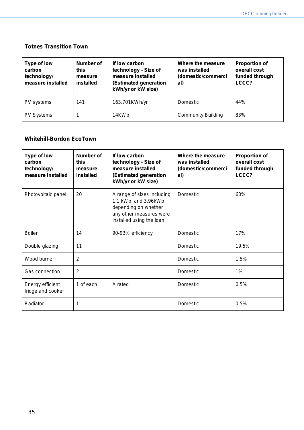#### **Totnes Transition Town**

| Type of low<br>carbon<br>technology/<br>measure installed | Number of<br>this<br>measure<br>installed | If low carbon<br>technology - Size of<br>measure installed<br>(Estimated generation<br>kWh/yr or kW size) | Where the measure<br>was installed<br>(domestic/commerci<br>al) | <b>Proportion of</b><br>overall cost<br>funded through<br>LCCC? |
|-----------------------------------------------------------|-------------------------------------------|-----------------------------------------------------------------------------------------------------------|-----------------------------------------------------------------|-----------------------------------------------------------------|
| PV systems                                                | 141                                       | 163,701KWh/yr                                                                                             | Domestic                                                        | 44%                                                             |
| <b>PV Systems</b>                                         |                                           | 14KWp                                                                                                     | <b>Community Building</b>                                       | 83%                                                             |

# **Whitehill-Bordon EcoTown**

| Type of low<br>carbon<br>technology/<br>measure installed | Number of<br>this<br>measure<br>installed | If low carbon<br>technology - Size of<br>measure installed<br>(Estimated generation<br>kWh/yr or kW size)                        | Where the measure<br>was installed<br>(domestic/commerci<br>al) | <b>Proportion of</b><br>overall cost<br>funded through<br>LCCC? |
|-----------------------------------------------------------|-------------------------------------------|----------------------------------------------------------------------------------------------------------------------------------|-----------------------------------------------------------------|-----------------------------------------------------------------|
| Photovoltaic panel                                        | 20                                        | A range of sizes including<br>1.1 kWp and 3.96kWp<br>depending on whether<br>any other measures were<br>installed using the loan | Domestic                                                        | 60%                                                             |
| <b>Boiler</b>                                             | 14                                        | 90-93% efficiency                                                                                                                | Domestic                                                        | 17%                                                             |
| Double glazing                                            | 11                                        |                                                                                                                                  | Domestic                                                        | 19.5%                                                           |
| Wood burner                                               | 2                                         |                                                                                                                                  | Domestic                                                        | 1.5%                                                            |
| Gas connection                                            | $\overline{2}$                            |                                                                                                                                  | Domestic                                                        | 1%                                                              |
| Energy efficient<br>fridge and cooker                     | 1 of each                                 | A rated                                                                                                                          | Domestic                                                        | 0.5%                                                            |
| Radiator                                                  | 1                                         |                                                                                                                                  | Domestic                                                        | 0.5%                                                            |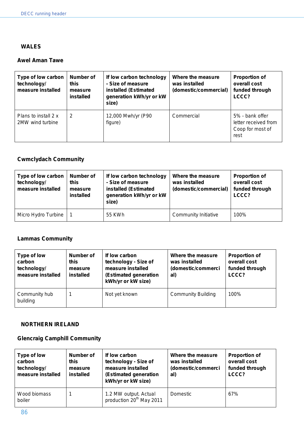#### **WALES**

### **Awel Aman Tawe**

| Type of low carbon<br>technology/<br>measure installed | Number of<br>this<br>measure<br>installed | If low carbon technology<br>- Size of measure<br>installed (Estimated<br>generation kWh/yr or kW<br>size) | Where the measure<br>was installed<br>(domestic/commercial) | <b>Proportion of</b><br>overall cost<br>funded through<br>LCCC?     |
|--------------------------------------------------------|-------------------------------------------|-----------------------------------------------------------------------------------------------------------|-------------------------------------------------------------|---------------------------------------------------------------------|
| Plans to install 2 x<br>2MW wind turbine               | 2                                         | 12,000 Mwh/yr (P90<br>figure)                                                                             | Commercial                                                  | 5% - bank offer<br>letter received from<br>Coop for most of<br>rest |

# **Cwmclydach Community**

| Type of low carbon<br>technology/<br>measure installed | <b>Number of</b><br>this<br>measure<br>installed | If low carbon technology<br>- Size of measure<br>installed (Estimated<br>generation kWh/yr or kW<br>size) | Where the measure<br>was installed<br>(domestic/commercial) | <b>Proportion of</b><br>overall cost<br>funded through<br>LCCC? |
|--------------------------------------------------------|--------------------------------------------------|-----------------------------------------------------------------------------------------------------------|-------------------------------------------------------------|-----------------------------------------------------------------|
| Micro Hydro Turbine                                    |                                                  | 55 KWh                                                                                                    | <b>Community Initiative</b>                                 | 100%                                                            |

## **Lammas Community**

| Type of low<br>carbon<br>technology/<br>measure installed | Number of<br>this<br>measure<br>installed | If low carbon<br>technology - Size of<br>measure installed<br>(Estimated generation<br>kWh/yr or kW size) | Where the measure<br>was installed<br>(domestic/commerci<br>al) | <b>Proportion of</b><br>overall cost<br>funded through<br>LCCC? |
|-----------------------------------------------------------|-------------------------------------------|-----------------------------------------------------------------------------------------------------------|-----------------------------------------------------------------|-----------------------------------------------------------------|
| Community hub<br>building                                 |                                           | Not yet known                                                                                             | <b>Community Building</b>                                       | 100%                                                            |

#### **NORTHERN IRELAND**

#### **Glencraig Camphill Community**

| Type of low<br>carbon<br>technology/<br>measure installed | Number of<br>this<br>measure<br>installed | If low carbon<br>technology - Size of<br>measure installed<br>(Estimated generation<br>kWh/yr or kW size) | Where the measure<br>was installed<br>(domestic/commerci<br>al) | <b>Proportion of</b><br>overall cost<br>funded through<br>LCCC? |
|-----------------------------------------------------------|-------------------------------------------|-----------------------------------------------------------------------------------------------------------|-----------------------------------------------------------------|-----------------------------------------------------------------|
| Wood biomass<br>boiler                                    |                                           | 1.2 MW output. Actual<br>production 20 <sup>th</sup> May 2011                                             | Domestic                                                        | 67%                                                             |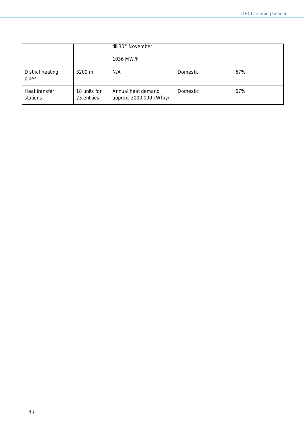|                           |                             | till 30 <sup>th</sup> November<br>1036 MW/h   |          |     |
|---------------------------|-----------------------------|-----------------------------------------------|----------|-----|
| District heating<br>pipes | $3200 \text{ m}$            | N/A                                           | Domestic | 67% |
| Heat transfer<br>stations | 18 units for<br>23 entities | Annual heat demand<br>approx. 2000,000 kWh/yr | Domestic | 67% |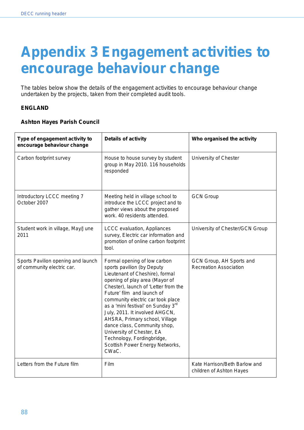# **Appendix 3 Engagement activities to encourage behaviour change**

The tables below show the details of the engagement activities to encourage behaviour change undertaken by the projects, taken from their completed audit tools.

#### **ENGLAND**

#### **Ashton Hayes Parish Council**

| Type of engagement activity to<br>encourage behaviour change     | <b>Details of activity</b>                                                                                                                                                                                                                                                                                                                                                                                                                                                                              | Who organised the activity                                |
|------------------------------------------------------------------|---------------------------------------------------------------------------------------------------------------------------------------------------------------------------------------------------------------------------------------------------------------------------------------------------------------------------------------------------------------------------------------------------------------------------------------------------------------------------------------------------------|-----------------------------------------------------------|
| Carbon footprint survey                                          | House to house survey by student<br>group in May 2010. 116 households<br>responded                                                                                                                                                                                                                                                                                                                                                                                                                      | University of Chester                                     |
| Introductory LCCC meeting 7<br>October 2007                      | Meeting held in village school to<br>introduce the LCCC project and to<br>gather views about the proposed<br>work. 40 residents attended.                                                                                                                                                                                                                                                                                                                                                               | <b>GCN Group</b>                                          |
| Student work in village, May/June<br>2011                        | LCCC evaluation, Appliances<br>survey, Electric car information and<br>promotion of online carbon footprint<br>tool.                                                                                                                                                                                                                                                                                                                                                                                    | University of Chester/GCN Group                           |
| Sports Pavilion opening and launch<br>of community electric car. | Formal opening of low carbon<br>sports pavilion (by Deputy<br>Lieutenant of Cheshire), formal<br>opening of play area (Mayor of<br>Chester), launch of 'Letter from the<br>Future' film and launch of<br>community electric car took place<br>as a 'mini festival' on Sunday 3 <sup>rd</sup><br>July, 2011. It involved AHGCN,<br>AHSRA, Primary school, Village<br>dance class, Community shop,<br>University of Chester, EA<br>Technology, Fordingbridge,<br>Scottish Power Energy Networks,<br>CWaC. | GCN Group, AH Sports and<br><b>Recreation Association</b> |
| Letters from the Future film                                     | Film                                                                                                                                                                                                                                                                                                                                                                                                                                                                                                    | Kate Harrison/Beth Barlow and<br>children of Ashton Hayes |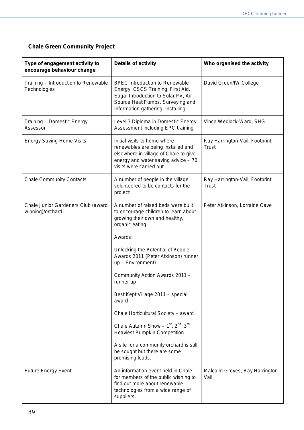## **Chale Green Community Project**

| Type of engagement activity to<br>encourage behaviour change | <b>Details of activity</b>                                                                                                                                                                 | Who organised the activity                     |
|--------------------------------------------------------------|--------------------------------------------------------------------------------------------------------------------------------------------------------------------------------------------|------------------------------------------------|
| Training - Introduction to Renewable<br>Technologies         | <b>BPEC Introduction to Renewable</b><br>Energy, CSCS Training, First Aid,<br>Eaga: Introduction to Solar PV, Air<br>Source Heat Pumps, Surveying and<br>Information gathering, Installing | David Green/IW College                         |
| Training - Domestic Energy<br>Assessor                       | Level 3 Diploma in Domestic Energy<br>Assessment including EPC training                                                                                                                    | Vince Wedlock-Ward, SHG                        |
| <b>Energy Saving Home Visits</b>                             | Initial visits to home where<br>renewables are being installed and<br>elsewhere in village of Chale to give<br>energy and water saving advice $-70$<br>visits were carried out             | Ray Harrington-Vail, Footprint<br>Trust        |
| <b>Chale Community Contacts</b>                              | A number of people in the village<br>volunteered to be contacts for the<br>project                                                                                                         | Ray Harrington-Vail, Footprint<br><b>Trust</b> |
| Chale Junior Gardeners Club (award<br>winning)/orchard       | A number of raised beds were built<br>to encourage children to learn about<br>growing their own and healthy,<br>organic eating.                                                            | Peter Atkinson, Lorraine Cave                  |
|                                                              | Awards:                                                                                                                                                                                    |                                                |
|                                                              | Unlocking the Potential of People<br>Awards 2011 (Peter Atkinson) runner<br>$up$ – Environment)                                                                                            |                                                |
|                                                              | Community Action Awards 2011 -<br>runner up                                                                                                                                                |                                                |
|                                                              | Best Kept Village 2011 - special<br>award                                                                                                                                                  |                                                |
|                                                              | Chale Horticultural Society - award                                                                                                                                                        |                                                |
|                                                              | Chale Autumn Show $-1^{st}$ , $2^{nd}$ , $3^{rd}$<br><b>Heaviest Pumpkin Competition</b>                                                                                                   |                                                |
|                                                              | A site for a community orchard is still<br>be sought but there are some<br>promising leads.                                                                                                |                                                |
| <b>Future Energy Event</b>                                   | An information event held in Chale<br>for members of the public wishing to<br>find out more about renewable<br>technologies from a wide range of<br>suppliers.                             | Malcolm Groves, Ray Harrington-<br>Vail        |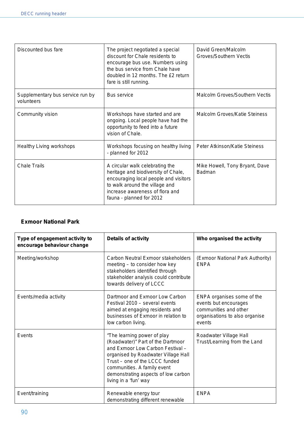| Discounted bus fare                            | The project negotiated a special<br>discount for Chale residents to<br>encourage bus use. Numbers using<br>the bus service from Chale have<br>doubled in 12 months. The £2 return<br>fare is still running.      | David Green/Malcolm<br>Groves/Southern Vectis   |
|------------------------------------------------|------------------------------------------------------------------------------------------------------------------------------------------------------------------------------------------------------------------|-------------------------------------------------|
| Supplementary bus service run by<br>volunteers | <b>Bus service</b>                                                                                                                                                                                               | Malcolm Groves/Southern Vectis                  |
| Community vision                               | Workshops have started and are<br>ongoing. Local people have had the<br>opportunity to feed into a future<br>vision of Chale.                                                                                    | Malcolm Groves/Katie Steiness                   |
| <b>Healthy Living workshops</b>                | Workshops focusing on healthy living<br>- planned for 2012                                                                                                                                                       | Peter Atkinson/Katie Steiness                   |
| <b>Chale Trails</b>                            | A circular walk celebrating the<br>heritage and biodiversity of Chale,<br>encouraging local people and visitors<br>to walk around the village and<br>increase awareness of flora and<br>fauna - planned for 2012 | Mike Howell, Tony Bryant, Dave<br><b>Badman</b> |

### **Exmoor National Park**

| Type of engagement activity to<br>encourage behaviour change | <b>Details of activity</b>                                                                                                                                                                                                                                                   | Who organised the activity                                                                                               |
|--------------------------------------------------------------|------------------------------------------------------------------------------------------------------------------------------------------------------------------------------------------------------------------------------------------------------------------------------|--------------------------------------------------------------------------------------------------------------------------|
| Meeting/workshop                                             | Carbon Neutral Exmoor stakeholders<br>meeting – to consider how key<br>stakeholders identified through<br>stakeholder analysis could contribute<br>towards delivery of LCCC                                                                                                  | (Exmoor National Park Authority)<br><b>ENPA</b>                                                                          |
| Events/media activity                                        | Dartmoor and Exmoor Low Carbon<br>Festival 2010 – several events<br>aimed at engaging residents and<br>businesses of Exmoor in relation to<br>low carbon living.                                                                                                             | ENPA organises some of the<br>events but encourages<br>communities and other<br>organisations to also organise<br>events |
| Events                                                       | "The learning power of play<br>(Roadwater)" Part of the Dartmoor<br>and Exmoor Low Carbon Festival -<br>organised by Roadwater Village Hall<br>Trust – one of the LCCC funded<br>communities. A family event<br>demonstrating aspects of low carbon<br>living in a 'fun' way | Roadwater Village Hall<br>Trust/Learning from the Land                                                                   |
| Event/training                                               | Renewable energy tour<br>demonstrating different renewable                                                                                                                                                                                                                   | <b>ENPA</b>                                                                                                              |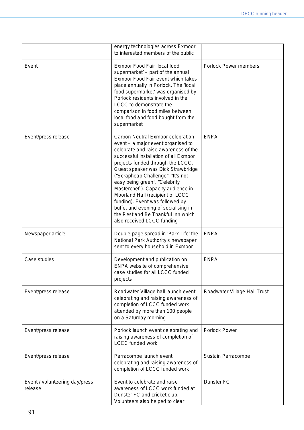|                                           | energy technologies across Exmoor<br>to interested members of the public                                                                                                                                                                                                                                                                                                                                                                                                                                                           |                              |
|-------------------------------------------|------------------------------------------------------------------------------------------------------------------------------------------------------------------------------------------------------------------------------------------------------------------------------------------------------------------------------------------------------------------------------------------------------------------------------------------------------------------------------------------------------------------------------------|------------------------------|
| Event                                     | Exmoor Food Fair 'local food<br>supermarket' - part of the annual<br>Exmoor Food Fair event which takes<br>place annually in Porlock. The 'local<br>food supermarket' was organised by<br>Porlock residents involved in the<br>LCCC to demonstrate the<br>comparison in food miles between<br>local food and food bought from the<br>supermarket                                                                                                                                                                                   | <b>Porlock Power members</b> |
| Event/press release                       | Carbon Neutral Exmoor celebration<br>event - a major event organised to<br>celebrate and raise awareness of the<br>successful installation of all Exmoor<br>projects funded through the LCCC.<br>Guest speaker was Dick Strawbridge<br>("Scrapheap Challenge", "It's not<br>easy being green", "Celebrity<br>Masterchef"). Capacity audience in<br>Moorland Hall (recipient of LCCC<br>funding). Event was followed by<br>buffet and evening of socialising in<br>the Rest and Be Thankful Inn which<br>also received LCCC funding | <b>ENPA</b>                  |
| Newspaper article                         | Double-page spread in 'Park Life' the<br>National Park Authority's newspaper<br>sent to every household in Exmoor                                                                                                                                                                                                                                                                                                                                                                                                                  | <b>ENPA</b>                  |
| Case studies                              | Development and publication on<br>ENPA website of comprehensive<br>case studies for all LCCC funded<br>projects                                                                                                                                                                                                                                                                                                                                                                                                                    | <b>ENPA</b>                  |
| Event/press release                       | Roadwater Village hall launch event<br>celebrating and raising awareness of<br>completion of LCCC funded work<br>attended by more than 100 people<br>on a Saturday morning                                                                                                                                                                                                                                                                                                                                                         | Roadwater Village Hall Trust |
| Event/press release                       | Porlock launch event celebrating and<br>raising awareness of completion of<br><b>LCCC funded work</b>                                                                                                                                                                                                                                                                                                                                                                                                                              | <b>Porlock Power</b>         |
| Event/press release                       | Parracombe launch event<br>celebrating and raising awareness of<br>completion of LCCC funded work                                                                                                                                                                                                                                                                                                                                                                                                                                  | <b>Sustain Parracombe</b>    |
| Event / volunteering day/press<br>release | Event to celebrate and raise<br>awareness of LCCC work funded at<br>Dunster FC and cricket club.<br>Volunteers also helped to clear                                                                                                                                                                                                                                                                                                                                                                                                | <b>Dunster FC</b>            |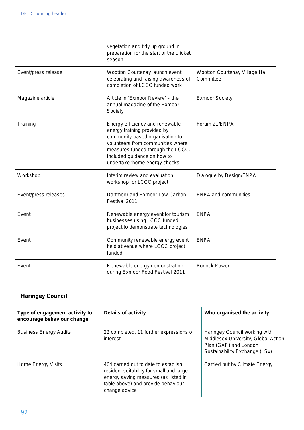|                      | vegetation and tidy up ground in<br>preparation for the start of the cricket<br>season                                                                                                                                                       |                                             |
|----------------------|----------------------------------------------------------------------------------------------------------------------------------------------------------------------------------------------------------------------------------------------|---------------------------------------------|
| Event/press release  | Wootton Courtenay launch event<br>celebrating and raising awareness of<br>completion of LCCC funded work                                                                                                                                     | Wootton Courtenay Village Hall<br>Committee |
| Magazine article     | Article in 'Exmoor Review' - the<br>annual magazine of the Exmoor<br>Society                                                                                                                                                                 | <b>Exmoor Society</b>                       |
| Training             | Energy efficiency and renewable<br>energy training provided by<br>community-based organisation to<br>volunteers from communities where<br>measures funded through the LCCC.<br>Included guidance on how to<br>undertake 'home energy checks' | Forum 21/ENPA                               |
| Workshop             | Interim review and evaluation<br>workshop for LCCC project                                                                                                                                                                                   | Dialogue by Design/ENPA                     |
| Event/press releases | Dartmoor and Exmoor Low Carbon<br>Festival 2011                                                                                                                                                                                              | <b>ENPA and communities</b>                 |
| Event                | Renewable energy event for tourism<br>businesses using LCCC funded<br>project to demonstrate technologies                                                                                                                                    | <b>ENPA</b>                                 |
| Event                | Community renewable energy event<br>held at venue where LCCC project<br>funded                                                                                                                                                               | <b>ENPA</b>                                 |
| Event                | Renewable energy demonstration<br>during Exmoor Food Festival 2011                                                                                                                                                                           | <b>Porlock Power</b>                        |

# **Haringey Council**

| Type of engagement activity to<br>encourage behaviour change | <b>Details of activity</b>                                                                                                                                                      | Who organised the activity                                                                                                     |
|--------------------------------------------------------------|---------------------------------------------------------------------------------------------------------------------------------------------------------------------------------|--------------------------------------------------------------------------------------------------------------------------------|
| <b>Business Energy Audits</b>                                | 22 completed, 11 further expressions of<br>interest                                                                                                                             | Haringey Council working with<br>Middlesex University, Global Action<br>Plan (GAP) and London<br>Sustainability Exchange (LSx) |
| Home Energy Visits                                           | 404 carried out to date to establish<br>resident suitability for small and large<br>energy saving measures (as listed in<br>table above) and provide behaviour<br>change advice | Carried out by Climate Energy                                                                                                  |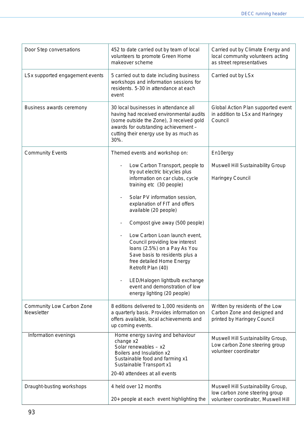| Door Step conversations                        | 452 to date carried out by team of local<br>volunteers to promote Green Home<br>makeover scheme                                                                                                                                                                                                                                                                                                                                                                                                                                                                                            | Carried out by Climate Energy and<br>local community volunteers acting<br>as street representatives         |
|------------------------------------------------|--------------------------------------------------------------------------------------------------------------------------------------------------------------------------------------------------------------------------------------------------------------------------------------------------------------------------------------------------------------------------------------------------------------------------------------------------------------------------------------------------------------------------------------------------------------------------------------------|-------------------------------------------------------------------------------------------------------------|
| LSx supported engagement events                | 5 carried out to date including business<br>workshops and information sessions for<br>residents. 5-30 in attendance at each<br>event                                                                                                                                                                                                                                                                                                                                                                                                                                                       | Carried out by LSx                                                                                          |
| Business awards ceremony                       | 30 local businesses in attendance all<br>having had received environmental audits<br>(some outside the Zone), 3 received gold<br>awards for outstanding achievement -<br>cutting their energy use by as much as<br>30%.                                                                                                                                                                                                                                                                                                                                                                    | Global Action Plan supported event<br>in addition to LSx and Haringey<br>Council                            |
| <b>Community Events</b>                        | Themed events and workshop on:<br>Low Carbon Transport, people to<br>try out electric bicycles plus<br>information on car clubs, cycle<br>training etc (30 people)<br>Solar PV information session,<br>explanation of FIT and offers<br>available (20 people)<br>Compost give away (500 people)<br>Low Carbon Loan launch event,<br>Council providing low interest<br>loans (2.5%) on a Pay As You<br>Save basis to residents plus a<br>free detailed Home Energy<br>Retrofit Plan (40)<br>LED/Halogen lightbulb exchange<br>event and demonstration of low<br>energy lighting (20 people) | En10ergy<br><b>Muswell Hill Sustainability Group</b><br>Haringey Council                                    |
| <b>Community Low Carbon Zone</b><br>Newsletter | 8 editions delivered to 1,000 residents on<br>a quarterly basis. Provides information on<br>offers available, local achievements and<br>up coming events.                                                                                                                                                                                                                                                                                                                                                                                                                                  | Written by residents of the Low<br>Carbon Zone and designed and<br>printed by Haringey Council              |
| Information evenings                           | Home energy saving and behaviour<br>change x2<br>Solar renewables $- x2$<br>Boilers and Insulation x2<br>Sustainable food and farming x1<br>Sustainable Transport x1<br>20-40 attendees at all events                                                                                                                                                                                                                                                                                                                                                                                      | Muswell Hill Sustainability Group,<br>Low carbon Zone steering group<br>volunteer coordinator               |
| Draught-busting workshops                      | 4 held over 12 months<br>20+ people at each event highlighting the                                                                                                                                                                                                                                                                                                                                                                                                                                                                                                                         | Muswell Hill Sustainability Group,<br>low carbon zone steering group<br>volunteer coordinator, Muswell Hill |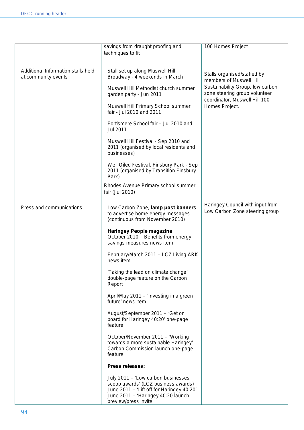|                                                           | savings from draught proofing and<br>techniques to fit                                                                                                                                | 100 Homes Project                                                                                  |
|-----------------------------------------------------------|---------------------------------------------------------------------------------------------------------------------------------------------------------------------------------------|----------------------------------------------------------------------------------------------------|
| Additional Information stalls held<br>at community events | Stall set up along Muswell Hill<br>Broadway - 4 weekends in March                                                                                                                     | Stalls organised/staffed by<br>members of Muswell Hill                                             |
|                                                           | Muswell Hill Methodist church summer<br>garden party - Jun 2011                                                                                                                       | Sustainability Group, low carbon<br>zone steering group volunteer<br>coordinator, Muswell Hill 100 |
|                                                           | Muswell Hill Primary School summer<br>fair - Jul 2010 and 2011                                                                                                                        | Homes Project.                                                                                     |
|                                                           | Fortismere School fair - Jul 2010 and<br>Jul 2011                                                                                                                                     |                                                                                                    |
|                                                           | Muswell Hill Festival - Sep 2010 and<br>2011 (organised by local residents and<br>businesses)                                                                                         |                                                                                                    |
|                                                           | Well Oiled Festival, Finsbury Park - Sep<br>2011 (organised by Transition Finsbury<br>Park)                                                                                           |                                                                                                    |
|                                                           | Rhodes Avenue Primary school summer<br>fair (Jul 2010)                                                                                                                                |                                                                                                    |
| Press and communications                                  | Low Carbon Zone, lamp post banners<br>to advertise home energy messages<br>(continuous from November 2010)                                                                            | Haringey Council with input from<br>Low Carbon Zone steering group                                 |
|                                                           | <b>Haringey People magazine</b><br>October 2010 - Benefits from energy<br>savings measures news item                                                                                  |                                                                                                    |
|                                                           | February/March 2011 - LCZ Living ARK<br>news item                                                                                                                                     |                                                                                                    |
|                                                           | 'Taking the lead on climate change'<br>double-page feature on the Carbon<br>Report                                                                                                    |                                                                                                    |
|                                                           | April/May 2011 - 'Investing in a green<br>future' news item                                                                                                                           |                                                                                                    |
|                                                           | August/September 2011 - 'Get on<br>board for Haringey 40:20' one-page<br>feature                                                                                                      |                                                                                                    |
|                                                           | October/November 2011 - 'Working<br>towards a more sustainable Haringey'<br>Carbon Commission launch one-page<br>feature                                                              |                                                                                                    |
|                                                           | <b>Press releases:</b>                                                                                                                                                                |                                                                                                    |
|                                                           | July 2011 - 'Low carbon businesses<br>scoop awards' (LCZ business awards)<br>June 2011 - 'Lift off for Haringey 40:20'<br>June 2011 - 'Haringey 40:20 launch'<br>preview/press invite |                                                                                                    |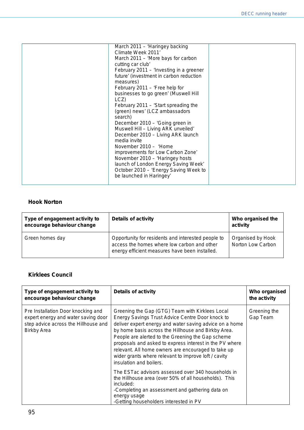#### **Hook Norton**

| Type of engagement activity to<br>encourage behaviour change | <b>Details of activity</b>                                                                                                                          | Who organised the<br>activity          |
|--------------------------------------------------------------|-----------------------------------------------------------------------------------------------------------------------------------------------------|----------------------------------------|
| Green homes day                                              | Opportunity for residents and interested people to<br>access the homes where low carbon and other<br>energy efficient measures have been installed. | Organised by Hook<br>Norton Low Carbon |

### **Kirklees Council**

| Type of engagement activity to<br>encourage behaviour change                                                                            | <b>Details of activity</b>                                                                                                                                                                                                                                                                                                                                                                                                                                                      | Who organised<br>the activity |
|-----------------------------------------------------------------------------------------------------------------------------------------|---------------------------------------------------------------------------------------------------------------------------------------------------------------------------------------------------------------------------------------------------------------------------------------------------------------------------------------------------------------------------------------------------------------------------------------------------------------------------------|-------------------------------|
| Pre Installation Door knocking and<br>expert energy and water saving door<br>step advice across the Hillhouse and<br><b>Birkby Area</b> | Greening the Gap (GTG) Team with Kirklees Local<br>Energy Savings Trust Advice Centre Door knock to<br>deliver expert energy and water saving advice on a home<br>by home basis across the Hillhouse and Birkby Area.<br>People are alerted to the Greening the Gap scheme<br>proposals and asked to express interest in the PV where<br>relevant. All home owners are encouraged to take up<br>wider grants where relevant to improve loft / cavity<br>insulation and boilers. | Greening the<br>Gap Team      |
|                                                                                                                                         | The ESTac advisors assessed over 340 households in<br>the Hillhouse area (over 50% of all households). This<br>included:<br>-Completing an assessment and gathering data on<br>energy usage<br>-Getting householders interested in PV                                                                                                                                                                                                                                           |                               |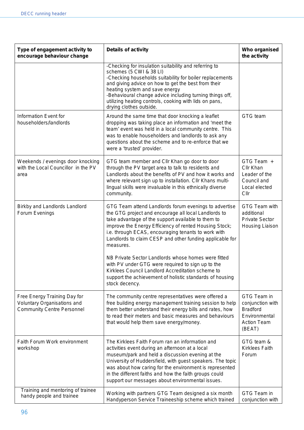| Type of engagement activity to<br>encourage behaviour change                                     | <b>Details of activity</b>                                                                                                                                                                                                                                                                                                                                                                    | Who organised<br>the activity                                                                       |
|--------------------------------------------------------------------------------------------------|-----------------------------------------------------------------------------------------------------------------------------------------------------------------------------------------------------------------------------------------------------------------------------------------------------------------------------------------------------------------------------------------------|-----------------------------------------------------------------------------------------------------|
|                                                                                                  | -Checking for insulation suitability and referring to<br>schemes (5 CWI & 38 LI)<br>-Checking households suitability for boiler replacements<br>and giving advice on how to get the best from their<br>heating system and save energy<br>-Behavioural change advice including turning things off,<br>utilizing heating controls, cooking with lids on pans,<br>drying clothes outside.        |                                                                                                     |
| Information Event for<br>householders/landlords                                                  | Around the same time that door knocking a leaflet<br>dropping was taking place an information and 'meet the<br>team' event was held in a local community centre. This<br>was to enable householders and landlords to ask any<br>questions about the scheme and to re-enforce that we<br>were a 'trusted' provider.                                                                            | GTG team                                                                                            |
| Weekends / evenings door knocking<br>with the Local Councillor in the PV<br>area                 | GTG team member and Cllr Khan go door to door<br>through the PV target area to talk to residents and<br>Landlords about the benefits of PV and how it works and<br>where relevant sign up to installation. Cllr Khans multi-<br>lingual skills were invaluable in this ethnically diverse<br>community.                                                                                       | GTG Team +<br>Cllr Khan<br>Leader of the<br>Council and<br>Local elected<br>Cllr                    |
| Birkby and Landlords Landlord<br>Forum Evenings                                                  | GTG Team attend Landlords forum evenings to advertise<br>the GTG project and encourage all local Landlords to<br>take advantage of the support available to them to<br>improve the Energy Efficiency of rented Housing Stock;<br>i.e. through ECAS, encouraging tenants to work with<br>Landlords to claim CESP and other funding applicable for<br>measures.                                 | GTG Team with<br>additional<br><b>Private Sector</b><br>Housing Liaison                             |
|                                                                                                  | NB Private Sector Landlords whose homes were fitted<br>with PV under GTG were required to sign up to the<br>Kirklees Council Landlord Accreditation scheme to<br>support the achievement of holistic standards of housing<br>stock decency.                                                                                                                                                   |                                                                                                     |
| Free Energy Training Day for<br>Voluntary Organisations and<br><b>Community Centre Personnel</b> | The community centre representatives were offered a<br>free building energy management training session to help<br>them better understand their energy bills and rates, how<br>to read their meters and basic measures and behaviours<br>that would help them save energy/money.                                                                                                              | GTG Team in<br>conjunction with<br><b>Bradford</b><br>Environmental<br><b>Action Team</b><br>(BEAT) |
| Faith Forum Work environment<br>workshop                                                         | The Kirklees Faith Forum ran an information and<br>activities event during an afternoon at a local<br>museum/park and held a discussion evening at the<br>University of Huddersfield, with guest speakers. The topic<br>was about how caring for the environment is represented<br>in the different faiths and how the faith groups could<br>support our messages about environmental issues. | GTG team &<br><b>Kirklees Faith</b><br>Forum                                                        |
| Training and mentoring of trainee<br>handy people and trainee                                    | Working with partners GTG Team designed a six month<br>Handyperson Service Traineeship scheme which trained                                                                                                                                                                                                                                                                                   | GTG Team in<br>conjunction with                                                                     |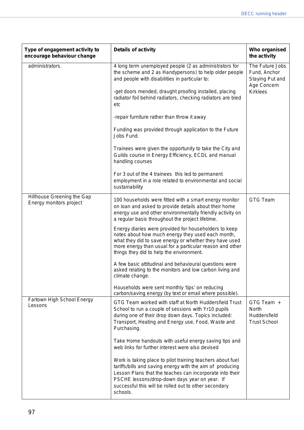| Type of engagement activity to<br>encourage behaviour change | <b>Details of activity</b>                                                                                                                                                                                                                                                                                | Who organised<br>the activity                                     |
|--------------------------------------------------------------|-----------------------------------------------------------------------------------------------------------------------------------------------------------------------------------------------------------------------------------------------------------------------------------------------------------|-------------------------------------------------------------------|
| administrators.                                              | 4 long term unemployed people (2 as administrators for<br>the scheme and 2 as Handypersons) to help older people<br>and people with disabilities in particular to:                                                                                                                                        | The Future Jobs<br>Fund, Anchor<br>Staying Put and<br>Age Concern |
|                                                              | -get doors mended, draught proofing installed, placing<br>radiator foil behind radiators, checking radiators are bled<br>etc                                                                                                                                                                              | <b>Kirklees</b>                                                   |
|                                                              | -repair furniture rather than throw it away                                                                                                                                                                                                                                                               |                                                                   |
|                                                              | Funding was provided through application to the Future<br>Jobs Fund.                                                                                                                                                                                                                                      |                                                                   |
|                                                              | Trainees were given the opportunity to take the City and<br>Guilds course in Energy Efficiency, ECDL and manual<br>handling courses                                                                                                                                                                       |                                                                   |
|                                                              | For 3 out of the 4 trainees this led to permanent<br>employment in a role related to environmental and social<br>sustainability                                                                                                                                                                           |                                                                   |
| Hillhouse Greening the Gap<br>Energy monitors project        | 100 households were fitted with a smart energy monitor<br>on loan and asked to provide details about their home<br>energy use and other environmentally friendly activity on<br>a regular basis throughout the project lifetime.                                                                          | <b>GTG Team</b>                                                   |
|                                                              | Energy diaries were provided for householders to keep<br>notes about how much energy they used each month,<br>what they did to save energy or whether they have used<br>more energy than usual for a particular reason and other<br>things they did to help the environment.                              |                                                                   |
|                                                              | A few basic attitudinal and behavioural questions were<br>asked relating to the monitors and low carbon living and<br>climate change.                                                                                                                                                                     |                                                                   |
|                                                              | Households were sent monthly 'tips' on reducing<br>carbon/saving energy (by text or email where possible).                                                                                                                                                                                                |                                                                   |
| Fartown High School Energy<br>Lessons                        | GTG Team worked with staff at North Huddersfield Trust<br>School to run a couple of sessions with Yr10 pupils<br>during one of their drop down days. Topics included:<br>Transport, Heating and Energy use, Food, Waste and<br>Purchasing.                                                                | GTG Team +<br>North<br>Huddersfield<br><b>Trust School</b>        |
|                                                              | Take Home handouts with useful energy saving tips and<br>web links for further interest were also devised                                                                                                                                                                                                 |                                                                   |
|                                                              | Work is taking place to pilot training teachers about fuel<br>tariffs/bills and saving energy with the aim of producing<br>Lesson Plans that the teaches can incorporate into their<br>PSCHE lessons/drop-down days year on year. If<br>successful this will be rolled out to other secondary<br>schools. |                                                                   |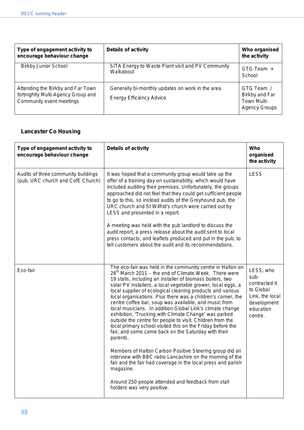| Type of engagement activity to<br>encourage behaviour change                                        | <b>Details of activity</b>                                                          | Who organised<br>the activity                                       |
|-----------------------------------------------------------------------------------------------------|-------------------------------------------------------------------------------------|---------------------------------------------------------------------|
| <b>Birkby Junior School</b>                                                                         | SITA Energy to Waste Plant visit and PV Community<br>Walkabout                      | GTG Team +<br>School                                                |
| Attending the Birkby and Far Town<br>fortnightly Multi-Agency Group and<br>Community event meetings | Generally bi-monthly updates on work in the area<br><b>Energy Efficiency Advice</b> | GTG Team /<br>Birkby and Far<br>Town Multi-<br><b>Agency Groups</b> |

## **Lancaster Co Housing**

| Type of engagement activity to<br>encourage behaviour change             | <b>Details of activity</b>                                                                                                                                                                                                                                                                                                                                                                                                                                                                                                                                                                                                                                                                                                                                              | Who<br>organised<br>the activity                                                                          |
|--------------------------------------------------------------------------|-------------------------------------------------------------------------------------------------------------------------------------------------------------------------------------------------------------------------------------------------------------------------------------------------------------------------------------------------------------------------------------------------------------------------------------------------------------------------------------------------------------------------------------------------------------------------------------------------------------------------------------------------------------------------------------------------------------------------------------------------------------------------|-----------------------------------------------------------------------------------------------------------|
| Audits of three community buildings<br>(pub, URC church and CofE Church) | It was hoped that a community group would take up the<br>offer of a training day on sustainability, which would have<br>included auditing their premises. Unfortunately, the groups<br>approached did not feel that they could get sufficient people<br>to go to this, so instead audits of the Greyhound pub, the<br>URC church and St Wilfrid's church were carried out by<br>LESS and presented in a report.                                                                                                                                                                                                                                                                                                                                                         | <b>LESS</b>                                                                                               |
|                                                                          | A meeting was held with the pub landlord to discuss the<br>audit report, a press release about the audit sent to local<br>press contacts, and leaflets produced and put in the pub, to<br>tell customers about the audit and its recommendations.                                                                                                                                                                                                                                                                                                                                                                                                                                                                                                                       |                                                                                                           |
| Eco-fair                                                                 | The eco-fair was held in the community centre in Halton on<br>26 <sup>th</sup> March 2011 - the end of Climate Week. There were<br>19 stalls, including an installer of biomass boilers, two<br>solar PV installers, a local vegetable grower, local eggs, a<br>local supplier of ecological cleaning products and various<br>local organisations. Plus there was a children's corner, the<br>centre coffee bar, soup was available, and music from<br>local musicians. In addition Global Link's climate change<br>exhibition, 'Trucking with Climate Change' was parked<br>outside the centre for people to visit. Children from the<br>local primary school visited this on the Friday before the<br>fair, and some came back on the Saturday with their<br>parents. | LESS, who<br>sub-<br>contracted it<br>to Global<br>Link, the local<br>development<br>education<br>centre. |
|                                                                          | Members of Halton Carbon Positive Steering group did an<br>interview with BBC radio Lancashire on the morning of the<br>fair and the fair had coverage in the local press and parish<br>magazine.                                                                                                                                                                                                                                                                                                                                                                                                                                                                                                                                                                       |                                                                                                           |
|                                                                          | Around 250 people attended and feedback from stall<br>holders was very positive.                                                                                                                                                                                                                                                                                                                                                                                                                                                                                                                                                                                                                                                                                        |                                                                                                           |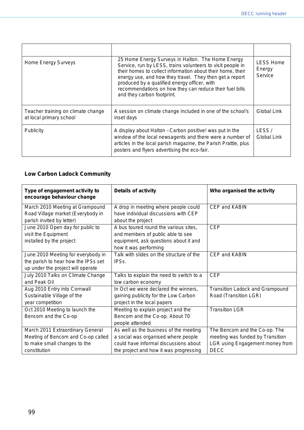| Home Energy Surveys                                           | 25 Home Energy Surveys in Halton. The Home Energy<br>Service, run by LESS, trains volunteers to visit people in<br>their homes to collect information about their home, their<br>energy use, and how they travel. They then get a report<br>produced by a qualified energy officer, with<br>recommendations on how they can reduce their fuel bills<br>and they carbon footprint. | LESS Home<br>Energy<br>Service |
|---------------------------------------------------------------|-----------------------------------------------------------------------------------------------------------------------------------------------------------------------------------------------------------------------------------------------------------------------------------------------------------------------------------------------------------------------------------|--------------------------------|
| Teacher training on climate change<br>at local primary school | A session on climate change included in one of the school's<br>inset days                                                                                                                                                                                                                                                                                                         | Global Link                    |
| <b>Publicity</b>                                              | A display about Halton - Carbon positive! was put in the<br>window of the local newsagents and there were a number of<br>articles in the local parish magazine, the Parish Prattle, plus<br>posters and flyers advertising the eco-fair.                                                                                                                                          | LESS/<br>Global Link           |

# **Low Carbon Ladock Community**

| Type of engagement activity to<br>encourage behaviour change | <b>Details of activity</b>               | Who organised the activity             |
|--------------------------------------------------------------|------------------------------------------|----------------------------------------|
| March 2010 Meeting at Grampound                              | A drop in meeting where people could     | <b>CEP and KABIN</b>                   |
| Road Village market (Everybody in                            | have individual discussions with CEP     |                                        |
| parish invited by letter)                                    | about the project                        |                                        |
| June 2010 Open day for public to                             | A bus toured round the various sites,    | <b>CEP</b>                             |
| visit the Equipment                                          | and members of public able to see        |                                        |
| installed by the project                                     | equipment, ask questions about it and    |                                        |
|                                                              | how it was performing                    |                                        |
| June 2010 Meeting for everybody in                           | Talk with slides on the structure of the | <b>CEP and KABIN</b>                   |
| the parish to hear how the IPSs set                          | IPSs.                                    |                                        |
| up under the project will operate                            |                                          |                                        |
| July 2010 Talks on Climate Change                            | Talks to explain the need to switch to a | <b>CEP</b>                             |
| and Peak Oil                                                 | low carbon economy                       |                                        |
| Aug 2010 Entry into Cornwall                                 | In Oct we were declared the winners,     | <b>Transition Ladock and Grampound</b> |
| Sustainable Village of the                                   | gaining publicity for the Low Carbon     | Road (Transition LGR)                  |
| year competition                                             | project in the local papers              |                                        |
| Oct 2010 Meeting to launch the                               | Meeting to explain project and the       | <b>Transition LGR</b>                  |
| Bencom and the Co-op                                         | Bencom and the Co-op. About 70           |                                        |
|                                                              | people attended                          |                                        |
| March 2011 Extraordinary General                             | As well as the business of the meeting   | The Bencom and the Co-op. The          |
| Meeting of Bencom and Co-op called                           | a social was organised where people      | meeting was funded by Transition       |
| to make small changes to the                                 | could have informal discussions about    | LGR using Engagement money from        |
| constitution                                                 | the project and how it was progressing   | <b>DECC</b>                            |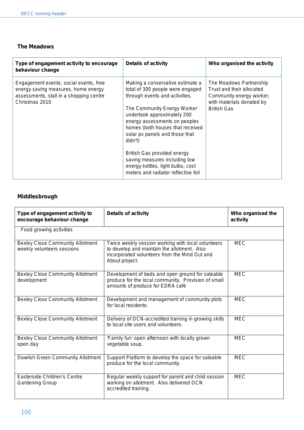#### **The Meadows**

| Type of engagement activity to encourage<br>behaviour change                                                                               | <b>Details of activity</b>                                                                                                                                                                                                                                                                                                                                                                                                         | Who organised the activity                                                                                                          |
|--------------------------------------------------------------------------------------------------------------------------------------------|------------------------------------------------------------------------------------------------------------------------------------------------------------------------------------------------------------------------------------------------------------------------------------------------------------------------------------------------------------------------------------------------------------------------------------|-------------------------------------------------------------------------------------------------------------------------------------|
| Engagement events, social events, free<br>energy saving measures, home energy<br>assessments, stall in a shopping centre<br>Christmas 2010 | Making a conservative estimate a<br>total of 300 people were engaged<br>through events and activities.<br>The Community Energy Worker<br>undertook approximately 200<br>energy assessments on peoples<br>homes (both houses that received<br>solar pv panels and those that<br>didn't)<br>British Gas provided energy<br>saving measures including low<br>energy kettles, light bulbs, cost<br>meters and radiator reflective foil | The Meadows Partnership<br>Trust and their allocated<br>Community energy worker,<br>with materials donated by<br><b>British Gas</b> |

## **Middlesbrough**

| Type of engagement activity to<br>encourage behaviour change          | <b>Details of activity</b>                                                                                                                                           | Who organised the<br>activity |
|-----------------------------------------------------------------------|----------------------------------------------------------------------------------------------------------------------------------------------------------------------|-------------------------------|
| Food growing activities                                               |                                                                                                                                                                      |                               |
| <b>Bexley Close Community Allotment</b><br>weekly volunteers sessions | Twice weekly session working with local volunteers<br>to develop and maintain the allotment. Also<br>incorporated volunteers from the Mind Out and<br>About project. | <b>MEC</b>                    |
| <b>Bexley Close Community Allotment</b><br>development                | Development of beds and open ground for saleable<br>produce for the local community. Provision of small<br>amounts of produce for EDRA café                          | <b>MEC</b>                    |
| <b>Bexley Close Community Allotment</b>                               | Development and management of community plots<br>for local residents.                                                                                                | <b>MEC</b>                    |
| <b>Bexley Close Community Allotment</b>                               | Delivery of OCN-accredited training in growing skills<br>to local site users and volunteers.                                                                         | <b>MEC</b>                    |
| <b>Bexley Close Community Allotment</b><br>open day                   | 'Family fun' open afternoon with locally grown<br>vegetable soup.                                                                                                    | <b>MEC</b>                    |
| Dawlish Green Community Allotment                                     | Support Platform to develop the space for saleable<br>produce for the local community.                                                                               | <b>MEC</b>                    |
| Easterside Children's Centre<br><b>Gardening Group</b>                | Regular weekly support for parent and child session<br>working on allotment. Also delivered OCN<br>accredited training.                                              | <b>MEC</b>                    |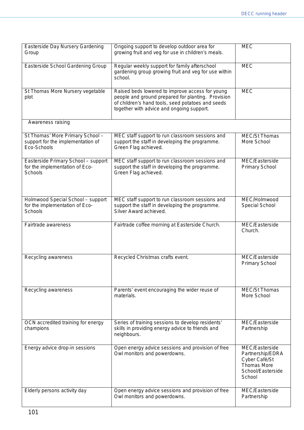| Easterside Day Nursery Gardening<br>Group                                            | Ongoing support to develop outdoor area for<br>growing fruit and veg for use in children's meals.                                                                                                       | <b>MEC</b>                                                                                               |
|--------------------------------------------------------------------------------------|---------------------------------------------------------------------------------------------------------------------------------------------------------------------------------------------------------|----------------------------------------------------------------------------------------------------------|
| Easterside School Gardening Group                                                    | Regular weekly support for family afterschool<br>gardening group growing fruit and veg for use within<br>school.                                                                                        | <b>MEC</b>                                                                                               |
| St Thomas More Nursery vegetable<br>plot                                             | Raised beds lowered to improve access for young<br>people and ground prepared for planting. Provision<br>of children's hand tools, seed potatoes and seeds<br>together with advice and ongoing support. | <b>MEC</b>                                                                                               |
| Awareness raising                                                                    |                                                                                                                                                                                                         |                                                                                                          |
| St Thomas' More Primary School -<br>support for the implementation of<br>Eco-Schools | MEC staff support to run classroom sessions and<br>support the staff in developing the programme.<br>Green Flag achieved.                                                                               | <b>MEC/St Thomas</b><br>More School                                                                      |
| Easterside Primary School - support<br>for the implementation of Eco-<br>Schools     | MEC staff support to run classroom sessions and<br>support the staff in developing the programme.<br>Green Flag achieved.                                                                               | MEC/Easterside<br><b>Primary School</b>                                                                  |
| Holmwood Special School - support<br>for the implementation of Eco-<br>Schools       | MEC staff support to run classroom sessions and<br>support the staff in developing the programme.<br>Silver Award achieved.                                                                             | MEC/Holmwood<br>Special School                                                                           |
| Fairtrade awareness                                                                  | Fairtrade coffee morning at Easterside Church.                                                                                                                                                          | MEC/Easterside<br>Church.                                                                                |
| Recycling awareness                                                                  | Recycled Christmas crafts event.                                                                                                                                                                        | MEC/Easterside<br><b>Primary School</b>                                                                  |
| Recycling awareness                                                                  | Parents' event encouraging the wider reuse of<br>materials.                                                                                                                                             | <b>MEC/St Thomas</b><br>More School                                                                      |
| OCN accredited training for energy<br>champions                                      | Series of training sessions to develop residents'<br>skills in providing energy advice to friends and<br>neighbours.                                                                                    | MEC/Easterside<br>Partnership                                                                            |
| Energy advice drop-in sessions                                                       | Open energy advice sessions and provision of free<br>Owl monitors and powerdowns.                                                                                                                       | MEC/Easterside<br>Partnership/EDRA<br>Cyber Café/St<br><b>Thomas More</b><br>School/Easterside<br>School |
| Elderly persons activity day                                                         | Open energy advice sessions and provision of free<br>Owl monitors and powerdowns.                                                                                                                       | MEC/Easterside<br>Partnership                                                                            |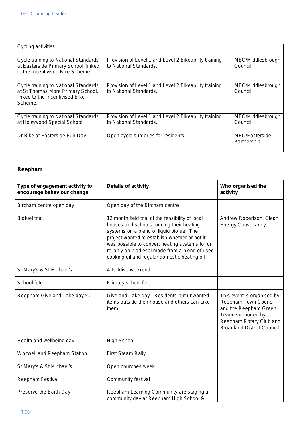| Cycling activities                                                                                                      |                                                                                 |                               |
|-------------------------------------------------------------------------------------------------------------------------|---------------------------------------------------------------------------------|-------------------------------|
| Cycle training to National Standards<br>at Easterside Primary School, linked<br>to the Incentivised Bike Scheme.        | Provision of Level 1 and Level 2 Bikeability training<br>to National Standards. | MEC/Middlesbrough<br>Council  |
| Cycle training to National Standards<br>at St Thomas More Primary School,<br>linked to the Incentivised Bike<br>Scheme. | Provision of Level 1 and Level 2 Bikeability training<br>to National Standards. | MEC/Middlesbrough<br>Council  |
| Cycle training to National Standards<br>at Holmwood Special School                                                      | Provision of Level 1 and Level 2 Bikeability training<br>to National Standards. | MEC/Middlesbrough<br>Council  |
| Dr Bike at Easterside Fun Day                                                                                           | Open cycle surgeries for residents.                                             | MEC/Easterside<br>Partnership |

# **Reepham**

| Type of engagement activity to<br>encourage behaviour change | <b>Details of activity</b>                                                                                                                                                                                                                                                                                                                      | Who organised the<br>activity                                                                                                                                      |
|--------------------------------------------------------------|-------------------------------------------------------------------------------------------------------------------------------------------------------------------------------------------------------------------------------------------------------------------------------------------------------------------------------------------------|--------------------------------------------------------------------------------------------------------------------------------------------------------------------|
| Bircham centre open day                                      | Open day of the Bircham centre                                                                                                                                                                                                                                                                                                                  |                                                                                                                                                                    |
| <b>Biofuel trial</b>                                         | 12 month field trial of the feasibility of local<br>houses and schools running their heating<br>systems on a blend of liquid biofuel. The<br>project wanted to establish whether or not it<br>was possible to convert heating systems to run<br>reliably on biodiesel made from a blend of used<br>cooking oil and regular domestic heating oil | Andrew Robertson, Clean<br><b>Energy Consultancy</b>                                                                                                               |
| St Mary's & St Michael's                                     | Arts Alive weekend                                                                                                                                                                                                                                                                                                                              |                                                                                                                                                                    |
| School fete                                                  | Primary school fete                                                                                                                                                                                                                                                                                                                             |                                                                                                                                                                    |
| Reepham Give and Take day x 2                                | Give and Take day - Residents put unwanted<br>items outside their house and others can take<br>them                                                                                                                                                                                                                                             | This event is organised by<br>Reepham Town Council<br>and the Reepham Green<br>Team, supported by<br>Reepham Rotary Club and<br><b>Broadland District Council.</b> |
| Health and wellbeing day                                     | <b>High School</b>                                                                                                                                                                                                                                                                                                                              |                                                                                                                                                                    |
| Whitwell and Reepham Station                                 | <b>First Steam Rally</b>                                                                                                                                                                                                                                                                                                                        |                                                                                                                                                                    |
| St Mary's & St Michael's                                     | Open churches week                                                                                                                                                                                                                                                                                                                              |                                                                                                                                                                    |
| Reepham Festival                                             | Community festival                                                                                                                                                                                                                                                                                                                              |                                                                                                                                                                    |
| Preserve the Earth Day                                       | Reepham Learning Community are staging a<br>community day at Reepham High School &                                                                                                                                                                                                                                                              |                                                                                                                                                                    |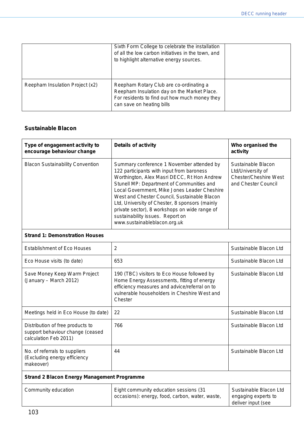|                                 | Sixth Form College to celebrate the installation<br>of all the low carbon initiatives in the town, and<br>to highlight alternative energy sources.                   |  |
|---------------------------------|----------------------------------------------------------------------------------------------------------------------------------------------------------------------|--|
| Reepham Insulation Project (x2) | Reepham Rotary Club are co-ordinating a<br>Reepham Insulation day on the Market Place.<br>For residents to find out how much money they<br>can save on heating bills |  |

#### **Sustainable Blacon**

| Type of engagement activity to<br>encourage behaviour change | <b>Details of activity</b>                                                                                                                                                                                                                                                                                                                                                                                                                                | Who organised the<br>activity                                                           |
|--------------------------------------------------------------|-----------------------------------------------------------------------------------------------------------------------------------------------------------------------------------------------------------------------------------------------------------------------------------------------------------------------------------------------------------------------------------------------------------------------------------------------------------|-----------------------------------------------------------------------------------------|
| <b>Blacon Sustainability Convention</b>                      | Summary conference 1 November attended by<br>122 participants with input from baroness<br>Worthington, Alex Masri DECC, Rt Hon Andrew<br>Stunell MP: Department of Communities and<br>Local Government, Mike Jones Leader Cheshire<br>West and Chester Council, Sustainable Blacon<br>Ltd, University of Chester, 8 sponsors (mainly<br>private sector), 8 workshops on wide range of<br>sustainability issues. Report on<br>www.sustainableblacon.org.uk | Sustainable Blacon<br>Ltd/University of<br>Chester/Cheshire West<br>and Chester Council |
| <b>Strand 1: Demonstration Houses</b>                        |                                                                                                                                                                                                                                                                                                                                                                                                                                                           |                                                                                         |

#### **Strand 1: Demonstration Houses**

| <b>Establishment of Eco Houses</b>                                                            | 2                                                                                                                                                                                                     | Sustainable Blacon Ltd |
|-----------------------------------------------------------------------------------------------|-------------------------------------------------------------------------------------------------------------------------------------------------------------------------------------------------------|------------------------|
| Eco House visits (to date)                                                                    | 653                                                                                                                                                                                                   | Sustainable Blacon Ltd |
| Save Money Keep Warm Project<br>(January – March 2012)                                        | 190 (TBC) visitors to Eco House followed by<br>Home Energy Assessments, fitting of energy<br>efficiency measures and advice/referral on to<br>vulnerable householders in Cheshire West and<br>Chester | Sustainable Blacon Ltd |
| Meetings held in Eco House (to date)                                                          | 22                                                                                                                                                                                                    | Sustainable Blacon Ltd |
| Distribution of free products to<br>support behaviour change (ceased<br>calculation Feb 2011) | 766                                                                                                                                                                                                   | Sustainable Blacon Ltd |
| No. of referrals to suppliers<br>(Excluding energy efficiency<br>makeover)                    | 44                                                                                                                                                                                                    | Sustainable Blacon Ltd |
| <b>Strand 2 Blacon Energy Management Programme</b>                                            |                                                                                                                                                                                                       |                        |

| Community education | Eight community education sessions (31)         | Sustainable Blacon Ltd |
|---------------------|-------------------------------------------------|------------------------|
|                     | occasions): energy, food, carbon, water, waste, | engaging experts to    |
|                     |                                                 | deliver input (see     |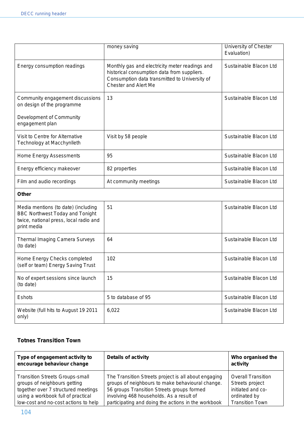|                                                                                                                                        | money saving                                                                                                                                                                  | University of Chester<br>Evaluation) |
|----------------------------------------------------------------------------------------------------------------------------------------|-------------------------------------------------------------------------------------------------------------------------------------------------------------------------------|--------------------------------------|
| Energy consumption readings                                                                                                            | Monthly gas and electricity meter readings and<br>historical consumption data from suppliers.<br>Consumption data transmitted to University of<br><b>Chester and Alert Me</b> | Sustainable Blacon Ltd               |
| Community engagement discussions<br>on design of the programme                                                                         | 13                                                                                                                                                                            | Sustainable Blacon Ltd               |
| Development of Community<br>engagement plan                                                                                            |                                                                                                                                                                               |                                      |
| Visit to Centre for Alternative<br>Technology at Macchynlleth                                                                          | Visit by 58 people                                                                                                                                                            | Sustainable Blacon Ltd               |
| Home Energy Assessments                                                                                                                | 95                                                                                                                                                                            | Sustainable Blacon Ltd               |
| Energy efficiency makeover                                                                                                             | 82 properties                                                                                                                                                                 | Sustainable Blacon Ltd               |
| Film and audio recordings                                                                                                              | At community meetings                                                                                                                                                         | Sustainable Blacon Ltd               |
| <b>Other</b>                                                                                                                           |                                                                                                                                                                               |                                      |
| Media mentions (to date) (including<br><b>BBC Northwest Today and Tonight</b><br>twice, national press, local radio and<br>print media | 51                                                                                                                                                                            | Sustainable Blacon Ltd               |
| <b>Thermal Imaging Camera Surveys</b><br>(to date)                                                                                     | 64                                                                                                                                                                            | Sustainable Blacon Ltd               |
| Home Energy Checks completed<br>(self or team) Energy Saving Trust                                                                     | 102                                                                                                                                                                           | Sustainable Blacon Ltd               |
| No of expert sessions since launch<br>(to date)                                                                                        | 15                                                                                                                                                                            | Sustainable Blacon Ltd               |
| Eshots                                                                                                                                 | 5 to database of 95                                                                                                                                                           | Sustainable Blacon Ltd               |
| Website (full hits to August 19 2011<br>only)                                                                                          | 6,022                                                                                                                                                                         | Sustainable Blacon Ltd               |

# **Totnes Transition Town**

| Type of engagement activity to<br>encourage behaviour change | <b>Details of activity</b>                           | Who organised the<br>activity |
|--------------------------------------------------------------|------------------------------------------------------|-------------------------------|
| <b>Transition Streets Groups-small</b>                       | The Transition Streets project is all about engaging | <b>Overall Transition</b>     |
| groups of neighbours getting                                 | groups of neighbours to make behavioural change.     | Streets project               |
| together over 7 structured meetings                          | 56 groups Transition Streets groups formed           | initiated and co-             |
| using a workbook full of practical                           | involving 468 households. As a result of             | ordinated by                  |
| low-cost and no-cost actions to help                         | participating and doing the actions in the workbook  | <b>Transition Town</b>        |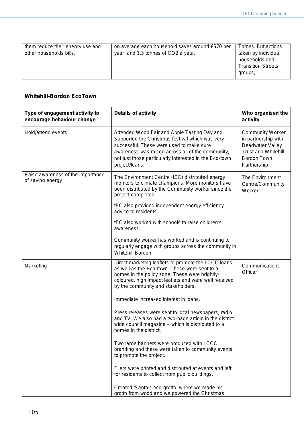#### **Whitehill-Bordon EcoTown**

| Type of engagement activity to<br>encourage behaviour change | <b>Details of activity</b>                                                                                                                                                                                                                                                   | Who organised the<br>activity                                                                                                  |
|--------------------------------------------------------------|------------------------------------------------------------------------------------------------------------------------------------------------------------------------------------------------------------------------------------------------------------------------------|--------------------------------------------------------------------------------------------------------------------------------|
| Hold/attend events                                           | Attended Wood Fair and Apple Tasting Day and<br>Supported the Christmas festival which was very<br>successful. These were used to make sure<br>awareness was raised across all of the community,<br>not just those particularly interested in the Eco-town<br>project/loans. | <b>Community Worker</b><br>in partnership with<br>Deadwater Valley<br><b>Trust and Whitehill</b><br>Bordon Town<br>Partnership |
| Raise awareness of the importance<br>of saving energy        | The Environment Centre (tEC) distributed energy<br>monitors to climate champions. More monitors have<br>been distributed by the Community worker since the<br>project completed.<br>tEC also provided independent energy efficiency<br>advice to residents.                  | The Environment<br>Centre/Community<br>Worker                                                                                  |
|                                                              | tEC also worked with schools to raise children's<br>awareness.                                                                                                                                                                                                               |                                                                                                                                |
|                                                              | Community worker has worked and is continuing to<br>regularly engage with groups across the community in<br>Whitehill Bordon.                                                                                                                                                |                                                                                                                                |
| Marketing                                                    | Direct marketing leaflets to promote the LCCC loans<br>as well as the Eco-town. These were sent to all<br>homes in the policy zone. These were brightly-<br>coloured, high impact leaflets and were well received<br>by the community and stakeholders.                      | Communications<br>Officer                                                                                                      |
|                                                              | Immediate increased interest in loans.                                                                                                                                                                                                                                       |                                                                                                                                |
|                                                              | Press releases were sent to local newspapers, radio<br>and TV. We also had a two-page article in the district-<br>wide council magazine - which is distributed to all<br>homes in the district.                                                                              |                                                                                                                                |
|                                                              | Two large banners were produced with LCCC<br>branding and these were taken to community events<br>to promote the project.                                                                                                                                                    |                                                                                                                                |
|                                                              | Fliers were printed and distributed at events and left<br>for residents to collect from public buildings.                                                                                                                                                                    |                                                                                                                                |
|                                                              | Created 'Santa's eco-grotto' where we made his<br>grotto from wood and we powered the Christmas                                                                                                                                                                              |                                                                                                                                |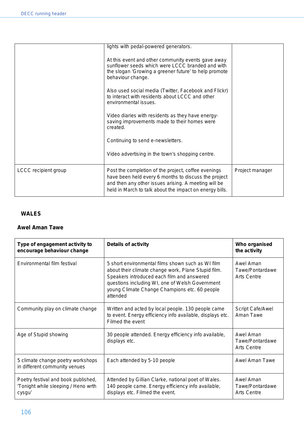|                      | lights with pedal-powered generators.                                                                                                                                                                                          |                 |
|----------------------|--------------------------------------------------------------------------------------------------------------------------------------------------------------------------------------------------------------------------------|-----------------|
|                      | At this event and other community events gave away<br>sunflower seeds which were LCCC branded and with<br>the slogan 'Growing a greener future' to help promote<br>behaviour change.                                           |                 |
|                      | Also used social media (Twitter, Facebook and Flickr)<br>to interact with residents about LCCC and other<br>environmental issues.                                                                                              |                 |
|                      | Video diaries with residents as they have energy-<br>saving improvements made to their homes were<br>created.                                                                                                                  |                 |
|                      | Continuing to send e-newsletters.                                                                                                                                                                                              |                 |
|                      | Video advertising in the town's shopping centre.                                                                                                                                                                               |                 |
| LCCC recipient group | Post the completion of the project, coffee evenings<br>have been held every 6 months to discuss the project<br>and then any other issues arising. A meeting will be<br>held in March to talk about the impact on energy bills. | Project manager |

#### **WALES**

#### **Awel Aman Tawe**

| Type of engagement activity to<br>encourage behaviour change                         | <b>Details of activity</b>                                                                                                                                                                                                                                             | Who organised<br>the activity                      |
|--------------------------------------------------------------------------------------|------------------------------------------------------------------------------------------------------------------------------------------------------------------------------------------------------------------------------------------------------------------------|----------------------------------------------------|
| Environmental film festival                                                          | 5 short environmental films shown such as WI film<br>about their climate change work, Plane Stupid film.<br>Speakers introduced each film and answered<br>questions including WI, one of Welsh Government<br>young Climate Change Champions etc. 60 people<br>attended | Awel Aman<br>Tawe/Pontardawe<br><b>Arts Centre</b> |
| Community play on climate change                                                     | Written and acted by local people. 130 people came<br>to event. Energy efficiency info available, displays etc.<br>Filmed the event                                                                                                                                    | Script Cafe/Awel<br>Aman Tawe                      |
| Age of Stupid showing                                                                | 30 people attended. Energy efficiency info available,<br>displays etc.                                                                                                                                                                                                 | Awel Aman<br>Tawe/Pontardawe<br><b>Arts Centre</b> |
| 5 climate change poetry workshops<br>in different community venues                   | Each attended by 5-10 people                                                                                                                                                                                                                                           | Awel Aman Tawe                                     |
| Poetry festival and book published,<br>'Tonight while sleeping / Heno wrth<br>cysgu' | Attended by Gillian Clarke, national poet of Wales.<br>140 people came. Energy efficiency info available,<br>displays etc. Filmed the event.                                                                                                                           | Awel Aman<br>Tawe/Pontardawe<br><b>Arts Centre</b> |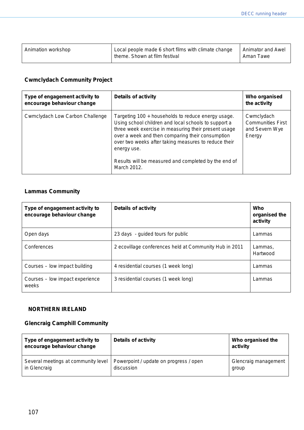| Animation workshop | Local people made 6 short films with climate change<br>theme. Shown at film festival | Animator and Awel<br>Aman Tawe |
|--------------------|--------------------------------------------------------------------------------------|--------------------------------|
|                    |                                                                                      |                                |

## **Cwmclydach Community Project**

| Type of engagement activity to<br>encourage behaviour change | <b>Details of activity</b>                                                                                                                                                                                                                                                                                                                                           | Who organised<br>the activity                                      |
|--------------------------------------------------------------|----------------------------------------------------------------------------------------------------------------------------------------------------------------------------------------------------------------------------------------------------------------------------------------------------------------------------------------------------------------------|--------------------------------------------------------------------|
| Cwmclydach Low Carbon Challenge                              | Targeting 100 + households to reduce energy usage.<br>Using school children and local schools to support a<br>three week exercise in measuring their present usage<br>over a week and then comparing their consumption<br>over two weeks after taking measures to reduce their<br>energy use.<br>Results will be measured and completed by the end of<br>March 2012. | Cwmclydach<br><b>Communities First</b><br>and Severn Wye<br>Energy |

# **Lammas Community**

| Type of engagement activity to<br>encourage behaviour change | <b>Details of activity</b>                             | Who<br>organised the<br>activity |
|--------------------------------------------------------------|--------------------------------------------------------|----------------------------------|
| Open days                                                    | 23 days - guided tours for public                      | Lammas                           |
| Conferences                                                  | 2 ecovillage conferences held at Community Hub in 2011 | Lammas,<br>Hartwood              |
| Courses – low impact building                                | 4 residential courses (1 week long)                    | Lammas                           |
| Courses - low impact experience<br>weeks                     | 3 residential courses (1 week long)                    | Lammas                           |

#### **NORTHERN IRELAND**

# **Glencraig Camphill Community**

| Type of engagement activity to<br>encourage behaviour change | <b>Details of activity</b>             | Who organised the<br>activity |
|--------------------------------------------------------------|----------------------------------------|-------------------------------|
| Several meetings at community level                          | Powerpoint / update on progress / open | Glencraig management          |
| in Glencraig                                                 | discussion                             | group                         |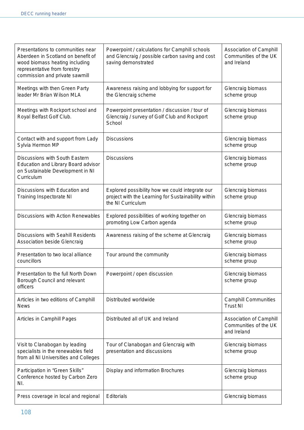| Presentations to communities near<br>Aberdeen in Scotland on benefit of<br>wood biomass heating including<br>representative from forestry<br>commission and private sawmill | Powerpoint / calculations for Camphill schools<br>and Glencraig / possible carbon saving and cost<br>saving demonstrated    | Association of Camphill<br>Communities of the UK<br>and Ireland |
|-----------------------------------------------------------------------------------------------------------------------------------------------------------------------------|-----------------------------------------------------------------------------------------------------------------------------|-----------------------------------------------------------------|
| Meetings with then Green Party<br>leader Mr Brian Wilson MLA                                                                                                                | Awareness raising and lobbying for support for<br>the Glencraig scheme                                                      | Glencraig biomass<br>scheme group                               |
| Meetings with Rockport school and<br>Royal Belfast Golf Club.                                                                                                               | Powerpoint presentation / discussion / tour of<br>Glencraig / survey of Golf Club and Rockport<br>School                    | Glencraig biomass<br>scheme group                               |
| Contact with and support from Lady<br>Sylvia Hermon MP                                                                                                                      | <b>Discussions</b>                                                                                                          | Glencraig biomass<br>scheme group                               |
| Discussions with South Eastern<br>Education and Library Board advisor<br>on Sustainable Development in NI<br>Curriculum                                                     | <b>Discussions</b>                                                                                                          | Glencraig biomass<br>scheme group                               |
| Discussions with Education and<br><b>Training Inspectorate NI</b>                                                                                                           | Explored possibility how we could integrate our<br>project with the Learning for Sustainability within<br>the NI Curriculum | Glencraig biomass<br>scheme group                               |
| Discussions with Action Renewables                                                                                                                                          | Explored possibilities of working together on<br>promoting Low Carbon agenda                                                | Glencraig biomass<br>scheme group                               |
| Discussions with Seahill Residents<br><b>Association beside Glencraig</b>                                                                                                   | Awareness raising of the scheme at Glencraig                                                                                | Glencraig biomass<br>scheme group                               |
| Presentation to two local alliance<br>councillors                                                                                                                           | Tour around the community                                                                                                   | Glencraig biomass<br>scheme group                               |
| Presentation to the full North Down<br>Borough Council and relevant<br>officers                                                                                             | Powerpoint / open discussion                                                                                                | Glencraig biomass<br>scheme group                               |
| Articles in two editions of Camphill<br><b>News</b>                                                                                                                         | Distributed worldwide                                                                                                       | <b>Camphill Communities</b><br><b>Trust NI</b>                  |
| Articles in Camphill Pages                                                                                                                                                  | Distributed all of UK and Ireland                                                                                           | Association of Camphill<br>Communities of the UK<br>and Ireland |
| Visit to Clanabogan by leading<br>specialists in the renewables field<br>from all NI Universities and Colleges                                                              | Tour of Clanabogan and Glencraig with<br>presentation and discussions                                                       | Glencraig biomass<br>scheme group                               |
| Participation in "Green Skills"<br>Conference hosted by Carbon Zero<br>NI.                                                                                                  | Display and information Brochures                                                                                           | Glencraig biomass<br>scheme group                               |
| Press coverage in local and regional                                                                                                                                        | <b>Editorials</b>                                                                                                           | Glencraig biomass                                               |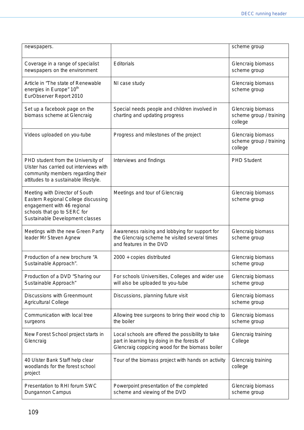| newspapers.                                                                                                                                                            |                                                                                                                                                     | scheme group                                            |
|------------------------------------------------------------------------------------------------------------------------------------------------------------------------|-----------------------------------------------------------------------------------------------------------------------------------------------------|---------------------------------------------------------|
| Coverage in a range of specialist<br>newspapers on the environment                                                                                                     | Editorials                                                                                                                                          | Glencraig biomass<br>scheme group                       |
| Article in "The state of Renewable<br>energies in Europe" 10 <sup>th</sup><br>EurObserver Report 2010                                                                  | NI case study                                                                                                                                       | Glencraig biomass<br>scheme group                       |
| Set up a facebook page on the<br>biomass scheme at Glencraig                                                                                                           | Special needs people and children involved in<br>charting and updating progress                                                                     | Glencraig biomass<br>scheme group / training<br>college |
| Videos uploaded on you-tube                                                                                                                                            | Progress and milestones of the project                                                                                                              | Glencraig biomass<br>scheme group / training<br>college |
| PHD student from the University of<br>Ulster has carried out interviews with<br>community members regarding their<br>attitudes to a sustainable lifestyle.             | Interviews and findings                                                                                                                             | <b>PHD Student</b>                                      |
| Meeting with Director of South<br>Eastern Regional College discussing<br>engagement with 46 regional<br>schools that go to SERC for<br>Sustainable Development classes | Meetings and tour of Glencraig                                                                                                                      | Glencraig biomass<br>scheme group                       |
| Meetings with the new Green Party<br>leader Mr Steven Agnew                                                                                                            | Awareness raising and lobbying for support for<br>the Glencraig scheme he visited several times<br>and features in the DVD                          | Glencraig biomass<br>scheme group                       |
| Production of a new brochure "A<br>Sustainable Approach".                                                                                                              | 2000 + copies distributed                                                                                                                           | Glencraig biomass<br>scheme group                       |
| Production of a DVD "Sharing our<br>Sustainable Approach"                                                                                                              | For schools Universities, Colleges and wider use<br>will also be uploaded to you-tube                                                               | Glencraig biomass<br>scheme group                       |
| <b>Discussions with Greenmount</b><br><b>Agricultural College</b>                                                                                                      | Discussions, planning future visit                                                                                                                  | Glencraig biomass<br>scheme group                       |
| Communication with local tree<br>surgeons                                                                                                                              | Allowing tree surgeons to bring their wood chip to<br>the boiler                                                                                    | Glencraig biomass<br>scheme group                       |
| New Forest School project starts in<br>Glencraig                                                                                                                       | Local schools are offered the possibility to take<br>part in learning by doing in the forests of<br>Glencraig coppicing wood for the biomass boiler | Glencraig training<br>College                           |
| 40 Ulster Bank Staff help clear<br>woodlands for the forest school<br>project                                                                                          | Tour of the biomass project with hands on activity                                                                                                  | Glencraig training<br>college                           |
| Presentation to RHI forum SWC<br>Dungannon Campus                                                                                                                      | Powerpoint presentation of the completed<br>scheme and viewing of the DVD                                                                           | Glencraig biomass<br>scheme group                       |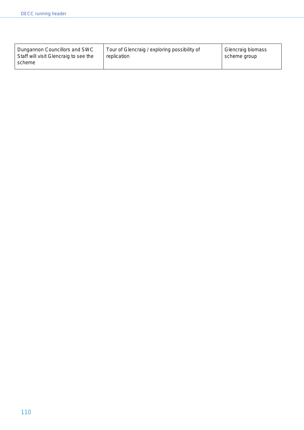| Dungannon Councillors and SWC<br>Staff will visit Glencraig to see the<br>scheme | Tour of Glencraig / exploring possibility of<br>replication | Glencraig biomass<br>scheme group |
|----------------------------------------------------------------------------------|-------------------------------------------------------------|-----------------------------------|
|----------------------------------------------------------------------------------|-------------------------------------------------------------|-----------------------------------|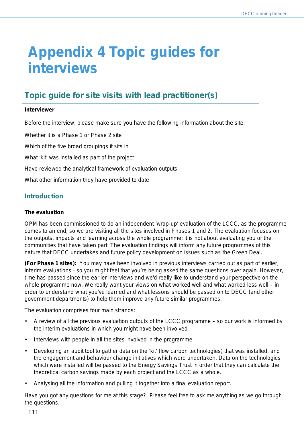# **Appendix 4 Topic guides for interviews**

# **Topic guide for site visits with lead practitioner(s)**

# **Interviewer**

Before the interview, please make sure you have the following information about the site:

Whether it is a Phase 1 or Phase 2 site

Which of the five broad groupings it sits in

What 'kit' was installed as part of the project

Have reviewed the analytical framework of evaluation outputs

What other information they have provided to date

# **Introduction**

#### **The evaluation**

OPM has been commissioned to do an independent 'wrap-up' evaluation of the LCCC, as the programme comes to an end, so we are visiting all the sites involved in Phases 1 and 2. The evaluation focuses on the outputs, impacts and learning across the whole programme: it is not about evaluating you or the communities that have taken part. The evaluation findings will inform any future programmes of this nature that DECC undertakes and future policy development on issues such as the Green Deal.

**(For Phase 1 sites):** You may have been involved in previous interviews carried out as part of earlier, interim evaluations - so you might feel that you're being asked the same questions over again. However, time has passed since the earlier interviews and we'd really like to understand your perspective on the whole programme now. We really want your views on what worked well and what worked less well – in order to understand what you've learned and what lessons should be passed on to DECC (and other government departments) to help them improve any future similar programmes.

The evaluation comprises four main strands:

- A review of all the previous evaluation outputs of the LCCC programme so our work is informed by the interim evaluations in which you might have been involved
- Interviews with people in all the sites involved in the programme
- Developing an audit tool to gather data on the 'kit' (low carbon technologies) that was installed, and the engagement and behaviour change initiatives which were undertaken. Data on the technologies which were installed will be passed to the Energy Savings Trust in order that they can calculate the theoretical carbon savings made by each project and the LCCC as a whole.
- Analysing all the information and pulling it together into a final evaluation report.

Have you got any questions for me at this stage? Please feel free to ask me anything as we go through the questions.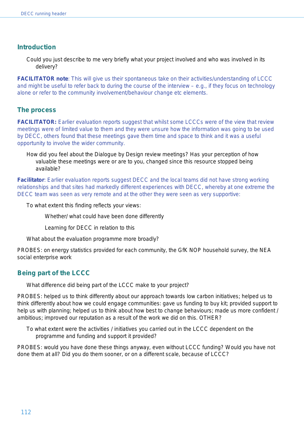# **Introduction**

Could you just describe to me very briefly what your project involved and who was involved in its delivery?

**FACILITATOR note**: This will give us their spontaneous take on their activities/understanding of LCCC and might be useful to refer back to during the course of the interview – e.g., if they focus on technology alone or refer to the community involvement/behaviour change etc elements.

# **The process**

**FACILITATOR:** *Earlier evaluation reports suggest that whilst some LCCCs were of the view that review meetings were of limited value to them and they were unsure how the information was going to be used by DECC, others found that these meetings gave them time and space to think and it was a useful opportunity to involve the wider community.* 

How did you feel about the Dialogue by Design review meetings? Has your perception of how valuable these meetings were or are to you, changed since this resource stopped being available?

**Facilitator**: Earlier evaluation reports suggest DECC and the local teams did not have strong working relationships and that sites had markedly different experiences with DECC, whereby at one extreme the DECC team was seen as very remote and at the other they were seen as very supportive:

To what extent this finding reflects your views:

Whether/ what could have been done differently

Learning for DECC in relation to this

What about the evaluation programme more broadly?

PROBES: on energy statistics provided for each community, the GfK NOP household survey, the NEA social enterprise work

# **Being part of the LCCC**

What difference did being part of the LCCC make to your project?

PROBES: helped us to think differently about our approach towards low carbon initiatives; helped us to think differently about how we could engage communities: gave us funding to buy kit; provided support to help us with planning; helped us to think about how best to change behaviours; made us more confident / ambitious; improved our reputation as a result of the work we did on this. OTHER?

To what extent were the activities / initiatives you carried out in the LCCC dependent on the programme and funding and support it provided?

PROBES: would you have done these things anyway, even without LCCC funding? Would you have not done them at all? Did you do them sooner, or on a different scale, because of LCCC?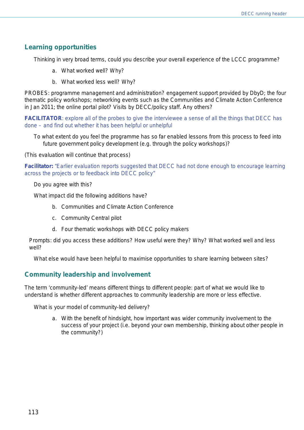# **Learning opportunities**

Thinking in very broad terms, could you describe your overall experience of the LCCC programme?

- a. What worked well? Why?
- b. What worked less well? Why?

PROBES: programme management and administration? engagement support provided by DbyD; the four thematic policy workshops; networking events such as the Communities and Climate Action Conference in Jan 2011; the online portal pilot? Visits by DECC/policy staff. Any others?

**FACILITATOR:** explore all of the probes to give the interviewee a sense of all the things that DECC has done – and find out whether it has been helpful or unhelpful

To what extent do you feel the programme has so far enabled lessons from this process to feed into future government policy development (e.g. through the policy workshops)?

(This evaluation will continue that process)

**Facilitator:** *"Earlier evaluation reports suggested that DECC had not done enough to encourage learning across the projects or to feedback into DECC policy"* 

Do you agree with this?

What impact did the following additions have?

- b. Communities and Climate Action Conference
- c. Community Central pilot
- d. Four thematic workshops with DECC policy makers

*Prompts: did you access these additions? How useful were they? Why? What worked well and less well?* 

What else would have been helpful to maximise opportunities to share learning between sites?

# **Community leadership and involvement**

The term 'community-led' means different things to different people: part of what we would like to understand is whether different approaches to community leadership are more or less effective.

What is your model of community-led delivery?

a. With the benefit of hindsight, how important was wider community involvement to the success of your project (i.e. beyond your own membership, thinking about other people in the community?)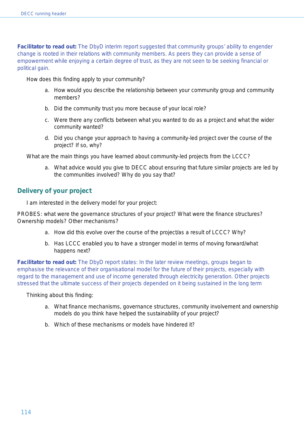**Facilitator to read out:** *The DbyD interim report suggested that community groups' ability to engender change is rooted in their relations with community members. As peers they can provide a sense of empowerment while enjoying a certain degree of trust, as they are not seen to be seeking financial or political gain.*

How does this finding apply to your community?

- a. How would you describe the relationship between your community group and community members?
- b. Did the community trust you more because of your local role?
- c. Were there any conflicts between what you wanted to do as a project and what the wider community wanted?
- d. Did you change your approach to having a community-led project over the course of the project? If so, why?

What are the main things you have learned about community-led projects from the LCCC?

a. What advice would you give to DECC about ensuring that future similar projects are led by the communities involved? Why do you say that?

# **Delivery of your project**

I am interested in the delivery model for your project:

PROBES: what were the governance structures of your project? What were the finance structures? Ownership models? Other mechanisms?

- a. How did this evolve over the course of the project/as a result of LCCC? Why?
- b. Has LCCC enabled you to have a stronger model in terms of moving forward/what happens next?

**Facilitator to read out:** The DbyD report states: In the later review meetings, groups began to emphasise the relevance of their organisational model for the future of their projects, especially with regard to the management and use of income generated through electricity generation. Other projects stressed that the ultimate success of their projects depended on it being sustained in the long term

Thinking about this finding:

- a. What finance mechanisms, governance structures, community involvement and ownership models do you think have helped the sustainability of your project?
- b. Which of these mechanisms or models have hindered it?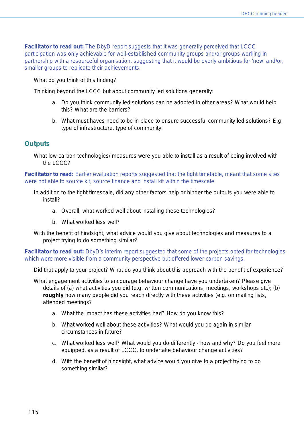**Facilitator to read out:** The DbyD report suggests that it was generally perceived that LCCC participation was only achievable for well-established community groups and/or groups working in partnership with a resourceful organisation, suggesting that it would be overly ambitious for 'new' and/or, smaller groups to replicate their achievements.

What do you think of this finding?

Thinking beyond the LCCC but about community led solutions generally:

- a. Do you think community led solutions can be adopted in other areas? What would help this? What are the barriers?
- b. What must haves need to be in place to ensure successful community led solutions? E.g. type of infrastructure, type of community.

#### **Outputs**

What low carbon technologies/ measures were you able to install as a result of being involved with the LCCC?

**Facilitator to read:** *Earlier evaluation reports suggested that the tight timetable, meant that some sites were not able to source kit, source finance and install kit within the timescale.* 

- In addition to the tight timescale, did any other factors help or hinder the outputs you were able to install?
	- a. Overall, what worked well about installing these technologies?
	- b. What worked less well?
- With the benefit of hindsight, what advice would you give about technologies and measures to a project trying to do something similar?

#### *Facilitator to read out: DbyD's interim report suggested that some of the projects opted for technologies which were more visible from a community perspective but offered lower carbon savings.*

Did that apply to your project? What do you think about this approach with the benefit of experience?

What engagement activities to encourage behaviour change have you undertaken? Please give details of (a) what activities you did (e.g. written communications, meetings, workshops etc); (b) *roughly* how many people did you reach directly with these activities (e.g. on mailing lists, attended meetings?

- a. What the impact has these activities had? How do you know this?
- b. What worked well about these activities? What would you do again in similar circumstances in future?
- c. What worked less well? What would you do differently how and why? Do you feel more equipped, as a result of LCCC, to undertake behaviour change activities?
- d. With the benefit of hindsight, what advice would you give to a project trying to do something similar?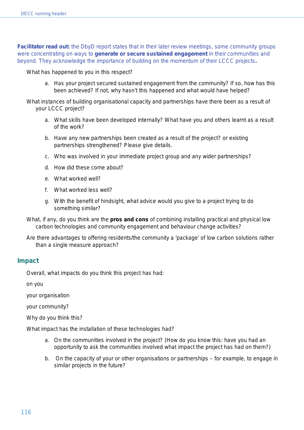*Facilitator read out: the DbyD report states that in their later review meetings, some community groups were concentrating on ways to generate or secure sustained engagement in their communities and beyond. They acknowledge the importance of building on the momentum of their LCCC projects.*

What has happened to you in this respect?

a. Has your project secured sustained engagement from the community? If so, how has this been achieved? If not, why hasn't this happened and what would have helped?

What instances of building organisational capacity and partnerships have there been as a result of your LCCC project?

- a. What skills have been developed internally? What have you and others learnt as a result of the work?
- b. Have any new partnerships been created as a result of the project? or existing partnerships strengthened? Please give details.
- c. Who was involved in your immediate project group and any wider partnerships?
- d. How did these come about?
- e. What worked well?
- f. What worked less well?
- g. With the benefit of hindsight, what advice would you give to a project trying to do something similar?
- What, if any, do you think are the **pros and cons** of combining installing practical and physical low carbon technologies and community engagement and behaviour change activities?
- Are there advantages to offering residents/the community a 'package' of low carbon solutions rather than a single measure approach?

#### **Impact**

Overall, what impacts do you think this project has had:

on you

your organisation

your community?

Why do you think this?

What impact has the installation of these technologies had?

- a. On the communities involved in the project? (How do you know this: have you had an opportunity to ask the communities involved what impact the project has had on them?)
- b. On the capacity of your or other organisations or partnerships for example, to engage in similar projects in the future?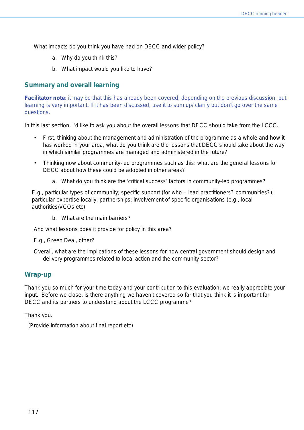What impacts do you think you have had on DECC and wider policy?

- a. Why do you think this?
- b. What impact would you like to have?

# **Summary and overall learning**

**Facilitator note**: it may be that this has already been covered, depending on the previous discussion, but learning is very important. If it has been discussed, use it to sum up/ clarify but don't go over the same questions.

In this last section, I'd like to ask you about the overall lessons that DECC should take from the LCCC.

- First, thinking about the management and administration of the programme as a whole and how it has worked in your area, what do you think are the lessons that DECC should take about the way in which similar programmes are managed and administered in the future?
- Thinking now about community-led programmes such as this: what are the general lessons for DECC about how these could be adopted in other areas?
	- *a.* What do you think are the 'critical success' factors in community-led programmes?

E.g., particular types of community; specific support (for who – lead practitioners? communities?); particular expertise locally; partnerships; involvement of specific organisations (e.g., local authorities/VCOs etc)

b. What are the main barriers?

And what lessons does it provide for policy in this area?

E.g., Green Deal, other?

Overall, what are the implications of these lessons for how central government should design and delivery programmes related to local action and the community sector?

#### **Wrap-up**

Thank you so much for your time today and your contribution to this evaluation: we really appreciate your input. Before we close, is there anything we haven't covered so far that you think it is important for DECC and its partners to understand about the LCCC programme?

Thank you.

(Provide information about final report etc)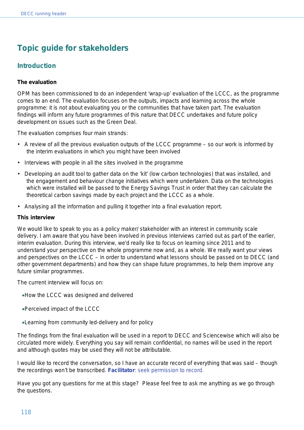# **Topic guide for stakeholders**

# **Introduction**

#### **The evaluation**

OPM has been commissioned to do an independent 'wrap-up' evaluation of the LCCC, as the programme comes to an end. The evaluation focuses on the outputs, impacts and learning across the whole programme: it is not about evaluating you or the communities that have taken part. The evaluation findings will inform any future programmes of this nature that DECC undertakes and future policy development on issues such as the Green Deal.

The evaluation comprises four main strands:

- A review of all the previous evaluation outputs of the LCCC programme so our work is informed by the interim evaluations in which you might have been involved
- Interviews with people in all the sites involved in the programme
- Developing an audit tool to gather data on the 'kit' (low carbon technologies) that was installed, and the engagement and behaviour change initiatives which were undertaken. Data on the technologies which were installed will be passed to the Energy Savings Trust in order that they can calculate the theoretical carbon savings made by each project and the LCCC as a whole.
- Analysing all the information and pulling it together into a final evaluation report.

#### **This interview**

We would like to speak to you as a policy maker/ stakeholder with an interest in community scale delivery. I am aware that you have been involved in previous interviews carried out as part of the earlier, interim evaluation. During this interview, we'd really like to focus on learning since 2011 and to understand your perspective on the whole programme now and, as a whole. We really want your views and perspectives on the LCCC – in order to understand what lessons should be passed on to DECC (and other government departments) and how they can shape future programmes, to help them improve any future similar programmes.

The current interview will focus on:

- •How the LCCC was designed and delivered
- •Perceived impact of the LCCC
- •Learning from community led-delivery and for policy

The findings from the final evaluation will be used in a report to DECC and Sciencewise which will also be circulated more widely. Everything you say will remain confidential, no names will be used in the report and although quotes may be used they will not be attributable.

I would like to record the conversation, so I have an accurate record of everything that was said – though the recordings won't be transcribed. **Facilitator**: seek permission to record.

Have you got any questions for me at this stage? Please feel free to ask me anything as we go through the questions.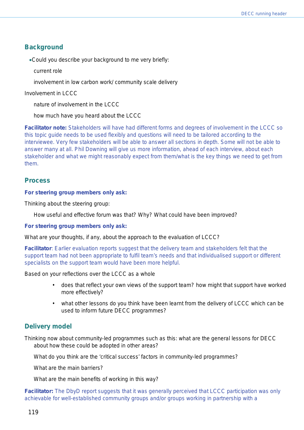# **Background**

•Could you describe your background to me very briefly:

current role

involvement in low carbon work/ community scale delivery

Involvement in LCCC

nature of involvement in the LCCC

how much have you heard about the LCCC

**Facilitator note:** Stakeholders will have had different forms and degrees of involvement in the LCCC so this topic guide needs to be used flexibly and questions will need to be tailored according to the interviewee. Very few stakeholders will be able to answer all sections in depth. Some will not be able to answer many at all. Phil Downing will give us more information, ahead of each interview, about each stakeholder and what we might reasonably expect from them/what is the key things we need to get from them.

# **Process**

#### **For steering group members only ask:**

Thinking about the steering group:

How useful and effective forum was that? *Why? What could have been improved?*

#### **For steering group members only ask:**

What are your thoughts, if any, about the approach to the evaluation of LCCC?

**Facilitator**: Earlier evaluation reports suggest that the delivery team and stakeholders felt that the support team had not been appropriate to fulfil team's needs and that individualised support or different specialists on the support team would have been more helpful.

Based on your reflections over the LCCC as a whole

- does that reflect your own views of the support team? how might that support have worked more effectively?
- what other lessons do you think have been learnt from the delivery of LCCC which can be used to inform future DECC programmes?

# **Delivery model**

Thinking now about community-led programmes such as this: what are the general lessons for DECC about how these could be adopted in other areas?

What do you think are the 'critical success' factors in community-led programmes?

What are the main barriers?

What are the main benefits of working in this way?

**Facilitator:** The DbyD report suggests that it was generally perceived that LCCC participation was only achievable for well-established community groups and/or groups working in partnership with a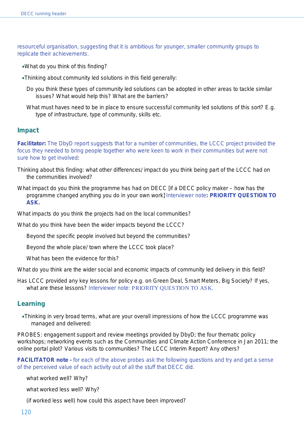resourceful organisation, suggesting that it is ambitious for younger, smaller community groups to replicate their achievements.

- •What do you think of this finding?
- •Thinking about community led solutions in this field generally:
	- Do you think these types of community led solutions can be adopted in other areas to tackle similar issues? What would help this? What are the barriers?
	- What must haves need to be in place to ensure successful community led solutions of this sort? E.g. type of infrastructure, type of community, skills etc.

#### **Impact**

**Facilitator:** The DbyD report suggests that for a number of communities, the LCCC project provided the focus they needed to bring people together who were keen to work in their communities but were not sure how to get involved:

- Thinking about this finding: what other differences/ impact do you think being part of the LCCC had on the communities involved?
- What impact do you think the programme has had on DECC [if a DECC policy maker how has the programme changed anything you do in your own work] Interviewer note**: PRIORITY QUESTION TO ASK.**

What impacts do you think the projects had on the local communities?

What do you think have been the wider impacts beyond the LCCC?

Beyond the specific people involved but beyond the communities?

Beyond the whole place/ town where the LCCC took place?

What has been the evidence for this?

What do you think are the wider social and economic impacts of community led delivery in this field?

Has LCCC provided any key lessons for policy e.g. on Green Deal, Smart Meters, Big Society? If yes, what are these lessons? Interviewer note: PRIORITY OUESTION TO ASK.

#### **Learning**

•Thinking in very broad terms, what are your overall impressions of how the LCCC programme was managed and delivered:

PROBES: engagement support and review meetings provided by DbyD; the four thematic policy workshops; networking events such as the Communities and Climate Action Conference in Jan 2011; the online portal pilot? Various visits to communities? The LCCC Interim Report? Any others?

**FACILITATOR note -** for each of the above probes ask the following questions and try and get a sense of the perceived value of each activity out of all the stuff that DECC did.

what worked well? Why?

what worked less well? Why?

(if worked less well) how could this aspect have been improved?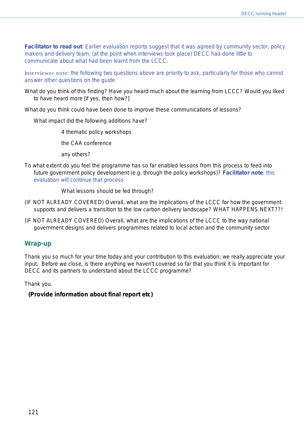**Facilitator to read out**: Earlier evaluation reports suggest that it was agreed by community sector, policy makers and delivery team, (at the point when interviews took place) DECC had done little to communicate about what had been learnt from the LCCC.

Interviewer note: the following two questions above are priority to ask, particularly for those who cannot answer other questions on the guide

What do you think of this finding? Have you heard much about the learning from LCCC? Would you liked to have heard more [if yes, then how?]

What do you think could have been done to improve these communications of lessons?

What impact did the following additions have?

4 thematic policy workshops

the CAA conference

any others?

To what extent do you feel the programme has so far enabled lessons from this process to feed into future government policy development (e.g. through the policy workshops)? **Facilitator note**: this evaluation will continue that process

What lessons should be fed through?

- (IF NOT ALREADY COVERED) Overall, what are the implications of the LCCC for how the government supports and delivers a transition to the low carbon delivery landscape? WHAT HAPPENS NEXT??!
- (IF NOT ALREADY COVERED) Overall, what are the implications of the LCCC to the way national government designs and delivers programmes related to local action and the community sector

#### **Wrap-up**

Thank you so much for your time today and your contribution to this evaluation: we really appreciate your input. Before we close, is there anything we haven't covered so far that you think it is important for DECC and its partners to understand about the LCCC programme?

Thank you.

**(Provide information about final report etc)**